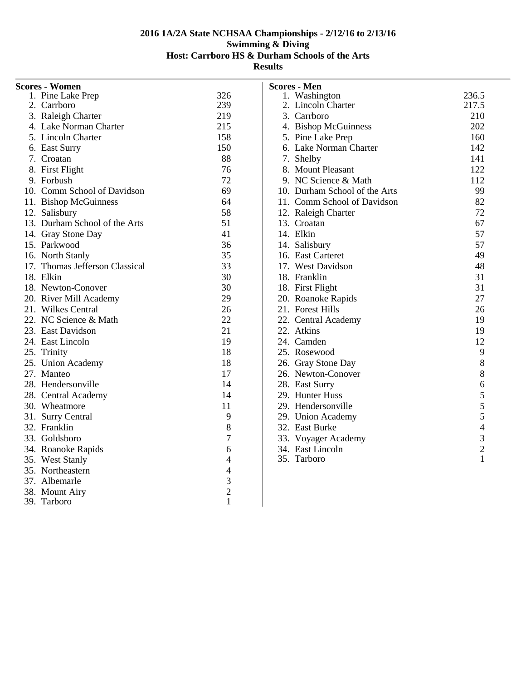| <b>Scores - Women</b>                        |                |
|----------------------------------------------|----------------|
| 1. Pine Lake Prep                            | 326            |
| 2. Carrboro                                  | 239            |
| 3. Raleigh Charter                           | 219            |
| 4. Lake Norman Charter                       | 215            |
| 5. Lincoln Charter                           | 158            |
| 6. East Surry                                | 150            |
| 7. Croatan                                   | 88             |
| 8. First Flight                              | 76             |
| 9. Forbush                                   | 72             |
| 10. Comm School of Davidson                  | 69             |
| 11. Bishop McGuinness                        | 64             |
| 12. Salisbury                                | 58             |
| 13. Durham School of the Arts                | 51             |
| 14. Gray Stone Day                           | 41             |
| 15. Parkwood                                 | 36             |
| 16. North Stanly                             | 35             |
| 17. Thomas Jefferson Classical               | 33             |
| 18. Elkin                                    | 30             |
| 18. Newton-Conover                           | 30             |
| 20. River Mill Academy<br>21. Wilkes Central | 29             |
|                                              | 26             |
| 22. NC Science & Math                        | 22             |
| 23. East Davidson                            | 21             |
| 24. East Lincoln                             | 19             |
| 25. Trinity                                  | 18             |
| 25. Union Academy                            | 18             |
| 27. Manteo                                   | 17             |
| 28. Hendersonville                           | 14             |
| 28. Central Academy                          | 14             |
| 30. Wheatmore                                | 11             |
| 31. Surry Central                            | 9              |
| 32. Franklin                                 | 8              |
| 33. Goldsboro                                | 7              |
| 34. Roanoke Rapids                           | 6              |
| 35. West Stanly                              | 4              |
| 35. Northeastern                             | $\overline{4}$ |
| 37. Albemarle                                | 3              |
| 38. Mount Airy<br>39. Tarboro                | $\overline{c}$ |
|                                              | $\mathbf{1}$   |

|     | <b>Scores - Men</b>           |                |
|-----|-------------------------------|----------------|
|     | 1. Washington                 | 236.5          |
|     | 2. Lincoln Charter            | 217.5          |
|     | 3. Carrboro                   | 210            |
|     | 4. Bishop McGuinness          | 202            |
|     | 5. Pine Lake Prep             | 160            |
|     | 6. Lake Norman Charter        | 142            |
|     | 7. Shelby                     | 141            |
|     | 8. Mount Pleasant             | 122            |
|     | 9. NC Science & Math          | 112            |
|     | 10. Durham School of the Arts | 99             |
|     | 11. Comm School of Davidson   | 82             |
|     | 12. Raleigh Charter           | 72             |
|     | 13. Croatan                   | 67             |
|     | 14. Elkin                     | 57             |
|     | 14. Salisbury                 | 57             |
|     | 16. East Carteret             | 49             |
|     | 17. West Davidson             | 48             |
|     | 18. Franklin                  | 31             |
|     | 18. First Flight              | 31             |
|     | 20. Roanoke Rapids            | 27             |
|     | 21. Forest Hills              | 26             |
|     | 22. Central Academy           | 19             |
|     | 22. Atkins                    | 19             |
|     | 24. Camden                    | 12             |
|     | 25. Rosewood                  | 9              |
|     | 26. Gray Stone Day            | 8              |
|     | 26. Newton-Conover            | 8              |
|     | 28. East Surry                | $\overline{6}$ |
|     | 29. Hunter Huss               |                |
|     | 29. Hendersonville            |                |
|     | 29. Union Academy             |                |
|     | 32. East Burke                |                |
|     | 33. Voyager Academy           | 5554321        |
|     | 34. East Lincoln              |                |
| 35. | Tarboro                       |                |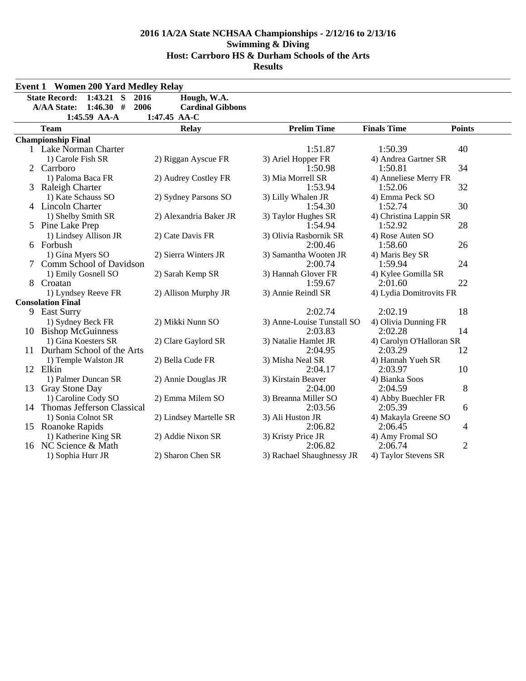|   | <b>Event 1 Women 200 Yard Medley Relay</b>  |                         |                               |                                |                |
|---|---------------------------------------------|-------------------------|-------------------------------|--------------------------------|----------------|
|   | $1:43.21$ S<br><b>State Record:</b><br>2016 | Hough, W.A.             |                               |                                |                |
|   | 1:46.30#<br>2006<br><b>A/AA State:</b>      | <b>Cardinal Gibbons</b> |                               |                                |                |
|   | 1:45.59 AA-A                                | 1:47.45 AA-C            |                               |                                |                |
|   | <b>Team</b>                                 | <b>Relay</b>            | <b>Prelim Time</b>            | <b>Finals Time</b>             | <b>Points</b>  |
|   | <b>Championship Final</b>                   |                         |                               |                                |                |
|   | 1 Lake Norman Charter                       |                         | 1:51.87                       | 1:50.39                        | 40             |
|   | 1) Carole Fish SR                           | 2) Riggan Ayscue FR     | 3) Ariel Hopper FR            | 4) Andrea Gartner SR           |                |
|   | 2 Carrboro                                  |                         | 1:50.98                       | 1:50.81                        | 34             |
|   | 1) Paloma Baca FR                           | 2) Audrey Costley FR    | 3) Mia Morrell SR             | 4) Anneliese Merry FR          |                |
|   | 3 Raleigh Charter                           |                         | 1:53.94                       | 1:52.06                        | 32             |
|   | 1) Kate Schauss SO                          | 2) Sydney Parsons SO    | 3) Lilly Whalen JR            | 4) Emma Peck SO                |                |
|   | 4 Lincoln Charter                           |                         | 1:54.30                       | 1:52.74                        | 30             |
|   | 1) Shelby Smith SR                          | 2) Alexandria Baker JR  | 3) Taylor Hughes SR           | 4) Christina Lappin SR         |                |
|   | 5 Pine Lake Prep                            |                         | 1:54.94                       | 1:52.92                        | 28             |
|   | 1) Lindsey Allison JR                       | 2) Cate Davis FR        | 3) Olivia Rasbornik SR        | 4) Rose Auten SO               |                |
|   | 6 Forbush                                   |                         | 2:00.46                       | 1:58.60                        | 26             |
|   | 1) Gina Myers SO                            | 2) Sierra Winters JR    | 3) Samantha Wooten JR         | 4) Maris Bey SR                |                |
|   | Comm School of Davidson                     |                         | 2:00.74                       | 1:59.94                        | 24             |
|   | 1) Emily Gosnell SO                         | 2) Sarah Kemp SR        | 3) Hannah Glover FR           | 4) Kylee Gomilla SR            |                |
| 8 | Croatan                                     |                         | 1:59.67                       | 2:01.60                        | 22             |
|   | 1) Lyndsey Reeve FR                         | 2) Allison Murphy JR    | 3) Annie Reindl SR            | 4) Lydia Domitrovits FR        |                |
|   | <b>Consolation Final</b>                    |                         |                               |                                |                |
|   | 9 East Surry                                |                         | 2:02.74                       | 2:02.19                        | 18             |
|   | 1) Sydney Beck FR                           | 2) Mikki Nunn SO        | 3) Anne-Louise Tunstall SO    | 4) Olivia Dunning FR           |                |
|   | 10 Bishop McGuinness                        |                         | 2:03.83                       | 2:02.28                        | 14             |
|   | 1) Gina Koesters SR                         | 2) Clare Gaylord SR     | 3) Natalie Hamlet JR          | 4) Carolyn O'Halloran SR       |                |
|   | 11 Durham School of the Arts                |                         | 2:04.95                       | 2:03.29                        | 12             |
|   | 1) Temple Walston JR<br>12 Elkin            | 2) Bella Cude FR        | 3) Misha Neal SR              | 4) Hannah Yueh SR              |                |
|   |                                             |                         | 2:04.17                       | 2:03.97                        | 10             |
|   | 1) Palmer Duncan SR<br>13 Gray Stone Day    | 2) Annie Douglas JR     | 3) Kirstain Beaver<br>2:04.00 | 4) Bianka Soos<br>2:04.59      | 8              |
|   | 1) Caroline Cody SO                         | 2) Emma Milem SO        | 3) Breanna Miller SO          |                                |                |
|   | 14 Thomas Jefferson Classical               |                         | 2:03.56                       | 4) Abby Buechler FR<br>2:05.39 | 6              |
|   | 1) Sonia Colnot SR                          | 2) Lindsey Martelle SR  | 3) Ali Huston JR              | 4) Makayla Greene SO           |                |
|   | 15 Roanoke Rapids                           |                         | 2:06.82                       | 2:06.45                        | 4              |
|   | 1) Katherine King SR                        | 2) Addie Nixon SR       | 3) Kristy Price JR            | 4) Amy Fromal SO               |                |
|   | 16 NC Science & Math                        |                         | 2:06.82                       | 2:06.74                        | $\overline{2}$ |
|   | 1) Sophia Hurr JR                           | 2) Sharon Chen SR       | 3) Rachael Shaughnessy JR     | 4) Taylor Stevens SR           |                |
|   |                                             |                         |                               |                                |                |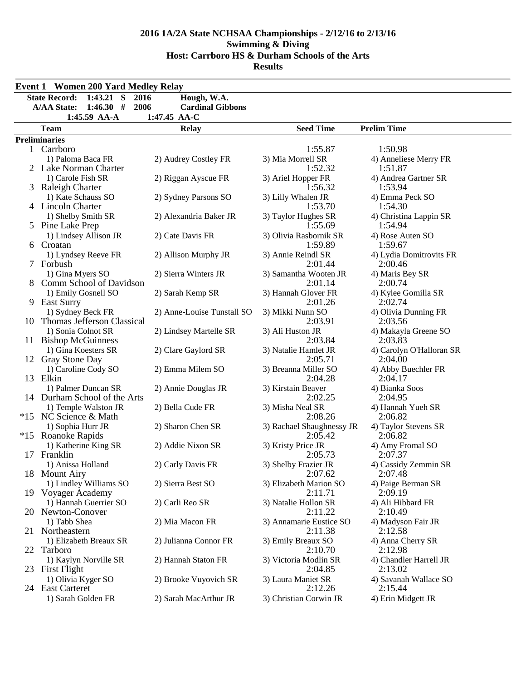| <b>Event 1 Women 200 Yard Medley Relay</b>         |                            |                                    |                                 |
|----------------------------------------------------|----------------------------|------------------------------------|---------------------------------|
| 1:43.21 S 2016<br><b>State Record:</b>             | Hough, W.A.                |                                    |                                 |
| <b>A/AA State:</b><br>1:46.30#<br>2006             | <b>Cardinal Gibbons</b>    |                                    |                                 |
| 1:45.59 AA-A                                       | 1:47.45 AA-C               |                                    |                                 |
| <b>Team</b>                                        | <b>Relay</b>               | <b>Seed Time</b>                   | <b>Prelim Time</b>              |
| <b>Preliminaries</b>                               |                            |                                    |                                 |
| 1 Carrboro                                         |                            | 1:55.87                            | 1:50.98                         |
| 1) Paloma Baca FR                                  | 2) Audrey Costley FR       | 3) Mia Morrell SR                  | 4) Anneliese Merry FR           |
| 2 Lake Norman Charter                              |                            | 1:52.32                            | 1:51.87                         |
| 1) Carole Fish SR                                  | 2) Riggan Ayscue FR        | 3) Ariel Hopper FR                 | 4) Andrea Gartner SR            |
| 3 Raleigh Charter                                  |                            | 1:56.32                            | 1:53.94                         |
| 1) Kate Schauss SO                                 | 2) Sydney Parsons SO       | 3) Lilly Whalen JR                 | 4) Emma Peck SO                 |
| 4 Lincoln Charter                                  |                            | 1:53.70                            | 1:54.30                         |
| 1) Shelby Smith SR                                 | 2) Alexandria Baker JR     | 3) Taylor Hughes SR                | 4) Christina Lappin SR          |
| 5 Pine Lake Prep                                   |                            | 1:55.69                            | 1:54.94                         |
| 1) Lindsey Allison JR                              | 2) Cate Davis FR           | 3) Olivia Rasbornik SR             | 4) Rose Auten SO                |
| 6 Croatan                                          |                            | 1:59.89                            | 1:59.67                         |
| 1) Lyndsey Reeve FR                                | 2) Allison Murphy JR       | 3) Annie Reindl SR                 | 4) Lydia Domitrovits FR         |
| 7 Forbush                                          |                            | 2:01.44                            | 2:00.46                         |
| 1) Gina Myers SO                                   | 2) Sierra Winters JR       | 3) Samantha Wooten JR              | 4) Maris Bey SR                 |
| Comm School of Davidson                            |                            | 2:01.14                            | 2:00.74                         |
| 1) Emily Gosnell SO                                | 2) Sarah Kemp SR           | 3) Hannah Glover FR<br>2:01.26     | 4) Kylee Gomilla SR<br>2:02.74  |
| 9 East Surry                                       | 2) Anne-Louise Tunstall SO |                                    |                                 |
| 1) Sydney Beck FR<br>10 Thomas Jefferson Classical |                            | 3) Mikki Nunn SO<br>2:03.91        | 4) Olivia Dunning FR<br>2:03.56 |
| 1) Sonia Colnot SR                                 | 2) Lindsey Martelle SR     | 3) Ali Huston JR                   | 4) Makayla Greene SO            |
| 11 Bishop McGuinness                               |                            | 2:03.84                            | 2:03.83                         |
| 1) Gina Koesters SR                                | 2) Clare Gaylord SR        | 3) Natalie Hamlet JR               | 4) Carolyn O'Halloran SR        |
| 12 Gray Stone Day                                  |                            | 2:05.71                            | 2:04.00                         |
| 1) Caroline Cody SO                                | 2) Emma Milem SO           | 3) Breanna Miller SO               | 4) Abby Buechler FR             |
| 13 Elkin                                           |                            | 2:04.28                            | 2:04.17                         |
| 1) Palmer Duncan SR                                | 2) Annie Douglas JR        | 3) Kirstain Beaver                 | 4) Bianka Soos                  |
| 14 Durham School of the Arts                       |                            | 2:02.25                            | 2:04.95                         |
| 1) Temple Walston JR                               | 2) Bella Cude FR           | 3) Misha Neal SR                   | 4) Hannah Yueh SR               |
| *15 NC Science & Math                              |                            | 2:08.26                            | 2:06.82                         |
| 1) Sophia Hurr JR                                  | 2) Sharon Chen SR          | 3) Rachael Shaughnessy JR          | 4) Taylor Stevens SR            |
| *15 Roanoke Rapids                                 |                            | 2:05.42                            | 2:06.82                         |
| 1) Katherine King SR                               | 2) Addie Nixon SR          | 3) Kristy Price JR                 | 4) Amy Fromal SO                |
| 17 Franklin                                        |                            | 2:05.73                            | 2:07.37                         |
| 1) Anissa Holland                                  | 2) Carly Davis FR          | 3) Shelby Frazier JR               | 4) Cassidy Zemmin SR            |
| 18 Mount Airy                                      |                            | 2:07.62                            | 2:07.48                         |
| 1) Lindley Williams SO                             | 2) Sierra Best SO          | 3) Elizabeth Marion SO             | 4) Paige Berman SR              |
| 19 Voyager Academy                                 |                            | 2:11.71                            | 2:09.19                         |
| 1) Hannah Guerrier SO                              | 2) Carli Reo SR            | 3) Natalie Hollon SR               | 4) Ali Hibbard FR               |
| 20 Newton-Conover                                  |                            | 2:11.22<br>3) Annamarie Eustice SO | 2:10.49                         |
| 1) Tabb Shea<br>21 Northeastern                    | 2) Mia Macon FR            | 2:11.38                            | 4) Madyson Fair JR<br>2:12.58   |
| 1) Elizabeth Breaux SR                             | 2) Julianna Connor FR      |                                    |                                 |
| 22 Tarboro                                         |                            | 3) Emily Breaux SO<br>2:10.70      | 4) Anna Cherry SR<br>2:12.98    |
| 1) Kaylyn Norville SR                              | 2) Hannah Staton FR        | 3) Victoria Modlin SR              | 4) Chandler Harrell JR          |
| 23 First Flight                                    |                            | 2:04.85                            | 2:13.02                         |
| 1) Olivia Kyger SO                                 | 2) Brooke Vuyovich SR      | 3) Laura Maniet SR                 | 4) Savanah Wallace SO           |
| 24 East Carteret                                   |                            | 2:12.26                            | 2:15.44                         |
| 1) Sarah Golden FR                                 | 2) Sarah MacArthur JR      | 3) Christian Corwin JR             | 4) Erin Midgett JR              |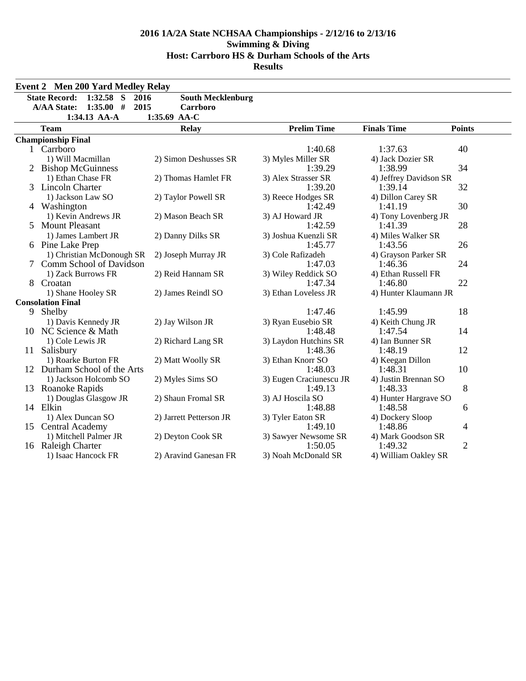|    | <b>Event 2 Men 200 Yard Medley Relay</b>     |                          |                              |                                  |                |  |  |
|----|----------------------------------------------|--------------------------|------------------------------|----------------------------------|----------------|--|--|
|    | <b>State Record:</b><br>1:32.58<br>S<br>2016 | <b>South Mecklenburg</b> |                              |                                  |                |  |  |
|    | 1:35.00#<br>2015<br><b>A/AA State:</b>       | Carrboro                 |                              |                                  |                |  |  |
|    | 1:34.13 AA-A                                 | 1:35.69 AA-C             |                              |                                  |                |  |  |
|    | <b>Team</b>                                  | <b>Relay</b>             | <b>Prelim Time</b>           | <b>Finals Time</b>               | <b>Points</b>  |  |  |
|    | <b>Championship Final</b>                    |                          |                              |                                  |                |  |  |
|    | 1 Carrboro                                   |                          | 1:40.68                      | 1:37.63                          | 40             |  |  |
|    | 1) Will Macmillan                            | 2) Simon Deshusses SR    | 3) Myles Miller SR           | 4) Jack Dozier SR                |                |  |  |
|    | 2 Bishop McGuinness                          |                          | 1:39.29                      | 1:38.99                          | 34             |  |  |
|    | 1) Ethan Chase FR                            | 2) Thomas Hamlet FR      | 3) Alex Strasser SR          | 4) Jeffrey Davidson SR           |                |  |  |
|    | 3 Lincoln Charter                            |                          | 1:39.20                      | 1:39.14                          | 32             |  |  |
|    | 1) Jackson Law SO                            | 2) Taylor Powell SR      | 3) Reece Hodges SR           | 4) Dillon Carey SR               |                |  |  |
|    | 4 Washington                                 |                          | 1:42.49                      | 1:41.19                          | 30             |  |  |
|    | 1) Kevin Andrews JR                          | 2) Mason Beach SR        | 3) AJ Howard JR              | 4) Tony Lovenberg JR             | 28             |  |  |
|    | 5 Mount Pleasant                             |                          |                              | 1:42.59<br>1:41.39               |                |  |  |
|    | 1) James Lambert JR                          | 2) Danny Dilks SR        | 3) Joshua Kuenzli SR         | 4) Miles Walker SR               |                |  |  |
|    | 6 Pine Lake Prep                             |                          | 1:45.77                      | 1:43.56                          | 26             |  |  |
|    | 1) Christian McDonough SR                    | 2) Joseph Murray JR      | 3) Cole Rafizadeh            | 4) Grayson Parker SR             |                |  |  |
|    | 7 Comm School of Davidson                    |                          | 1:47.03                      | 1:46.36                          | 24             |  |  |
|    | 1) Zack Burrows FR                           | 2) Reid Hannam SR        | 3) Wiley Reddick SO          | 4) Ethan Russell FR              |                |  |  |
|    | Croatan                                      |                          | 1:47.34                      | 1:46.80                          | 22             |  |  |
|    | 1) Shane Hooley SR                           | 2) James Reindl SO       | 3) Ethan Loveless JR         | 4) Hunter Klaumann JR            |                |  |  |
|    | <b>Consolation Final</b>                     |                          |                              |                                  |                |  |  |
|    | 9 Shelby                                     |                          | 1:47.46                      | 1:45.99                          | 18             |  |  |
|    | 1) Davis Kennedy JR                          | 2) Jay Wilson JR         | 3) Ryan Eusebio SR           | 4) Keith Chung JR                |                |  |  |
|    | 10 NC Science & Math                         |                          | 1:48.48                      | 1:47.54                          | 14             |  |  |
|    | 1) Cole Lewis JR                             | 2) Richard Lang SR       | 3) Laydon Hutchins SR        | 4) Ian Bunner SR                 |                |  |  |
| 11 | Salisbury                                    |                          | 1:48.36                      | 1:48.19                          | 12             |  |  |
|    | 1) Roarke Burton FR                          | 2) Matt Woolly SR        | 3) Ethan Knorr SO            | 4) Keegan Dillon                 |                |  |  |
|    | 12 Durham School of the Arts                 |                          | 1:48.03                      | 1:48.31                          | 10             |  |  |
|    | 1) Jackson Holcomb SO                        | 2) Myles Sims SO         | 3) Eugen Craciunescu JR      | 4) Justin Brennan SO             | 8              |  |  |
|    | 13 Roanoke Rapids                            | 2) Shaun Fromal SR       | 1:49.13                      | 1:48.33                          |                |  |  |
|    | 1) Douglas Glasgow JR<br>14 Elkin            |                          | 3) AJ Hoscila SO<br>1:48.88  | 4) Hunter Hargrave SO<br>1:48.58 |                |  |  |
|    |                                              |                          |                              |                                  | 6              |  |  |
|    | 1) Alex Duncan SO<br>15 Central Academy      | 2) Jarrett Petterson JR  | 3) Tyler Eaton SR<br>1:49.10 | 4) Dockery Sloop<br>1:48.86      | 4              |  |  |
|    | 1) Mitchell Palmer JR                        | 2) Deyton Cook SR        | 3) Sawyer Newsome SR         | 4) Mark Goodson SR               |                |  |  |
|    | 16 Raleigh Charter                           |                          | 1:50.05                      | 1:49.32                          | $\overline{2}$ |  |  |
|    | 1) Isaac Hancock FR                          | 2) Aravind Ganesan FR    | 3) Noah McDonald SR          | 4) William Oakley SR             |                |  |  |
|    |                                              |                          |                              |                                  |                |  |  |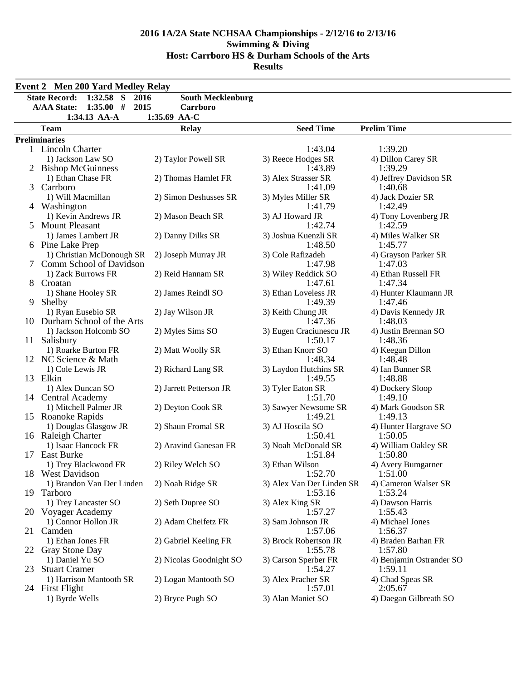|               | <b>Event 2 Men 200 Yard Medley Relay</b>             |                          |                                |                                 |  |  |  |  |  |
|---------------|------------------------------------------------------|--------------------------|--------------------------------|---------------------------------|--|--|--|--|--|
|               | $1:32.58$ S<br><b>State Record:</b><br>2016          | <b>South Mecklenburg</b> |                                |                                 |  |  |  |  |  |
|               | 1:35.00#<br>2015<br><b>A/AA State:</b>               | Carrboro                 |                                |                                 |  |  |  |  |  |
|               | 1:34.13 AA-A                                         | 1:35.69 AA-C             |                                |                                 |  |  |  |  |  |
|               | <b>Team</b>                                          | <b>Relay</b>             | <b>Seed Time</b>               | <b>Prelim Time</b>              |  |  |  |  |  |
|               | <b>Preliminaries</b>                                 |                          |                                |                                 |  |  |  |  |  |
|               | 1 Lincoln Charter                                    |                          | 1:43.04                        | 1:39.20                         |  |  |  |  |  |
|               | 1) Jackson Law SO                                    | 2) Taylor Powell SR      | 3) Reece Hodges SR             | 4) Dillon Carey SR              |  |  |  |  |  |
|               | 2 Bishop McGuinness                                  |                          | 1:43.89                        | 1:39.29                         |  |  |  |  |  |
|               | 1) Ethan Chase FR                                    | 2) Thomas Hamlet FR      | 3) Alex Strasser SR            | 4) Jeffrey Davidson SR          |  |  |  |  |  |
|               | 3 Carrboro                                           |                          | 1:41.09                        | 1:40.68                         |  |  |  |  |  |
|               | 1) Will Macmillan                                    | 2) Simon Deshusses SR    | 3) Myles Miller SR             | 4) Jack Dozier SR               |  |  |  |  |  |
|               | 4 Washington                                         |                          | 1:41.79                        | 1:42.49                         |  |  |  |  |  |
|               | 1) Kevin Andrews JR                                  | 2) Mason Beach SR        | 3) AJ Howard JR                | 4) Tony Lovenberg JR            |  |  |  |  |  |
| $\mathcal{F}$ | <b>Mount Pleasant</b>                                |                          | 1:42.74                        | 1:42.59                         |  |  |  |  |  |
|               | 1) James Lambert JR                                  | 2) Danny Dilks SR        | 3) Joshua Kuenzli SR           | 4) Miles Walker SR              |  |  |  |  |  |
|               | 6 Pine Lake Prep                                     |                          | 1:48.50                        | 1:45.77                         |  |  |  |  |  |
|               | 1) Christian McDonough SR<br>Comm School of Davidson | 2) Joseph Murray JR      | 3) Cole Rafizadeh              | 4) Grayson Parker SR<br>1:47.03 |  |  |  |  |  |
|               | 1) Zack Burrows FR                                   | 2) Reid Hannam SR        | 1:47.98<br>3) Wiley Reddick SO |                                 |  |  |  |  |  |
| 8.            | Croatan                                              |                          | 1:47.61                        | 4) Ethan Russell FR<br>1:47.34  |  |  |  |  |  |
|               | 1) Shane Hooley SR                                   | 2) James Reindl SO       | 3) Ethan Loveless JR           | 4) Hunter Klaumann JR           |  |  |  |  |  |
| 9             | Shelby                                               |                          | 1:49.39                        | 1:47.46                         |  |  |  |  |  |
|               | 1) Ryan Eusebio SR                                   | 2) Jay Wilson JR         | 3) Keith Chung JR              | 4) Davis Kennedy JR             |  |  |  |  |  |
|               | 10 Durham School of the Arts                         |                          | 1:47.36                        | 1:48.03                         |  |  |  |  |  |
|               | 1) Jackson Holcomb SO                                | 2) Myles Sims SO         | 3) Eugen Craciunescu JR        | 4) Justin Brennan SO            |  |  |  |  |  |
|               | 11 Salisbury                                         |                          | 1:50.17                        | 1:48.36                         |  |  |  |  |  |
|               | 1) Roarke Burton FR                                  | 2) Matt Woolly SR        | 3) Ethan Knorr SO              | 4) Keegan Dillon                |  |  |  |  |  |
|               | 12 NC Science & Math                                 |                          | 1:48.34                        | 1:48.48                         |  |  |  |  |  |
|               | 1) Cole Lewis JR                                     | 2) Richard Lang SR       | 3) Laydon Hutchins SR          | 4) Ian Bunner SR                |  |  |  |  |  |
|               | 13 Elkin                                             |                          | 1:49.55                        | 1:48.88                         |  |  |  |  |  |
|               | 1) Alex Duncan SO                                    | 2) Jarrett Petterson JR  | 3) Tyler Eaton SR              | 4) Dockery Sloop                |  |  |  |  |  |
|               | 14 Central Academy                                   |                          | 1:51.70                        | 1:49.10                         |  |  |  |  |  |
|               | 1) Mitchell Palmer JR                                | 2) Deyton Cook SR        | 3) Sawyer Newsome SR           | 4) Mark Goodson SR              |  |  |  |  |  |
|               | 15 Roanoke Rapids                                    |                          | 1:49.21                        | 1:49.13                         |  |  |  |  |  |
|               | 1) Douglas Glasgow JR                                | 2) Shaun Fromal SR       | 3) AJ Hoscila SO               | 4) Hunter Hargrave SO           |  |  |  |  |  |
|               | 16 Raleigh Charter                                   |                          | 1:50.41                        | 1:50.05                         |  |  |  |  |  |
|               | 1) Isaac Hancock FR<br>17 East Burke                 | 2) Aravind Ganesan FR    | 3) Noah McDonald SR<br>1:51.84 | 4) William Oakley SR<br>1:50.80 |  |  |  |  |  |
|               | 1) Trey Blackwood FR                                 | 2) Riley Welch SO        | 3) Ethan Wilson                | 4) Avery Bumgarner              |  |  |  |  |  |
|               | 18 West Davidson                                     |                          | 1:52.70                        | 1:51.00                         |  |  |  |  |  |
|               | 1) Brandon Van Der Linden                            | 2) Noah Ridge SR         | 3) Alex Van Der Linden SR      | 4) Cameron Walser SR            |  |  |  |  |  |
|               | 19 Tarboro                                           |                          | 1:53.16                        | 1:53.24                         |  |  |  |  |  |
|               | 1) Trey Lancaster SO                                 | 2) Seth Dupree SO        | 3) Alex King SR                | 4) Dawson Harris                |  |  |  |  |  |
|               | 20 Voyager Academy                                   |                          | 1:57.27                        | 1:55.43                         |  |  |  |  |  |
|               | 1) Connor Hollon JR                                  | 2) Adam Cheifetz FR      | 3) Sam Johnson JR              | 4) Michael Jones                |  |  |  |  |  |
|               | 21 Camden                                            |                          | 1:57.06                        | 1:56.37                         |  |  |  |  |  |
|               | 1) Ethan Jones FR                                    | 2) Gabriel Keeling FR    | 3) Brock Robertson JR          | 4) Braden Barhan FR             |  |  |  |  |  |
|               | 22 Gray Stone Day                                    |                          | 1:55.78                        | 1:57.80                         |  |  |  |  |  |
|               | 1) Daniel Yu SO                                      | 2) Nicolas Goodnight SO  | 3) Carson Sperber FR           | 4) Benjamin Ostrander SO        |  |  |  |  |  |
| 23            | <b>Stuart Cramer</b>                                 |                          | 1:54.27                        | 1:59.11                         |  |  |  |  |  |
|               | 1) Harrison Mantooth SR                              | 2) Logan Mantooth SO     | 3) Alex Pracher SR             | 4) Chad Speas SR                |  |  |  |  |  |
|               | 24 First Flight                                      |                          | 1:57.01                        | 2:05.67                         |  |  |  |  |  |
|               | 1) Byrde Wells                                       | 2) Bryce Pugh SO         | 3) Alan Maniet SO              | 4) Daegan Gilbreath SO          |  |  |  |  |  |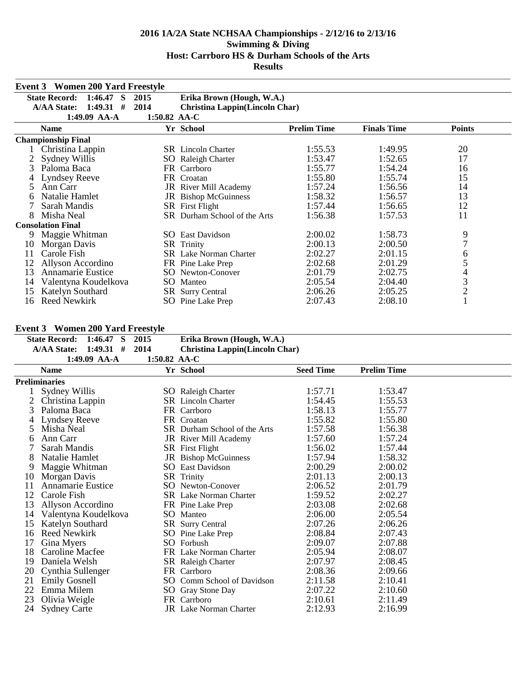|    | <b>Event 3 Women 200 Yard Freestyle</b>                                               |      |                                       |         |         |                |  |  |  |  |  |  |
|----|---------------------------------------------------------------------------------------|------|---------------------------------------|---------|---------|----------------|--|--|--|--|--|--|
|    | <b>State Record:</b><br>$1:46.47$ S<br>2015<br>Erika Brown (Hough, W.A.)              |      |                                       |         |         |                |  |  |  |  |  |  |
|    | <b>A/AA State:</b><br>$1:49.31$ #                                                     | 2014 | <b>Christina Lappin(Lincoln Char)</b> |         |         |                |  |  |  |  |  |  |
|    | 1:49.09 AA-A<br>1:50.82 AA-C                                                          |      |                                       |         |         |                |  |  |  |  |  |  |
|    | <b>Prelim Time</b><br>Yr School<br><b>Finals Time</b><br><b>Points</b><br><b>Name</b> |      |                                       |         |         |                |  |  |  |  |  |  |
|    | <b>Championship Final</b>                                                             |      |                                       |         |         |                |  |  |  |  |  |  |
|    | Christina Lappin                                                                      |      | <b>SR</b> Lincoln Charter             | 1:55.53 | 1:49.95 | 20             |  |  |  |  |  |  |
| 2  | Sydney Willis                                                                         |      | SO Raleigh Charter                    | 1:53.47 | 1:52.65 | 17             |  |  |  |  |  |  |
| 3  | Paloma Baca                                                                           |      | FR Carrboro                           | 1:55.77 | 1:54.24 | 16             |  |  |  |  |  |  |
|    | <b>Lyndsey Reeve</b>                                                                  | FR.  | Croatan                               | 1:55.80 | 1:55.74 | 15             |  |  |  |  |  |  |
| 5  | Ann Carr                                                                              |      | JR River Mill Academy                 | 1:57.24 | 1:56.56 | 14             |  |  |  |  |  |  |
| 6  | Natalie Hamlet                                                                        |      | <b>JR</b> Bishop McGuinness           | 1:58.32 | 1:56.57 | 13             |  |  |  |  |  |  |
|    | Sarah Mandis                                                                          |      | <b>SR</b> First Flight                | 1:57.44 | 1:56.65 | 12             |  |  |  |  |  |  |
| 8  | Misha Neal                                                                            |      | SR Durham School of the Arts          | 1:56.38 | 1:57.53 | 11             |  |  |  |  |  |  |
|    | <b>Consolation Final</b>                                                              |      |                                       |         |         |                |  |  |  |  |  |  |
| 9  | Maggie Whitman                                                                        |      | <b>SO</b> East Davidson               | 2:00.02 | 1:58.73 | 9              |  |  |  |  |  |  |
| 10 | Morgan Davis                                                                          |      | <b>SR</b> Trinity                     | 2:00.13 | 2:00.50 | 7              |  |  |  |  |  |  |
| 11 | Carole Fish                                                                           |      | <b>SR</b> Lake Norman Charter         | 2:02.27 | 2:01.15 | 6              |  |  |  |  |  |  |
| 12 | Allyson Accordino                                                                     |      | FR Pine Lake Prep                     | 2:02.68 | 2:01.29 | 5              |  |  |  |  |  |  |
| 13 | Annamarie Eustice                                                                     |      | <b>SO</b> Newton-Conover              | 2:01.79 | 2:02.75 | 4              |  |  |  |  |  |  |
| 14 | Valentyna Koudelkova                                                                  |      | SO Manteo                             | 2:05.54 | 2:04.40 | $\mathfrak{Z}$ |  |  |  |  |  |  |
| 15 | Katelyn Southard                                                                      |      | <b>SR</b> Surry Central               | 2:06.26 | 2:05.25 | $\overline{c}$ |  |  |  |  |  |  |
| 16 | Reed Newkirk                                                                          |      | <b>SO</b> Pine Lake Prep              | 2:07.43 | 2:08.10 |                |  |  |  |  |  |  |

#### **Event 3 Women 200 Yard Freestyle**

|    | Event 3 Women 200 Yard Freestyle    |              |                                       |                  |                    |  |
|----|-------------------------------------|--------------|---------------------------------------|------------------|--------------------|--|
|    | <b>State Record:</b><br>$1:46.47$ S | 2015         | Erika Brown (Hough, W.A.)             |                  |                    |  |
|    | $1:49.31$ #<br><b>A/AA State:</b>   | 2014         | <b>Christina Lappin(Lincoln Char)</b> |                  |                    |  |
|    | 1:49.09 AA-A                        | 1:50.82 AA-C |                                       |                  |                    |  |
|    | <b>Name</b>                         |              | Yr School                             | <b>Seed Time</b> | <b>Prelim Time</b> |  |
|    | Preliminaries                       |              |                                       |                  |                    |  |
|    | Sydney Willis                       |              | <b>SO</b> Raleigh Charter             | 1:57.71          | 1:53.47            |  |
|    | Christina Lappin                    |              | <b>SR</b> Lincoln Charter             | 1:54.45          | 1:55.53            |  |
| 3  | Paloma Baca                         |              | FR Carrboro                           | 1:58.13          | 1:55.77            |  |
|    | <b>Lyndsey Reeve</b>                |              | FR Croatan                            | 1:55.82          | 1:55.80            |  |
| 5  | Misha Neal                          |              | SR Durham School of the Arts          | 1:57.58          | 1:56.38            |  |
| 6  | Ann Carr                            |              | JR River Mill Academy                 | 1:57.60          | 1:57.24            |  |
|    | Sarah Mandis                        |              | <b>SR</b> First Flight                | 1:56.02          | 1:57.44            |  |
| 8  | Natalie Hamlet                      |              | JR Bishop McGuinness                  | 1:57.94          | 1:58.32            |  |
| 9  | Maggie Whitman                      |              | <b>SO</b> East Davidson               | 2:00.29          | 2:00.02            |  |
| 10 | Morgan Davis                        |              | <b>SR</b> Trinity                     | 2:01.13          | 2:00.13            |  |
| 11 | <b>Annamarie Eustice</b>            |              | SO Newton-Conover                     | 2:06.52          | 2:01.79            |  |
| 12 | Carole Fish                         |              | <b>SR</b> Lake Norman Charter         | 1:59.52          | 2:02.27            |  |
| 13 | Allyson Accordino                   |              | FR Pine Lake Prep                     | 2:03.08          | 2:02.68            |  |
| 14 | Valentyna Koudelkova                |              | SO Manteo                             | 2:06.00          | 2:05.54            |  |
| 15 | Katelyn Southard                    |              | <b>SR</b> Surry Central               | 2:07.26          | 2:06.26            |  |
| 16 | <b>Reed Newkirk</b>                 |              | SO Pine Lake Prep                     | 2:08.84          | 2:07.43            |  |
| 17 | Gina Myers                          |              | SO Forbush                            | 2:09.07          | 2:07.88            |  |
| 18 | Caroline Macfee                     |              | FR Lake Norman Charter                | 2:05.94          | 2:08.07            |  |
| 19 | Daniela Welsh                       |              | SR Raleigh Charter                    | 2:07.97          | 2:08.45            |  |
| 20 | Cynthia Sullenger                   |              | FR Carrboro                           | 2:08.36          | 2:09.66            |  |
| 21 | <b>Emily Gosnell</b>                |              | SO Comm School of Davidson            | 2:11.58          | 2:10.41            |  |
| 22 | Emma Milem                          |              | SO Gray Stone Day                     | 2:07.22          | 2:10.60            |  |
| 23 | Olivia Weigle                       |              | FR Carrboro                           | 2:10.61          | 2:11.49            |  |
| 24 | <b>Sydney Carte</b>                 |              | <b>JR</b> Lake Norman Charter         | 2:12.93          | 2:16.99            |  |
|    |                                     |              |                                       |                  |                    |  |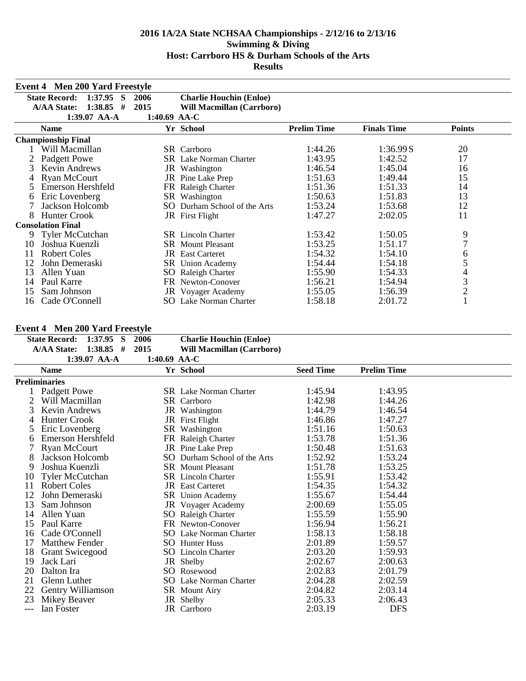|    | <b>Event 4 Men 200 Yard Freestyle</b> |              |                                  |                    |                    |                |  |  |  |
|----|---------------------------------------|--------------|----------------------------------|--------------------|--------------------|----------------|--|--|--|
|    | <b>State Record:</b><br>1:37.95<br>S  | 2006         | <b>Charlie Houchin (Enloe)</b>   |                    |                    |                |  |  |  |
|    | 1:38.85<br><b>A/AA State:</b><br>#    | 2015         | <b>Will Macmillan (Carrboro)</b> |                    |                    |                |  |  |  |
|    | 1:39.07 AA-A                          | 1:40.69 AA-C |                                  |                    |                    |                |  |  |  |
|    | <b>Name</b>                           |              | Yr School                        | <b>Prelim Time</b> | <b>Finals Time</b> | <b>Points</b>  |  |  |  |
|    | <b>Championship Final</b>             |              |                                  |                    |                    |                |  |  |  |
|    | Will Macmillan                        |              | <b>SR</b> Carrboro               | 1:44.26            | 1:36.99S           | 20             |  |  |  |
|    | Padgett Powe                          |              | <b>SR</b> Lake Norman Charter    | 1:43.95            | 1:42.52            | 17             |  |  |  |
|    | Kevin Andrews                         |              | JR Washington                    | 1:46.54            | 1:45.04            | 16             |  |  |  |
|    | <b>Ryan McCourt</b>                   |              | JR Pine Lake Prep                | 1:51.63            | 1:49.44            | 15             |  |  |  |
| 5  | Emerson Hershfeld                     |              | FR Raleigh Charter               | 1:51.36            | 1:51.33            | 14             |  |  |  |
| 6  | Eric Lovenberg                        | SR           | Washington                       | 1:50.63            | 1:51.83            | 13             |  |  |  |
|    | Jackson Holcomb                       | SO.          | Durham School of the Arts        | 1:53.24            | 1:53.68            | 12             |  |  |  |
| 8  | <b>Hunter Crook</b>                   |              | JR First Flight                  | 1:47.27            | 2:02.05            | 11             |  |  |  |
|    | <b>Consolation Final</b>              |              |                                  |                    |                    |                |  |  |  |
| 9  | Tyler McCutchan                       |              | <b>SR</b> Lincoln Charter        | 1:53.42            | 1:50.05            | 9              |  |  |  |
| 10 | Joshua Kuenzli                        |              | <b>SR</b> Mount Pleasant         | 1:53.25            | 1:51.17            | $\overline{7}$ |  |  |  |
| 11 | <b>Robert Coles</b>                   |              | <b>JR</b> East Carteret          | 1:54.32            | 1:54.10            | 6              |  |  |  |
| 12 | John Demeraski                        |              | SR Union Academy                 | 1:54.44            | 1:54.18            | 5              |  |  |  |
| 13 | Allen Yuan                            |              | SO Raleigh Charter               | 1:55.90            | 1:54.33            | 4              |  |  |  |
| 14 | Paul Karre                            |              | FR Newton-Conover                | 1:56.21            | 1:54.94            | 3              |  |  |  |
| 15 | Sam Johnson                           |              | <b>JR</b> Voyager Academy        | 1:55.05            | 1:56.39            | $\overline{c}$ |  |  |  |
| 16 | Cade O'Connell                        |              | SO Lake Norman Charter           | 1:58.18            | 2:01.72            |                |  |  |  |

## **Event 4 Men 200 Yard Freestyle**

| State Record: 1:37.95 S |                | -2006 | <b>Charlie Houchin (Enloe)</b> |
|-------------------------|----------------|-------|--------------------------------|
| A/AA State: 1:38.85 #   |                | 2015  | Will Macmillan (Carrboro)      |
|                         | 1:39.07 $AA-A$ |       | 1:40.69 $AA-C$                 |

|              | <b>Name</b>              | Yr School                     | <b>Seed Time</b> | <b>Prelim Time</b> |  |
|--------------|--------------------------|-------------------------------|------------------|--------------------|--|
|              | <b>Preliminaries</b>     |                               |                  |                    |  |
|              | Padgett Powe             | <b>SR</b> Lake Norman Charter | 1:45.94          | 1:43.95            |  |
|              | Will Macmillan           | SR Carrboro                   | 1:42.98          | 1:44.26            |  |
| 3            | Kevin Andrews            | JR Washington                 | 1:44.79          | 1:46.54            |  |
| 4            | <b>Hunter Crook</b>      | JR First Flight               | 1:46.86          | 1:47.27            |  |
|              | Eric Lovenberg           | SR Washington                 | 1:51.16          | 1:50.63            |  |
| <sub>6</sub> | <b>Emerson Hershfeld</b> | FR Raleigh Charter            | 1:53.78          | 1:51.36            |  |
|              | <b>Ryan McCourt</b>      | JR Pine Lake Prep             | 1:50.48          | 1:51.63            |  |
| 8            | Jackson Holcomb          | SO Durham School of the Arts  | 1:52.92          | 1:53.24            |  |
| 9            | Joshua Kuenzli           | <b>SR</b> Mount Pleasant      | 1:51.78          | 1:53.25            |  |
| 10           | <b>Tyler McCutchan</b>   | SR Lincoln Charter            | 1:55.91          | 1:53.42            |  |
| 11           | <b>Robert Coles</b>      | <b>JR</b> East Carteret       | 1:54.35          | 1:54.32            |  |
| 12           | John Demeraski           | SR Union Academy              | 1:55.67          | 1:54.44            |  |
| 13           | Sam Johnson              | <b>JR</b> Voyager Academy     | 2:00.69          | 1:55.05            |  |
| 14           | Allen Yuan               | SO Raleigh Charter            | 1:55.59          | 1:55.90            |  |
| 15           | Paul Karre               | FR Newton-Conover             | 1:56.94          | 1:56.21            |  |
| 16           | Cade O'Connell           | <b>SO</b> Lake Norman Charter | 1:58.13          | 1:58.18            |  |
| 17           | <b>Matthew Fender</b>    | <b>SO</b> Hunter Huss         | 2:01.89          | 1:59.57            |  |
| 18           | <b>Grant Swicegood</b>   | SO Lincoln Charter            | 2:03.20          | 1:59.93            |  |
| 19           | Jack Lari                | JR Shelby                     | 2:02.67          | 2:00.63            |  |
| 20           | Dalton Ira               | SO Rosewood                   | 2:02.83          | 2:01.79            |  |
| 21           | Glenn Luther             | SO Lake Norman Charter        | 2:04.28          | 2:02.59            |  |
| 22           | Gentry Williamson        | SR Mount Airy                 | 2:04.82          | 2:03.14            |  |
| 23           | Mikey Beaver             | JR Shelby                     | 2:05.33          | 2:06.43            |  |
| ---          | Ian Foster               | JR Carrboro                   | 2:03.19          | <b>DFS</b>         |  |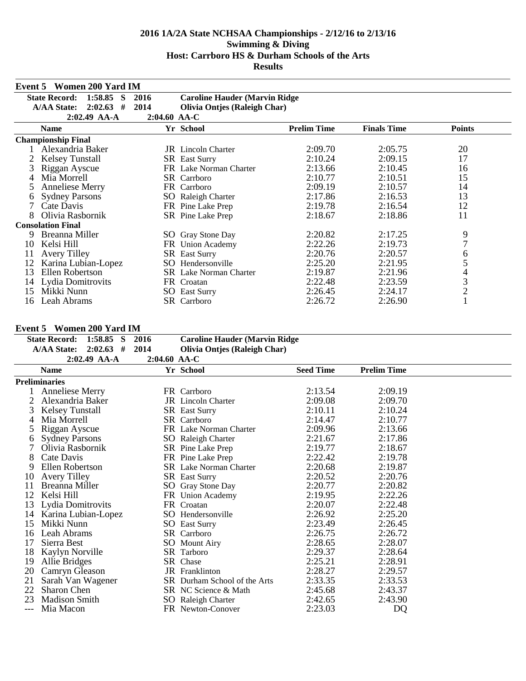|    | <b>Event 5 Women 200 Yard IM</b>    |                |                                       |                    |                    |                |  |  |  |
|----|-------------------------------------|----------------|---------------------------------------|--------------------|--------------------|----------------|--|--|--|
|    | <b>State Record:</b><br>$1:58.85$ S | 2016           | <b>Caroline Hauder (Marvin Ridge)</b> |                    |                    |                |  |  |  |
|    | <b>A/AA State:</b><br>2:02.63<br>#  | 2014           | <b>Olivia Ontjes (Raleigh Char)</b>   |                    |                    |                |  |  |  |
|    | $2:02.49$ AA-A                      | $2:04.60$ AA-C |                                       |                    |                    |                |  |  |  |
|    | <b>Name</b>                         |                | Yr School                             | <b>Prelim Time</b> | <b>Finals Time</b> | <b>Points</b>  |  |  |  |
|    | <b>Championship Final</b>           |                |                                       |                    |                    |                |  |  |  |
|    | Alexandria Baker                    |                | <b>JR</b> Lincoln Charter             | 2:09.70            | 2:05.75            | 20             |  |  |  |
|    | <b>Kelsey Tunstall</b>              |                | <b>SR</b> East Surry                  | 2:10.24            | 2:09.15            | 17             |  |  |  |
|    | Riggan Ayscue                       |                | FR Lake Norman Charter                | 2:13.66            | 2:10.45            | 16             |  |  |  |
| 4  | Mia Morrell                         |                | <b>SR</b> Carrboro                    | 2:10.77            | 2:10.51            | 15             |  |  |  |
| 5  | <b>Anneliese Merry</b>              |                | FR Carrboro                           | 2:09.19            | 2:10.57            | 14             |  |  |  |
| 6  | <b>Sydney Parsons</b>               |                | SO Raleigh Charter                    | 2:17.86            | 2:16.53            | 13             |  |  |  |
|    | Cate Davis                          |                | FR Pine Lake Prep                     | 2:19.78            | 2:16.54            | 12             |  |  |  |
| 8  | Olivia Rasbornik                    |                | SR Pine Lake Prep                     | 2:18.67            | 2:18.86            | 11             |  |  |  |
|    | <b>Consolation Final</b>            |                |                                       |                    |                    |                |  |  |  |
| 9  | Breanna Miller                      |                | SO Gray Stone Day                     | 2:20.82            | 2:17.25            | 9              |  |  |  |
| 10 | Kelsi Hill                          |                | FR Union Academy                      | 2:22.26            | 2:19.73            | 7              |  |  |  |
| 11 | <b>Avery Tilley</b>                 |                | <b>SR</b> East Surry                  | 2:20.76            | 2:20.57            | 6              |  |  |  |
| 12 | Karina Lubian-Lopez                 | SO -           | Hendersonville                        | 2:25.20            | 2:21.95            | 5              |  |  |  |
| 13 | Ellen Robertson                     |                | <b>SR</b> Lake Norman Charter         | 2:19.87            | 2:21.96            | 4              |  |  |  |
| 14 | Lydia Domitrovits                   |                | FR Croatan                            | 2:22.48            | 2:23.59            | $\mathfrak{Z}$ |  |  |  |
| 15 | Mikki Nunn                          |                | <b>SO</b> East Surry                  | 2:26.45            | 2:24.17            | $\overline{2}$ |  |  |  |
| 16 | Leah Abrams                         |                | SR Carrboro                           | 2:26.72            | 2:26.90            |                |  |  |  |

## **Event 5 Women 200 Yard IM**

| е уень э | WOMEN ZUU TAFU IM                   |              |                                       |                  |                    |  |
|----------|-------------------------------------|--------------|---------------------------------------|------------------|--------------------|--|
|          | $1:58.85$ S<br><b>State Record:</b> | 2016         | <b>Caroline Hauder (Marvin Ridge)</b> |                  |                    |  |
|          | $2:02.63$ #<br><b>A/AA State:</b>   | 2014         | <b>Olivia Ontjes (Raleigh Char)</b>   |                  |                    |  |
|          | $2:02.49$ AA-A                      | 2:04.60 AA-C |                                       |                  |                    |  |
|          | <b>Name</b>                         |              | Yr School                             | <b>Seed Time</b> | <b>Prelim Time</b> |  |
|          | Preliminaries                       |              |                                       |                  |                    |  |
|          | <b>Anneliese Merry</b>              |              | FR Carrboro                           | 2:13.54          | 2:09.19            |  |
| 2        | Alexandria Baker                    |              | <b>JR</b> Lincoln Charter             | 2:09.08          | 2:09.70            |  |
| 3        | Kelsey Tunstall                     |              | <b>SR</b> East Surry                  | 2:10.11          | 2:10.24            |  |
| 4        | Mia Morrell                         |              | <b>SR</b> Carrboro                    | 2:14.47          | 2:10.77            |  |
|          | Riggan Ayscue                       |              | FR Lake Norman Charter                | 2:09.96          | 2:13.66            |  |
| 6        | <b>Sydney Parsons</b>               |              | <b>SO</b> Raleigh Charter             | 2:21.67          | 2:17.86            |  |
|          | Olivia Rasbornik                    |              | SR Pine Lake Prep                     | 2:19.77          | 2:18.67            |  |
| 8        | Cate Davis                          |              | FR Pine Lake Prep                     | 2:22.42          | 2:19.78            |  |
| 9        | Ellen Robertson                     |              | SR Lake Norman Charter                | 2:20.68          | 2:19.87            |  |
| 10       | <b>Avery Tilley</b>                 |              | <b>SR</b> East Surry                  | 2:20.52          | 2:20.76            |  |
| 11       | Breanna Miller                      |              | SO Gray Stone Day                     | 2:20.77          | 2:20.82            |  |
| 12       | Kelsi Hill                          |              | FR Union Academy                      | 2:19.95          | 2:22.26            |  |
| 13       | Lydia Domitrovits                   |              | FR Croatan                            | 2:20.07          | 2:22.48            |  |
| 14       | Karina Lubian-Lopez                 |              | SO Hendersonville                     | 2:26.92          | 2:25.20            |  |
| 15       | Mikki Nunn                          |              | <b>SO</b> East Surry                  | 2:23.49          | 2:26.45            |  |
| 16       | Leah Abrams                         |              | SR Carrboro                           | 2:26.75          | 2:26.72            |  |
| 17       | Sierra Best                         |              | <b>SO</b> Mount Airy                  | 2:28.65          | 2:28.07            |  |
| 18       | Kaylyn Norville                     |              | SR Tarboro                            | 2:29.37          | 2:28.64            |  |
| 19       | Allie Bridges                       |              | SR Chase                              | 2:25.21          | 2:28.91            |  |
| 20       | Camryn Gleason                      |              | <b>JR</b> Franklinton                 | 2:28.27          | 2:29.57            |  |
| 21       | Sarah Van Wagener                   |              | SR Durham School of the Arts          | 2:33.35          | 2:33.53            |  |
| 22       | Sharon Chen                         |              | SR NC Science & Math                  | 2:45.68          | 2:43.37            |  |
| 23       | <b>Madison Smith</b>                |              | SO Raleigh Charter                    | 2:42.65          | 2:43.90            |  |
|          | Mia Macon                           |              | FR Newton-Conover                     | 2:23.03          | DQ                 |  |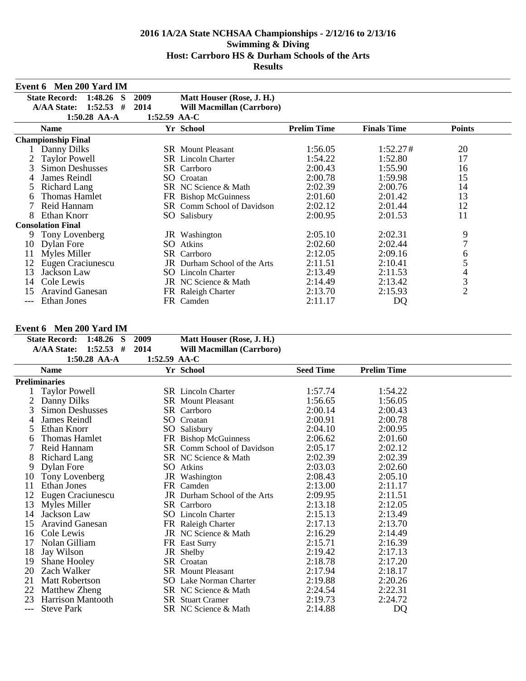|     | Event 6 Men 200 Yard IM              |                |                                   |                    |                    |               |
|-----|--------------------------------------|----------------|-----------------------------------|--------------------|--------------------|---------------|
|     | <b>State Record:</b><br>1:48.26<br>S | 2009           | Matt Houser (Rose, J. H.)         |                    |                    |               |
|     | <b>A/AA State:</b><br>1:52.53<br>#   | 2014           | Will Macmillan (Carrboro)         |                    |                    |               |
|     | $1:50.28$ AA-A                       | $1:52.59$ AA-C |                                   |                    |                    |               |
|     | <b>Name</b>                          |                | Yr School                         | <b>Prelim Time</b> | <b>Finals Time</b> | <b>Points</b> |
|     | <b>Championship Final</b>            |                |                                   |                    |                    |               |
|     | Danny Dilks                          |                | <b>SR</b> Mount Pleasant          | 1:56.05            | 1:52.27#           | 20            |
|     | <b>Taylor Powell</b>                 |                | <b>SR</b> Lincoln Charter         | 1:54.22            | 1:52.80            | 17            |
| 3   | <b>Simon Deshusses</b>               |                | <b>SR</b> Carrboro                | 2:00.43            | 1:55.90            | 16            |
| 4   | <b>James Reindl</b>                  | SO.            | Croatan                           | 2:00.78            | 1:59.98            | 15            |
| 5   | Richard Lang                         |                | SR NC Science & Math              | 2:02.39            | 2:00.76            | 14            |
| 6   | Thomas Hamlet                        |                | FR Bishop McGuinness              | 2:01.60            | 2:01.42            | 13            |
|     | Reid Hannam                          |                | <b>SR</b> Comm School of Davidson | 2:02.12            | 2:01.44            | 12            |
| 8   | Ethan Knorr                          |                | SO Salisbury                      | 2:00.95            | 2:01.53            | 11            |
|     | <b>Consolation Final</b>             |                |                                   |                    |                    |               |
| 9   | Tony Lovenberg                       |                | JR Washington                     | 2:05.10            | 2:02.31            | 9             |
| 10  | Dylan Fore                           | SO.            | Atkins                            | 2:02.60            | 2:02.44            | 7             |
| 11  | Myles Miller                         |                | SR Carrboro                       | 2:12.05            | 2:09.16            | 6             |
| 12  | Eugen Craciunescu                    | JR             | Durham School of the Arts         | 2:11.51            | 2:10.41            | 5             |
| 13  | Jackson Law                          | SO.            | Lincoln Charter                   | 2:13.49            | 2:11.53            | 4             |
| 14  | Cole Lewis                           |                | JR NC Science & Math              | 2:14.49            | 2:13.42            | $\frac{3}{2}$ |
| 15  | <b>Aravind Ganesan</b>               |                | FR Raleigh Charter                | 2:13.70            | 2:15.93            |               |
| --- | Ethan Jones                          |                | FR Camden                         | 2:11.17            | DQ                 |               |

## **Event 6 Men 200 Yard IM**

| State Record: 1:48.26 S 2009 |                |                | Matt Houser (Rose, J. H.)        |
|------------------------------|----------------|----------------|----------------------------------|
| A/AA State: 1:52.53 # 2014   |                |                | <b>Will Macmillan (Carrboro)</b> |
|                              | $1:50.28$ AA-A | 1:52.59 $AA-C$ |                                  |

|     | 1.JV.40 AA-A             | 1. <i>04.0)</i> aa'u |                                   |                  |                    |  |
|-----|--------------------------|----------------------|-----------------------------------|------------------|--------------------|--|
|     | <b>Name</b>              |                      | Yr School                         | <b>Seed Time</b> | <b>Prelim Time</b> |  |
|     | <b>Preliminaries</b>     |                      |                                   |                  |                    |  |
|     | <b>Taylor Powell</b>     |                      | <b>SR</b> Lincoln Charter         | 1:57.74          | 1:54.22            |  |
|     | Danny Dilks              |                      | <b>SR</b> Mount Pleasant          | 1:56.65          | 1:56.05            |  |
| 3   | <b>Simon Deshusses</b>   |                      | SR Carrboro                       | 2:00.14          | 2:00.43            |  |
|     | James Reindl             |                      | SO Croatan                        | 2:00.91          | 2:00.78            |  |
| 5   | Ethan Knorr              |                      | SO Salisbury                      | 2:04.10          | 2:00.95            |  |
| 6   | <b>Thomas Hamlet</b>     |                      | FR Bishop McGuinness              | 2:06.62          | 2:01.60            |  |
|     | Reid Hannam              |                      | <b>SR</b> Comm School of Davidson | 2:05.17          | 2:02.12            |  |
| 8   | Richard Lang             |                      | SR NC Science & Math              | 2:02.39          | 2:02.39            |  |
| 9   | <b>Dylan Fore</b>        |                      | SO Atkins                         | 2:03.03          | 2:02.60            |  |
| 10  | Tony Lovenberg           |                      | JR Washington                     | 2:08.43          | 2:05.10            |  |
| 11  | Ethan Jones              |                      | FR Camden                         | 2:13.00          | 2:11.17            |  |
| 12  | Eugen Craciunescu        |                      | JR Durham School of the Arts      | 2:09.95          | 2:11.51            |  |
| 13  | <b>Myles Miller</b>      |                      | SR Carrboro                       | 2:13.18          | 2:12.05            |  |
| 14  | Jackson Law              |                      | <b>SO</b> Lincoln Charter         | 2:15.13          | 2:13.49            |  |
| 15  | <b>Aravind Ganesan</b>   |                      | FR Raleigh Charter                | 2:17.13          | 2:13.70            |  |
| 16  | Cole Lewis               |                      | JR NC Science & Math              | 2:16.29          | 2:14.49            |  |
| 17  | Nolan Gilliam            |                      | FR East Surry                     | 2:15.71          | 2:16.39            |  |
| 18  | Jay Wilson               |                      | JR Shelby                         | 2:19.42          | 2:17.13            |  |
| 19  | Shane Hooley             |                      | SR Croatan                        | 2:18.78          | 2:17.20            |  |
| 20  | Zach Walker              |                      | <b>SR</b> Mount Pleasant          | 2:17.94          | 2:18.17            |  |
| 21  | <b>Matt Robertson</b>    |                      | <b>SO</b> Lake Norman Charter     | 2:19.88          | 2:20.26            |  |
| 22  | <b>Matthew Zheng</b>     |                      | SR NC Science & Math              | 2:24.54          | 2:22.31            |  |
| 23  | <b>Harrison Mantooth</b> |                      | <b>SR</b> Stuart Cramer           | 2:19.73          | 2:24.72            |  |
| --- | <b>Steve Park</b>        |                      | SR NC Science & Math              | 2:14.88          | DQ                 |  |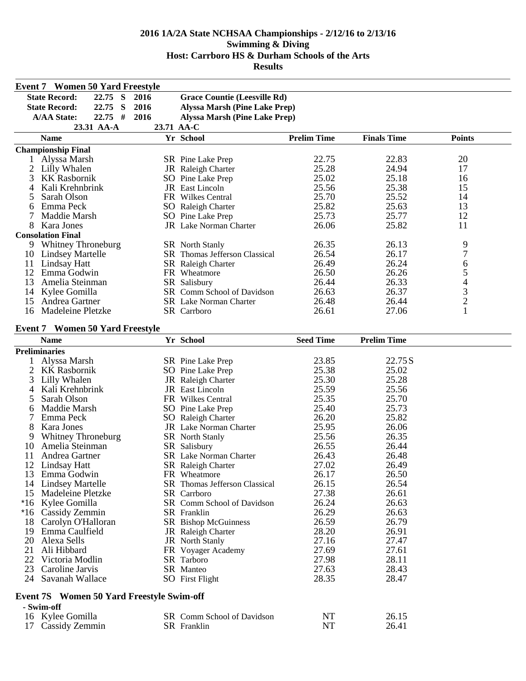|    | <b>Event 7 Women 50 Yard Freestyle</b>           |            |                                      |                    |                    |                         |
|----|--------------------------------------------------|------------|--------------------------------------|--------------------|--------------------|-------------------------|
|    | <b>State Record:</b><br>22.75 S                  | 2016       | <b>Grace Countie (Leesville Rd)</b>  |                    |                    |                         |
|    | <b>State Record:</b><br>22.75<br>- S             | 2016       | <b>Alyssa Marsh (Pine Lake Prep)</b> |                    |                    |                         |
|    | $22.75$ #<br><b>A/AA State:</b>                  | 2016       | <b>Alyssa Marsh (Pine Lake Prep)</b> |                    |                    |                         |
|    | 23.31 AA-A                                       | 23.71 AA-C |                                      |                    |                    |                         |
|    | <b>Name</b>                                      |            | Yr School                            | <b>Prelim Time</b> | <b>Finals Time</b> | <b>Points</b>           |
|    | <b>Championship Final</b>                        |            |                                      |                    |                    |                         |
|    | 1 Alyssa Marsh                                   |            | SR Pine Lake Prep                    | 22.75              | 22.83              | 20                      |
| 2  | Lilly Whalen                                     |            | JR Raleigh Charter                   | 25.28              | 24.94              | 17                      |
| 3  | <b>KK Rasbornik</b>                              |            | SO Pine Lake Prep                    | 25.02              | 25.18              | 16                      |
| 4  | Kali Krehnbrink                                  |            | JR East Lincoln                      | 25.56              | 25.38              | 15                      |
| 5  | Sarah Olson                                      |            | FR Wilkes Central                    | 25.70              | 25.52              | 14                      |
| 6  | Emma Peck                                        |            | SO Raleigh Charter                   | 25.82              | 25.63              | 13                      |
| 7  | Maddie Marsh                                     |            | SO Pine Lake Prep                    | 25.73              | 25.77              | 12                      |
| 8  | Kara Jones                                       |            | <b>JR</b> Lake Norman Charter        | 26.06              | 25.82              | 11                      |
|    | <b>Consolation Final</b>                         |            |                                      |                    |                    |                         |
|    | 9 Whitney Throneburg                             |            | <b>SR</b> North Stanly               | 26.35              | 26.13              | 9                       |
|    | 10 Lindsey Martelle                              |            | SR Thomas Jefferson Classical        | 26.54              | 26.17              | $\boldsymbol{7}$        |
| 11 | <b>Lindsay Hatt</b>                              |            | SR Raleigh Charter                   | 26.49              | 26.24              | 6                       |
| 12 | Emma Godwin                                      |            | FR Wheatmore                         | 26.50              | 26.26              | 5                       |
| 13 | Amelia Steinman                                  |            | SR Salisbury                         | 26.44              | 26.33              | $\overline{\mathbf{4}}$ |
| 14 | Kylee Gomilla                                    |            | SR Comm School of Davidson           | 26.63              | 26.37              | $\overline{3}$          |
| 15 | Andrea Gartner                                   |            | <b>SR</b> Lake Norman Charter        | 26.48              | 26.44              | $\overline{c}$          |
| 16 | Madeleine Pletzke                                |            | SR Carrboro                          | 26.61              | 27.06              | $\mathbf{1}$            |
|    |                                                  |            |                                      |                    |                    |                         |
|    | <b>Event 7 Women 50 Yard Freestyle</b>           |            |                                      |                    |                    |                         |
|    | <b>Name</b>                                      |            | Yr School                            | <b>Seed Time</b>   | <b>Prelim Time</b> |                         |
|    | <b>Preliminaries</b>                             |            |                                      |                    |                    |                         |
| 1  | Alyssa Marsh                                     |            | SR Pine Lake Prep                    | 23.85              | 22.75 S            |                         |
| 2  | <b>KK Rasbornik</b>                              |            | SO Pine Lake Prep                    | 25.38              | 25.02              |                         |
| 3  | Lilly Whalen                                     |            | JR Raleigh Charter                   | 25.30              | 25.28              |                         |
| 4  | Kali Krehnbrink                                  |            | JR East Lincoln                      | 25.59              | 25.56              |                         |
| 5  | Sarah Olson                                      |            | FR Wilkes Central                    | 25.35              | 25.70              |                         |
| 6  | Maddie Marsh                                     |            | SO Pine Lake Prep                    | 25.40              | 25.73              |                         |
| 7  | Emma Peck                                        |            | SO Raleigh Charter                   | 26.20              | 25.82              |                         |
| 8  | Kara Jones                                       |            | JR Lake Norman Charter               | 25.95              | 26.06              |                         |
| 9  | Whitney Throneburg                               |            | SR North Stanly                      | 25.56              | 26.35              |                         |
| 10 | Amelia Steinman                                  |            | SR Salisbury                         | 26.55              | 26.44              |                         |
| 11 | Andrea Gartner                                   |            | SR Lake Norman Charter               | 26.43              | 26.48              |                         |
|    | 12 Lindsay Hatt                                  |            | SR Raleigh Charter                   | 27.02              | 26.49              |                         |
|    | 13 Emma Godwin                                   |            | FR Wheatmore                         | 26.17              | 26.50              |                         |
| 14 | <b>Lindsey Martelle</b>                          |            | SR Thomas Jefferson Classical        | 26.15              | 26.54              |                         |
| 15 | Madeleine Pletzke                                |            | SR Carrboro                          | 27.38              | 26.61              |                         |
|    | *16 Kylee Gomilla                                |            | SR Comm School of Davidson           | 26.24              | 26.63              |                         |
|    | *16 Cassidy Zemmin                               |            | SR Franklin                          | 26.29              | 26.63              |                         |
| 18 | Carolyn O'Halloran                               |            | SR Bishop McGuinness                 | 26.59              | 26.79              |                         |
| 19 | Emma Caulfield                                   |            | JR Raleigh Charter                   | 28.20              | 26.91              |                         |
| 20 | Alexa Sells                                      |            | JR North Stanly                      | 27.16              | 27.47              |                         |
| 21 | Ali Hibbard                                      |            | FR Voyager Academy                   | 27.69              | 27.61              |                         |
| 22 | Victoria Modlin                                  |            | SR Tarboro                           | 27.98              | 28.11              |                         |
| 23 | Caroline Jarvis                                  |            | SR Manteo                            | 27.63              | 28.43              |                         |
|    | 24 Savanah Wallace                               |            | <b>SO</b> First Flight               | 28.35              | 28.47              |                         |
|    | <b>Event 7S</b> Women 50 Yard Freestyle Swim-off |            |                                      |                    |                    |                         |
|    | - Swim-off                                       |            |                                      |                    |                    |                         |
|    | 16 Kylee Gomilla                                 |            | SR Comm School of Davidson           | NT                 | 26.15              |                         |
|    | 17 Cassidy Zemmin                                |            | SR Franklin                          | <b>NT</b>          | 26.41              |                         |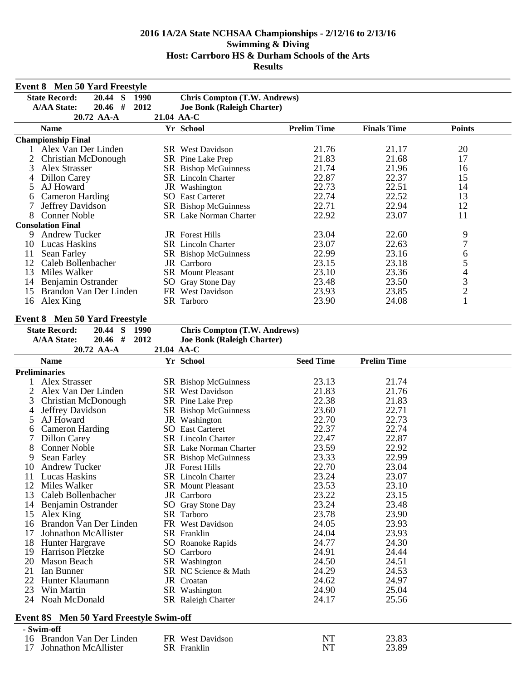| <b>Event 8 Men 50 Yard Freestyle</b> |                                                |                |                                     |                    |                    |                |  |
|--------------------------------------|------------------------------------------------|----------------|-------------------------------------|--------------------|--------------------|----------------|--|
|                                      | <b>State Record:</b><br>20.44 S                | 1990           | <b>Chris Compton (T.W. Andrews)</b> |                    |                    |                |  |
|                                      | <b>A/AA State:</b>                             | $20.46$ # 2012 | <b>Joe Bonk (Raleigh Charter)</b>   |                    |                    |                |  |
|                                      | 20.72 AA-A                                     |                | 21.04 AA-C                          |                    |                    |                |  |
|                                      | <b>Name</b>                                    |                | Yr School                           | <b>Prelim Time</b> | <b>Finals Time</b> | <b>Points</b>  |  |
|                                      | <b>Championship Final</b>                      |                |                                     |                    |                    |                |  |
|                                      | 1 Alex Van Der Linden                          |                | <b>SR</b> West Davidson             | 21.76              | 21.17              | 20             |  |
| 2                                    | Christian McDonough                            |                | SR Pine Lake Prep                   | 21.83              | 21.68              | 17             |  |
| 3                                    | Alex Strasser                                  |                | SR Bishop McGuinness                | 21.74              | 21.96              | 16             |  |
| 4                                    | <b>Dillon Carey</b>                            |                | SR Lincoln Charter                  | 22.87              | 22.37              | 15             |  |
| 5                                    | AJ Howard                                      |                | JR Washington                       | 22.73              | 22.51              | 14             |  |
| 6                                    | <b>Cameron Harding</b>                         |                | <b>SO</b> East Carteret             | 22.74              | 22.52              | 13             |  |
| 7                                    | Jeffrey Davidson                               |                | SR Bishop McGuinness                | 22.71              | 22.94              | 12             |  |
| 8                                    | <b>Conner Noble</b>                            |                | <b>SR</b> Lake Norman Charter       | 22.92              | 23.07              | 11             |  |
|                                      | <b>Consolation Final</b>                       |                |                                     |                    |                    |                |  |
| 9                                    | <b>Andrew Tucker</b>                           |                | <b>JR</b> Forest Hills              | 23.04              | 22.60              | 9              |  |
|                                      | 10 Lucas Haskins                               |                | SR Lincoln Charter                  | 23.07              | 22.63              | $\overline{7}$ |  |
| 11                                   | Sean Farley                                    |                | SR Bishop McGuinness                | 22.99              | 23.16              | 6              |  |
| 12                                   | Caleb Bollenbacher                             |                | JR Carrboro                         | 23.15              | 23.18              | $\frac{5}{4}$  |  |
| 13                                   | Miles Walker                                   |                | <b>SR</b> Mount Pleasant            | 23.10              | 23.36              |                |  |
| 14                                   | Benjamin Ostrander                             |                | SO Gray Stone Day                   | 23.48              | 23.50              | 3              |  |
| 15                                   | Brandon Van Der Linden                         |                | FR West Davidson                    | 23.93              | 23.85              | $\overline{c}$ |  |
| 16                                   | Alex King                                      |                | SR Tarboro                          | 23.90              | 24.08              | $\mathbf{1}$   |  |
|                                      |                                                |                |                                     |                    |                    |                |  |
|                                      | <b>Event 8 Men 50 Yard Freestyle</b>           |                |                                     |                    |                    |                |  |
|                                      | <b>State Record:</b><br>20.44                  | S<br>1990      | <b>Chris Compton (T.W. Andrews)</b> |                    |                    |                |  |
|                                      | <b>A/AA State:</b>                             | 20.46 # 2012   | <b>Joe Bonk (Raleigh Charter)</b>   |                    |                    |                |  |
|                                      | 20.72 AA-A                                     |                | 21.04 AA-C                          |                    |                    |                |  |
|                                      | <b>Name</b>                                    |                | Yr School                           | <b>Seed Time</b>   | <b>Prelim Time</b> |                |  |
|                                      | <b>Preliminaries</b>                           |                |                                     |                    |                    |                |  |
| 1                                    | Alex Strasser                                  |                | SR Bishop McGuinness                | 23.13              | 21.74              |                |  |
| 2                                    | Alex Van Der Linden                            |                | SR West Davidson                    | 21.83              | 21.76              |                |  |
| 3                                    | Christian McDonough                            |                | SR Pine Lake Prep                   | 22.38              | 21.83              |                |  |
| 4                                    | Jeffrey Davidson                               |                | SR Bishop McGuinness                | 23.60              | 22.71              |                |  |
| 5                                    | AJ Howard                                      |                | JR Washington                       | 22.70              | 22.73              |                |  |
| 6                                    | <b>Cameron Harding</b>                         |                | <b>SO</b> East Carteret             | 22.37              | 22.74              |                |  |
| 7                                    | Dillon Carey                                   |                | SR Lincoln Charter                  | 22.47              | 22.87              |                |  |
| 8                                    | <b>Conner Noble</b>                            |                | SR Lake Norman Charter              | 23.59              | 22.92              |                |  |
| 9                                    | Sean Farley                                    |                | SR Bishop McGuinness                | 23.33              | 22.99              |                |  |
| 10                                   | <b>Andrew Tucker</b>                           |                | JR Forest Hills                     | 22.70              | 23.04              |                |  |
| 11                                   | <b>Lucas Haskins</b>                           |                | SR Lincoln Charter                  | 23.24              | 23.07              |                |  |
| 12                                   | Miles Walker                                   |                | SR Mount Pleasant                   | 23.53              | 23.10              |                |  |
| 13                                   | Caleb Bollenbacher                             |                | JR Carrboro                         | 23.22              | 23.15              |                |  |
| 14                                   | Benjamin Ostrander                             |                | SO Gray Stone Day                   | 23.24              | 23.48              |                |  |
| 15                                   | Alex King                                      |                | SR Tarboro                          | 23.78              | 23.90              |                |  |
| 16                                   | Brandon Van Der Linden                         |                | FR West Davidson                    | 24.05              | 23.93              |                |  |
| 17                                   | Johnathon McAllister                           |                | SR Franklin                         | 24.04              | 23.93              |                |  |
| 18                                   | Hunter Hargrave                                |                | SO Roanoke Rapids                   | 24.77              | 24.30              |                |  |
| 19                                   | <b>Harrison Pletzke</b>                        |                | SO Carrboro                         | 24.91              | 24.44              |                |  |
| 20                                   | Mason Beach                                    |                | SR Washington                       | 24.50              | 24.51              |                |  |
| 21                                   | Ian Bunner                                     |                | SR NC Science & Math                | 24.29              | 24.53              |                |  |
| 22                                   | Hunter Klaumann                                |                | JR Croatan                          | 24.62              | 24.97              |                |  |
| 23                                   | Win Martin                                     |                | SR Washington                       | 24.90              | 25.04              |                |  |
| 24                                   | Noah McDonald                                  |                | SR Raleigh Charter                  | 24.17              | 25.56              |                |  |
|                                      |                                                |                |                                     |                    |                    |                |  |
|                                      | <b>Event 8S</b> Men 50 Yard Freestyle Swim-off |                |                                     |                    |                    |                |  |
|                                      | - Swim-off<br>16 Brandon Van Der Linden        |                |                                     | <b>NT</b>          | 23.83              |                |  |
| 17                                   | Johnathon McAllister                           |                | FR West Davidson<br>SR Franklin     | <b>NT</b>          | 23.89              |                |  |
|                                      |                                                |                |                                     |                    |                    |                |  |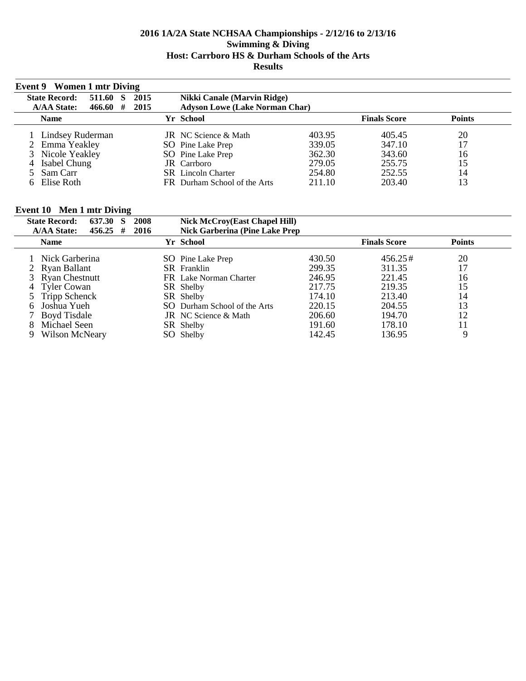| Event 9 Women 1 mtr Diving |         |     |      |                                       |        |                     |               |  |
|----------------------------|---------|-----|------|---------------------------------------|--------|---------------------|---------------|--|
| <b>State Record:</b>       | 511.60  | - S | 2015 | Nikki Canale (Marvin Ridge)           |        |                     |               |  |
| <b>A/AA State:</b>         | 466.60# |     | 2015 | <b>Adyson Lowe (Lake Norman Char)</b> |        |                     |               |  |
| <b>Name</b>                |         |     |      | Yr School                             |        | <b>Finals Score</b> | <b>Points</b> |  |
| 1 Lindsey Ruderman         |         |     |      | <b>JR</b> NC Science & Math           | 403.95 | 405.45              | 20            |  |
| 2 Emma Yeakley             |         |     |      | SO Pine Lake Prep                     | 339.05 | 347.10              | 17            |  |
| 3 Nicole Yeakley           |         |     |      | SO Pine Lake Prep                     | 362.30 | 343.60              | 16            |  |
| 4 Isabel Chung             |         |     |      | JR Carrboro                           | 279.05 | 255.75              | 15            |  |
| 5 Sam Carr                 |         |     |      | <b>SR</b> Lincoln Charter             | 254.80 | 252.55              | 14            |  |
| 6 Elise Roth               |         |     |      | FR Durham School of the Arts          | 211.10 | 203.40              | 13            |  |

## **Event 10 Men 1 mtr Diving**

| <b>State Record:</b><br>637.30   | 2008<br><b>Nick McCroy(East Chapel Hill)</b>   |        |                     |               |
|----------------------------------|------------------------------------------------|--------|---------------------|---------------|
| <b>A/AA State:</b><br>$456.25$ # | <b>Nick Garberina (Pine Lake Prep)</b><br>2016 |        |                     |               |
| <b>Name</b>                      | Yr School                                      |        | <b>Finals Score</b> | <b>Points</b> |
| 1 Nick Garberina                 | SO Pine Lake Prep                              | 430.50 | $456.25\#$          | 20            |
| 2 Ryan Ballant                   | <b>SR</b> Franklin                             | 299.35 | 311.35              | 17            |
| 3 Ryan Chestnutt                 | FR Lake Norman Charter                         | 246.95 | 221.45              | 16            |
| 4 Tyler Cowan                    | SR Shelby                                      | 217.75 | 219.35              | 15            |
| 5 Tripp Schenck                  | SR Shelby                                      | 174.10 | 213.40              | 14            |
| Joshua Yueh                      | SO Durham School of the Arts                   | 220.15 | 204.55              | 13            |
| 7 Boyd Tisdale                   | <b>JR</b> NC Science & Math                    | 206.60 | 194.70              | 12            |
| Michael Seen                     | SR Shelby                                      | 191.60 | 178.10              | 11            |
| Wilson McNeary<br>9              | SO Shelby                                      | 142.45 | 136.95              | 9             |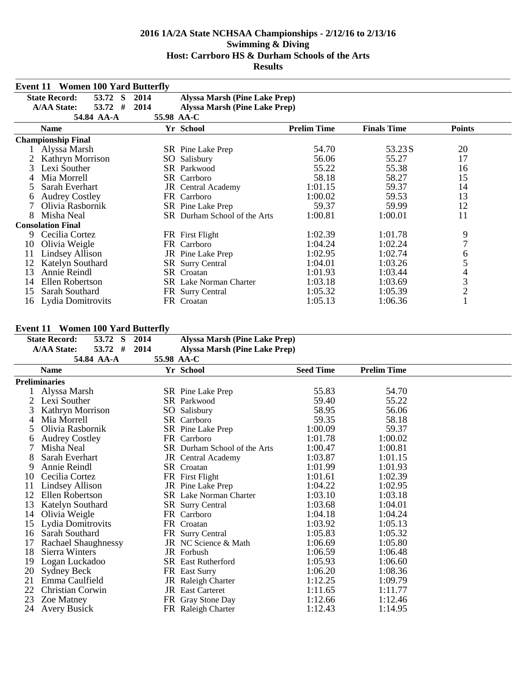|    | <b>Event 11 Women 100 Yard Butterfly</b>                                          |              |                                                                                            |                    |                    |                |  |
|----|-----------------------------------------------------------------------------------|--------------|--------------------------------------------------------------------------------------------|--------------------|--------------------|----------------|--|
|    | <b>State Record:</b><br>53.72 S<br><b>A/AA State:</b><br>53.72<br>#<br>54.84 AA-A | 2014<br>2014 | <b>Alyssa Marsh (Pine Lake Prep)</b><br><b>Alyssa Marsh (Pine Lake Prep)</b><br>55.98 AA-C |                    |                    |                |  |
|    | <b>Name</b>                                                                       |              | Yr School                                                                                  | <b>Prelim Time</b> | <b>Finals Time</b> | <b>Points</b>  |  |
|    | <b>Championship Final</b>                                                         |              |                                                                                            |                    |                    |                |  |
|    | Alyssa Marsh                                                                      |              | SR Pine Lake Prep                                                                          | 54.70              | 53.23 S            | 20             |  |
|    | Kathryn Morrison                                                                  | SO.          | Salisbury                                                                                  | 56.06              | 55.27              | 17             |  |
| 3  | Lexi Souther                                                                      |              | SR Parkwood                                                                                | 55.22              | 55.38              | 16             |  |
|    | Mia Morrell                                                                       |              | <b>SR</b> Carrboro                                                                         | 58.18              | 58.27              | 15             |  |
|    | Sarah Everhart                                                                    |              | <b>JR</b> Central Academy                                                                  | 1:01.15            | 59.37              | 14             |  |
| 6  | <b>Audrey Costley</b>                                                             |              | FR Carrboro                                                                                | 1:00.02            | 59.53              | 13             |  |
|    | Olivia Rasbornik                                                                  |              | SR Pine Lake Prep                                                                          | 59.37              | 59.99              | 12             |  |
| 8  | Misha Neal                                                                        |              | SR Durham School of the Arts                                                               | 1:00.81            | 1:00.01            | 11             |  |
|    | <b>Consolation Final</b>                                                          |              |                                                                                            |                    |                    |                |  |
| 9. | Cecilia Cortez                                                                    |              | FR First Flight                                                                            | 1:02.39            | 1:01.78            | 9              |  |
| 10 | Olivia Weigle                                                                     |              | FR Carrboro                                                                                | 1:04.24            | 1:02.24            | 7              |  |
| 11 | Lindsey Allison                                                                   |              | <b>JR</b> Pine Lake Prep                                                                   | 1:02.95            | 1:02.74            | 6              |  |
| 12 | Katelyn Southard                                                                  |              | SR Surry Central                                                                           | 1:04.01            | 1:03.26            | 5              |  |
| 13 | Annie Reindl                                                                      |              | <b>SR</b> Croatan                                                                          | 1:01.93            | 1:03.44            | 4              |  |
| 14 | Ellen Robertson                                                                   |              | <b>SR</b> Lake Norman Charter                                                              | 1:03.18            | 1:03.69            | 3              |  |
| 15 | Sarah Southard                                                                    |              | FR Surry Central                                                                           | 1:05.32            | 1:05.39            | $\overline{2}$ |  |
| 16 | Lydia Domitrovits                                                                 |              | FR Croatan                                                                                 | 1:05.13            | 1:06.36            |                |  |

### **Event 11 Women 100 Yard Butterfly**

|    | EVENT 11 TV UNEN 100 TAIM DUUCINY<br><b>State Record:</b><br>53.72 S | 2014 | <b>Alyssa Marsh (Pine Lake Prep)</b> |                  |                    |  |
|----|----------------------------------------------------------------------|------|--------------------------------------|------------------|--------------------|--|
|    | #<br><b>A/AA State:</b><br>53.72                                     | 2014 | <b>Alyssa Marsh (Pine Lake Prep)</b> |                  |                    |  |
|    | 54.84 AA-A                                                           |      | 55.98 AA-C                           |                  |                    |  |
|    | <b>Name</b>                                                          |      | Yr School                            | <b>Seed Time</b> | <b>Prelim Time</b> |  |
|    | <b>Preliminaries</b>                                                 |      |                                      |                  |                    |  |
|    | Alyssa Marsh                                                         |      | SR Pine Lake Prep                    | 55.83            | 54.70              |  |
|    | Lexi Souther                                                         |      | <b>SR</b> Parkwood                   | 59.40            | 55.22              |  |
|    | Kathryn Morrison                                                     |      | SO Salisbury                         | 58.95            | 56.06              |  |
| 4  | Mia Morrell                                                          |      | SR Carrboro                          | 59.35            | 58.18              |  |
| 5  | Olivia Rasbornik                                                     |      | SR Pine Lake Prep                    | 1:00.09          | 59.37              |  |
| 6  | <b>Audrey Costley</b>                                                |      | FR Carrboro                          | 1:01.78          | 1:00.02            |  |
|    | Misha Neal                                                           |      | SR Durham School of the Arts         | 1:00.47          | 1:00.81            |  |
| 8  | Sarah Everhart                                                       |      | JR Central Academy                   | 1:03.87          | 1:01.15            |  |
| 9  | Annie Reindl                                                         |      | SR Croatan                           | 1:01.99          | 1:01.93            |  |
| 10 | Cecilia Cortez                                                       |      | FR First Flight                      | 1:01.61          | 1:02.39            |  |
| 11 | Lindsey Allison                                                      |      | JR Pine Lake Prep                    | 1:04.22          | 1:02.95            |  |
| 12 | Ellen Robertson                                                      |      | SR Lake Norman Charter               | 1:03.10          | 1:03.18            |  |
| 13 | Katelyn Southard                                                     |      | <b>SR</b> Surry Central              | 1:03.68          | 1:04.01            |  |
| 14 | Olivia Weigle                                                        |      | FR Carrboro                          | 1:04.18          | 1:04.24            |  |
| 15 | Lydia Domitrovits                                                    |      | FR Croatan                           | 1:03.92          | 1:05.13            |  |
| 16 | Sarah Southard                                                       |      | FR Surry Central                     | 1:05.83          | 1:05.32            |  |
| 17 | Rachael Shaughnessy                                                  |      | JR NC Science & Math                 | 1:06.69          | 1:05.80            |  |
| 18 | Sierra Winters                                                       |      | JR Forbush                           | 1:06.59          | 1:06.48            |  |
| 19 | Logan Luckadoo                                                       |      | <b>SR</b> East Rutherford            | 1:05.93          | 1:06.60            |  |
| 20 | Sydney Beck                                                          |      | FR East Surry                        | 1:06.20          | 1:08.36            |  |
| 21 | Emma Caulfield                                                       |      | JR Raleigh Charter                   | 1:12.25          | 1:09.79            |  |
| 22 | Christian Corwin                                                     |      | <b>JR</b> East Carteret              | 1:11.65          | 1:11.77            |  |
| 23 | Zoe Matney                                                           |      | FR Gray Stone Day                    | 1:12.66          | 1:12.46            |  |
| 24 | <b>Avery Busick</b>                                                  |      | FR Raleigh Charter                   | 1:12.43          | 1:14.95            |  |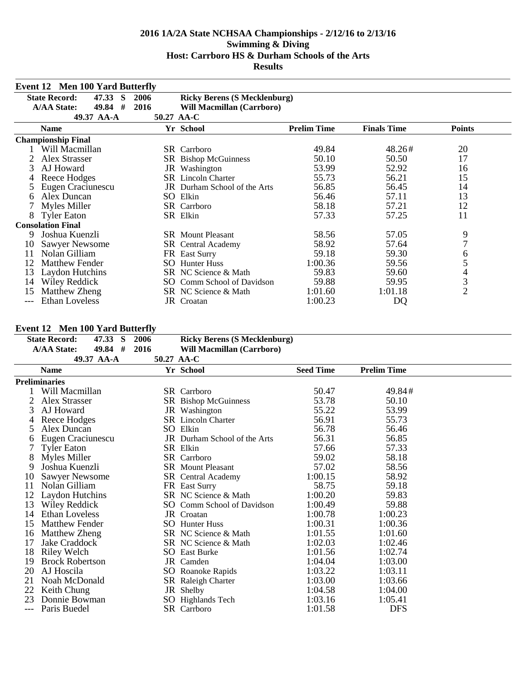|     | <b>Event 12 Men 100 Yard Butterfly</b><br><b>State Record:</b><br><b>Ricky Berens (S Mecklenburg)</b><br>47.33<br><b>2006</b><br>-S<br>2016<br><b>A/AA State:</b><br>49.84<br>#<br>Will Macmillan (Carrboro) |     |                              |                    |                    |                |  |
|-----|--------------------------------------------------------------------------------------------------------------------------------------------------------------------------------------------------------------|-----|------------------------------|--------------------|--------------------|----------------|--|
|     |                                                                                                                                                                                                              |     |                              |                    |                    |                |  |
|     |                                                                                                                                                                                                              |     |                              |                    |                    |                |  |
|     | 49.37 AA-A                                                                                                                                                                                                   |     | 50.27 AA-C                   |                    |                    |                |  |
|     | <b>Name</b>                                                                                                                                                                                                  |     | Yr School                    | <b>Prelim Time</b> | <b>Finals Time</b> | <b>Points</b>  |  |
|     | <b>Championship Final</b>                                                                                                                                                                                    |     |                              |                    |                    |                |  |
|     | Will Macmillan                                                                                                                                                                                               |     | <b>SR</b> Carrboro           | 49.84              | 48.26#             | 20             |  |
|     | Alex Strasser                                                                                                                                                                                                |     | SR Bishop McGuinness         | 50.10              | 50.50              | 17             |  |
| 3   | AJ Howard                                                                                                                                                                                                    |     | JR Washington                | 53.99              | 52.92              | 16             |  |
|     | Reece Hodges                                                                                                                                                                                                 |     | <b>SR</b> Lincoln Charter    | 55.73              | 56.21              | 15             |  |
|     | Eugen Craciunescu                                                                                                                                                                                            |     | JR Durham School of the Arts | 56.85              | 56.45              | 14             |  |
| 6   | Alex Duncan                                                                                                                                                                                                  |     | SO Elkin                     | 56.46              | 57.11              | 13             |  |
|     | Myles Miller                                                                                                                                                                                                 |     | SR Carrboro                  | 58.18              | 57.21              | 12             |  |
| 8   | <b>Tyler Eaton</b>                                                                                                                                                                                           |     | SR Elkin                     | 57.33              | 57.25              | 11             |  |
|     | <b>Consolation Final</b>                                                                                                                                                                                     |     |                              |                    |                    |                |  |
| 9   | Joshua Kuenzli                                                                                                                                                                                               |     | <b>SR</b> Mount Pleasant     | 58.56              | 57.05              | 9              |  |
| 10  | <b>Sawyer Newsome</b>                                                                                                                                                                                        |     | <b>SR</b> Central Academy    | 58.92              | 57.64              | 7              |  |
| 11  | Nolan Gilliam                                                                                                                                                                                                |     | FR East Surry                | 59.18              | 59.30              | 6              |  |
| 12  | <b>Matthew Fender</b>                                                                                                                                                                                        | SO. | <b>Hunter Huss</b>           | 1:00.36            | 59.56              | 5              |  |
| 13  | Laydon Hutchins                                                                                                                                                                                              |     | SR NC Science & Math         | 59.83              | 59.60              | 4              |  |
| 14  | Wiley Reddick                                                                                                                                                                                                |     | SO Comm School of Davidson   | 59.88              | 59.95              | $\mathfrak{Z}$ |  |
| 15  | Matthew Zheng                                                                                                                                                                                                |     | SR NC Science & Math         | 1:01.60            | 1:01.18            | $\overline{2}$ |  |
| --- | <b>Ethan Loveless</b>                                                                                                                                                                                        |     | JR Croatan                   | 1:00.23            | DQ                 |                |  |

### **Event 12 Men 100 Yard Butterfly**

|    | 1.10111001101010111<br><b>State Record:</b> | 47.33 S | 2006      |            | <b>Ricky Berens (S Mecklenburg)</b> |                  |                    |  |
|----|---------------------------------------------|---------|-----------|------------|-------------------------------------|------------------|--------------------|--|
|    | <b>A/AA State:</b>                          | 49.84   | #<br>2016 |            | Will Macmillan (Carrboro)           |                  |                    |  |
|    | 49.37 AA-A                                  |         |           | 50.27 AA-C |                                     |                  |                    |  |
|    | <b>Name</b>                                 |         |           |            | Yr School                           | <b>Seed Time</b> | <b>Prelim Time</b> |  |
|    | <b>Preliminaries</b>                        |         |           |            |                                     |                  |                    |  |
|    | Will Macmillan                              |         |           |            | SR Carrboro                         | 50.47            | 49.84#             |  |
|    | Alex Strasser                               |         |           |            | SR Bishop McGuinness                | 53.78            | 50.10              |  |
| 3  | AJ Howard                                   |         |           |            | JR Washington                       | 55.22            | 53.99              |  |
|    | Reece Hodges                                |         |           |            | <b>SR</b> Lincoln Charter           | 56.91            | 55.73              |  |
| 5  | Alex Duncan                                 |         |           |            | SO Elkin                            | 56.78            | 56.46              |  |
| 6  | Eugen Craciunescu                           |         |           |            | JR Durham School of the Arts        | 56.31            | 56.85              |  |
| 7  | <b>Tyler Eaton</b>                          |         |           |            | SR Elkin                            | 57.66            | 57.33              |  |
| 8  | Myles Miller                                |         |           |            | SR Carrboro                         | 59.02            | 58.18              |  |
| 9  | Joshua Kuenzli                              |         |           |            | <b>SR</b> Mount Pleasant            | 57.02            | 58.56              |  |
| 10 | Sawyer Newsome                              |         |           |            | SR Central Academy                  | 1:00.15          | 58.92              |  |
| 11 | Nolan Gilliam                               |         |           |            | FR East Surry                       | 58.75            | 59.18              |  |
| 12 | Laydon Hutchins                             |         |           |            | SR NC Science & Math                | 1:00.20          | 59.83              |  |
| 13 | Wiley Reddick                               |         |           |            | SO Comm School of Davidson          | 1:00.49          | 59.88              |  |
| 14 | Ethan Loveless                              |         |           |            | JR Croatan                          | 1:00.78          | 1:00.23            |  |
| 15 | <b>Matthew Fender</b>                       |         |           |            | <b>SO</b> Hunter Huss               | 1:00.31          | 1:00.36            |  |
| 16 | Matthew Zheng                               |         |           |            | SR NC Science & Math                | 1:01.55          | 1:01.60            |  |
| 17 | Jake Craddock                               |         |           |            | SR NC Science & Math                | 1:02.03          | 1:02.46            |  |
| 18 | Riley Welch                                 |         |           |            | <b>SO</b> East Burke                | 1:01.56          | 1:02.74            |  |
| 19 | <b>Brock Robertson</b>                      |         |           |            | JR Camden                           | 1:04.04          | 1:03.00            |  |
| 20 | AJ Hoscila                                  |         |           |            | SO Roanoke Rapids                   | 1:03.22          | 1:03.11            |  |
| 21 | Noah McDonald                               |         |           |            | SR Raleigh Charter                  | 1:03.00          | 1:03.66            |  |
| 22 | Keith Chung                                 |         |           |            | JR Shelby                           | 1:04.58          | 1:04.00            |  |
| 23 | Donnie Bowman                               |         |           |            | SO Highlands Tech                   | 1:03.16          | 1:05.41            |  |
|    | Paris Buedel                                |         |           |            | SR Carrboro                         | 1:01.58          | <b>DFS</b>         |  |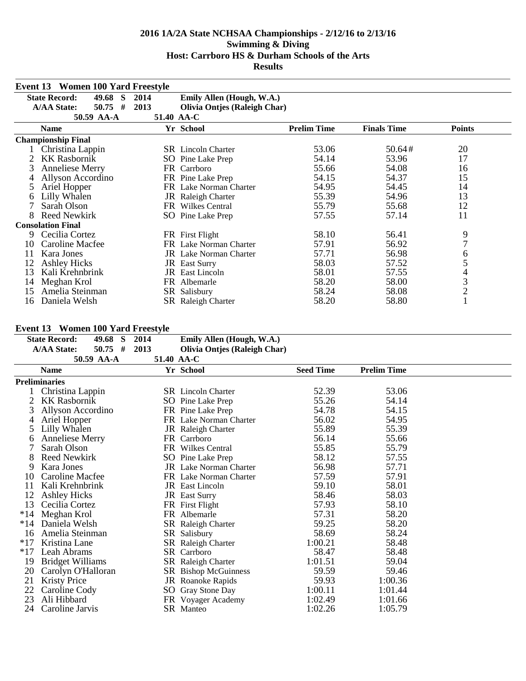| Event 13 | <b>Women 100 Yard Freestyle</b>  |            |                                     |                    |                    |                |  |
|----------|----------------------------------|------------|-------------------------------------|--------------------|--------------------|----------------|--|
|          | <b>State Record:</b><br>49.68 S  | 2014       | Emily Allen (Hough, W.A.)           |                    |                    |                |  |
|          | #<br><b>A/AA State:</b><br>50.75 | 2013       | <b>Olivia Ontjes (Raleigh Char)</b> |                    |                    |                |  |
|          | 50.59 AA-A                       | 51.40 AA-C |                                     |                    |                    |                |  |
|          | <b>Name</b>                      |            | Yr School                           | <b>Prelim Time</b> | <b>Finals Time</b> | <b>Points</b>  |  |
|          | <b>Championship Final</b>        |            |                                     |                    |                    |                |  |
|          | Christina Lappin                 |            | <b>SR</b> Lincoln Charter           | 53.06              | 50.64#             | 20             |  |
|          | <b>KK Rasbornik</b>              |            | <b>SO</b> Pine Lake Prep            | 54.14              | 53.96              | 17             |  |
| 3        | <b>Anneliese Merry</b>           |            | FR Carrboro                         | 55.66              | 54.08              | 16             |  |
|          | Allyson Accordino                |            | FR Pine Lake Prep                   | 54.15              | 54.37              | 15             |  |
| 5        | Ariel Hopper                     |            | FR Lake Norman Charter              | 54.95              | 54.45              | 14             |  |
| 6        | Lilly Whalen                     |            | JR Raleigh Charter                  | 55.39              | 54.96              | 13             |  |
|          | Sarah Olson                      |            | FR Wilkes Central                   | 55.79              | 55.68              | 12             |  |
| 8        | <b>Reed Newkirk</b>              |            | SO Pine Lake Prep                   | 57.55              | 57.14              | 11             |  |
|          | <b>Consolation Final</b>         |            |                                     |                    |                    |                |  |
| 9        | Cecilia Cortez                   |            | FR First Flight                     | 58.10              | 56.41              | 9              |  |
| 10       | Caroline Macfee                  |            | FR Lake Norman Charter              | 57.91              | 56.92              | 7              |  |
| 11       | Kara Jones                       |            | <b>JR</b> Lake Norman Charter       | 57.71              | 56.98              | 6              |  |
| 12       | <b>Ashley Hicks</b>              |            | <b>JR</b> East Surry                | 58.03              | 57.52              | 5              |  |
| 13       | Kali Krehnbrink                  |            | <b>JR</b> East Lincoln              | 58.01              | 57.55              | 4              |  |
| 14       | Meghan Krol                      |            | FR Albemarle                        | 58.20              | 58.00              | 3              |  |
| 15       | Amelia Steinman                  | SR.        | Salisbury                           | 58.24              | 58.08              | $\overline{2}$ |  |
| 16       | Daniela Welsh                    |            | <b>SR</b> Raleigh Charter           | 58.20              | 58.80              |                |  |

# **Event 13 Women 100 Yard Freestyle**

|       | Event 13 Women 100 Yard Freestyle |      |                                     |                  |                    |  |
|-------|-----------------------------------|------|-------------------------------------|------------------|--------------------|--|
|       | <b>State Record:</b><br>49.68 S   | 2014 | Emily Allen (Hough, W.A.)           |                  |                    |  |
|       | <b>A/AA State:</b><br>#<br>50.75  | 2013 | <b>Olivia Ontjes (Raleigh Char)</b> |                  |                    |  |
|       | 50.59 AA-A                        |      | 51.40 AA-C                          |                  |                    |  |
|       | <b>Name</b>                       |      | Yr School                           | <b>Seed Time</b> | <b>Prelim Time</b> |  |
|       | <b>Preliminaries</b>              |      |                                     |                  |                    |  |
|       | Christina Lappin                  |      | <b>SR</b> Lincoln Charter           | 52.39            | 53.06              |  |
|       | <b>KK Rasbornik</b>               |      | SO Pine Lake Prep                   | 55.26            | 54.14              |  |
| 3     | Allyson Accordino                 |      | FR Pine Lake Prep                   | 54.78            | 54.15              |  |
| 4     | Ariel Hopper                      |      | FR Lake Norman Charter              | 56.02            | 54.95              |  |
| 5     | Lilly Whalen                      |      | JR Raleigh Charter                  | 55.89            | 55.39              |  |
| 6     | <b>Anneliese Merry</b>            |      | FR Carrboro                         | 56.14            | 55.66              |  |
|       | Sarah Olson                       |      | FR Wilkes Central                   | 55.85            | 55.79              |  |
| 8     | <b>Reed Newkirk</b>               |      | SO Pine Lake Prep                   | 58.12            | 57.55              |  |
| 9     | Kara Jones                        |      | <b>JR</b> Lake Norman Charter       | 56.98            | 57.71              |  |
| 10    | Caroline Macfee                   |      | FR Lake Norman Charter              | 57.59            | 57.91              |  |
| 11    | Kali Krehnbrink                   |      | <b>JR</b> East Lincoln              | 59.10            | 58.01              |  |
| 12    | <b>Ashley Hicks</b>               |      | JR East Surry                       | 58.46            | 58.03              |  |
| 13    | Cecilia Cortez                    |      | FR First Flight                     | 57.93            | 58.10              |  |
| $*14$ | Meghan Krol                       |      | FR Albemarle                        | 57.31            | 58.20              |  |
| $*14$ | Daniela Welsh                     |      | <b>SR</b> Raleigh Charter           | 59.25            | 58.20              |  |
| 16    | Amelia Steinman                   |      | SR Salisbury                        | 58.69            | 58.24              |  |
| $*17$ | Kristina Lane                     |      | SR Raleigh Charter                  | 1:00.21          | 58.48              |  |
| $*17$ | Leah Abrams                       |      | SR Carrboro                         | 58.47            | 58.48              |  |
| 19    | <b>Bridget Williams</b>           |      | SR Raleigh Charter                  | 1:01.51          | 59.04              |  |
| 20    | Carolyn O'Halloran                |      | SR Bishop McGuinness                | 59.59            | 59.46              |  |
| 21    | <b>Kristy Price</b>               |      | JR Roanoke Rapids                   | 59.93            | 1:00.36            |  |
| 22    | Caroline Cody                     |      | SO Gray Stone Day                   | 1:00.11          | 1:01.44            |  |
| 23    | Ali Hibbard                       |      | FR Voyager Academy                  | 1:02.49          | 1:01.66            |  |
| 24    | Caroline Jarvis                   |      | SR Manteo                           | 1:02.26          | 1:05.79            |  |
|       |                                   |      |                                     |                  |                    |  |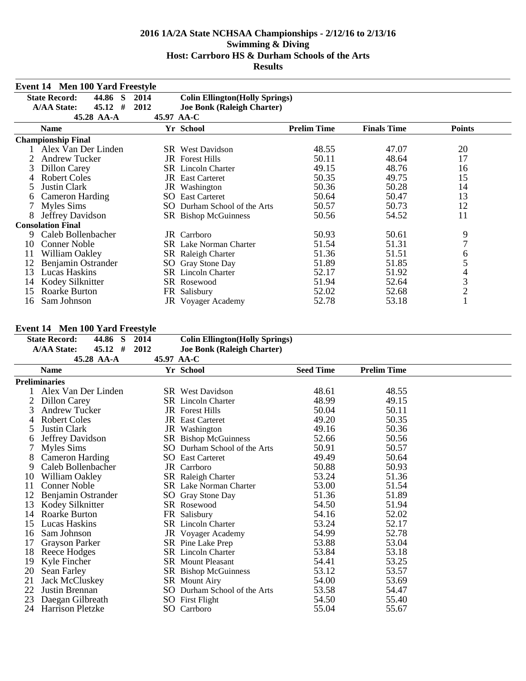|    | <b>Event 14 Men 100 Yard Freestyle</b>                                               |      |                                   |                    |                    |                |  |
|----|--------------------------------------------------------------------------------------|------|-----------------------------------|--------------------|--------------------|----------------|--|
|    | <b>State Record:</b><br>44.86<br><b>Colin Ellington</b> (Holly Springs)<br>S<br>2014 |      |                                   |                    |                    |                |  |
|    | <b>A/AA State:</b><br>45.12<br>#                                                     | 2012 | <b>Joe Bonk (Raleigh Charter)</b> |                    |                    |                |  |
|    | 45.28 AA-A                                                                           |      | 45.97 AA-C                        |                    |                    |                |  |
|    | <b>Name</b>                                                                          |      | Yr School                         | <b>Prelim Time</b> | <b>Finals Time</b> | <b>Points</b>  |  |
|    | <b>Championship Final</b>                                                            |      |                                   |                    |                    |                |  |
|    | Alex Van Der Linden                                                                  |      | <b>SR</b> West Davidson           | 48.55              | 47.07              | 20             |  |
|    | <b>Andrew Tucker</b>                                                                 |      | <b>JR</b> Forest Hills            | 50.11              | 48.64              | 17             |  |
| 3  | Dillon Carey                                                                         |      | <b>SR</b> Lincoln Charter         | 49.15              | 48.76              | 16             |  |
| 4  | <b>Robert Coles</b>                                                                  |      | <b>JR</b> East Carteret           | 50.35              | 49.75              | 15             |  |
| 5  | Justin Clark                                                                         | JR   | Washington                        | 50.36              | 50.28              | 14             |  |
| 6  | <b>Cameron Harding</b>                                                               | SO.  | <b>East Carteret</b>              | 50.64              | 50.47              | 13             |  |
|    | Myles Sims                                                                           | SO.  | Durham School of the Arts         | 50.57              | 50.73              | 12             |  |
| 8  | Jeffrey Davidson                                                                     |      | SR Bishop McGuinness              | 50.56              | 54.52              | 11             |  |
|    | <b>Consolation Final</b>                                                             |      |                                   |                    |                    |                |  |
| 9  | Caleb Bollenbacher                                                                   |      | JR Carrboro                       | 50.93              | 50.61              | 9              |  |
| 10 | <b>Conner Noble</b>                                                                  |      | <b>SR</b> Lake Norman Charter     | 51.54              | 51.31              | 7              |  |
| 11 | William Oakley                                                                       |      | <b>SR</b> Raleigh Charter         | 51.36              | 51.51              | 6              |  |
| 12 | Benjamin Ostrander                                                                   |      | SO Gray Stone Day                 | 51.89              | 51.85              | 5              |  |
| 13 | <b>Lucas Haskins</b>                                                                 |      | <b>SR</b> Lincoln Charter         | 52.17              | 51.92              | 4              |  |
| 14 | Kodey Silknitter                                                                     |      | SR Rosewood                       | 51.94              | 52.64              | 3              |  |
| 15 | Roarke Burton                                                                        | FR   | Salisbury                         | 52.02              | 52.68              | $\overline{c}$ |  |
| 16 | Sam Johnson                                                                          |      | JR Voyager Academy                | 52.78              | 53.18              |                |  |

### **Event 14 Men 100 Yard Freestyle**

| <b>State Record:</b><br>44.86 S | 2014                                                                                                                                           |                                   |                                                                                                                                                                                                                                                                                                                                                                                                                                                                                                                                                                                                               |                                                                                                                                  |                                                                                                                       |
|---------------------------------|------------------------------------------------------------------------------------------------------------------------------------------------|-----------------------------------|---------------------------------------------------------------------------------------------------------------------------------------------------------------------------------------------------------------------------------------------------------------------------------------------------------------------------------------------------------------------------------------------------------------------------------------------------------------------------------------------------------------------------------------------------------------------------------------------------------------|----------------------------------------------------------------------------------------------------------------------------------|-----------------------------------------------------------------------------------------------------------------------|
| <b>A/AA State:</b><br>$45.12$ # | 2012                                                                                                                                           | <b>Joe Bonk (Raleigh Charter)</b> |                                                                                                                                                                                                                                                                                                                                                                                                                                                                                                                                                                                                               |                                                                                                                                  |                                                                                                                       |
| 45.28 AA-A                      |                                                                                                                                                |                                   |                                                                                                                                                                                                                                                                                                                                                                                                                                                                                                                                                                                                               |                                                                                                                                  |                                                                                                                       |
| <b>Name</b>                     |                                                                                                                                                |                                   | <b>Seed Time</b>                                                                                                                                                                                                                                                                                                                                                                                                                                                                                                                                                                                              | <b>Prelim Time</b>                                                                                                               |                                                                                                                       |
| <b>Preliminaries</b>            |                                                                                                                                                |                                   |                                                                                                                                                                                                                                                                                                                                                                                                                                                                                                                                                                                                               |                                                                                                                                  |                                                                                                                       |
| Alex Van Der Linden             |                                                                                                                                                |                                   | 48.61                                                                                                                                                                                                                                                                                                                                                                                                                                                                                                                                                                                                         | 48.55                                                                                                                            |                                                                                                                       |
| Dillon Carey                    |                                                                                                                                                |                                   | 48.99                                                                                                                                                                                                                                                                                                                                                                                                                                                                                                                                                                                                         | 49.15                                                                                                                            |                                                                                                                       |
| <b>Andrew Tucker</b>            |                                                                                                                                                |                                   | 50.04                                                                                                                                                                                                                                                                                                                                                                                                                                                                                                                                                                                                         | 50.11                                                                                                                            |                                                                                                                       |
| <b>Robert Coles</b>             |                                                                                                                                                |                                   | 49.20                                                                                                                                                                                                                                                                                                                                                                                                                                                                                                                                                                                                         | 50.35                                                                                                                            |                                                                                                                       |
|                                 |                                                                                                                                                |                                   | 49.16                                                                                                                                                                                                                                                                                                                                                                                                                                                                                                                                                                                                         | 50.36                                                                                                                            |                                                                                                                       |
| Jeffrey Davidson                |                                                                                                                                                |                                   | 52.66                                                                                                                                                                                                                                                                                                                                                                                                                                                                                                                                                                                                         | 50.56                                                                                                                            |                                                                                                                       |
| Myles Sims                      |                                                                                                                                                |                                   |                                                                                                                                                                                                                                                                                                                                                                                                                                                                                                                                                                                                               | 50.57                                                                                                                            |                                                                                                                       |
| <b>Cameron Harding</b>          |                                                                                                                                                |                                   | 49.49                                                                                                                                                                                                                                                                                                                                                                                                                                                                                                                                                                                                         | 50.64                                                                                                                            |                                                                                                                       |
| Caleb Bollenbacher              |                                                                                                                                                |                                   | 50.88                                                                                                                                                                                                                                                                                                                                                                                                                                                                                                                                                                                                         | 50.93                                                                                                                            |                                                                                                                       |
| William Oakley                  |                                                                                                                                                |                                   | 53.24                                                                                                                                                                                                                                                                                                                                                                                                                                                                                                                                                                                                         | 51.36                                                                                                                            |                                                                                                                       |
| <b>Conner Noble</b>             |                                                                                                                                                |                                   |                                                                                                                                                                                                                                                                                                                                                                                                                                                                                                                                                                                                               |                                                                                                                                  |                                                                                                                       |
| Benjamin Ostrander              |                                                                                                                                                |                                   | 51.36                                                                                                                                                                                                                                                                                                                                                                                                                                                                                                                                                                                                         | 51.89                                                                                                                            |                                                                                                                       |
|                                 |                                                                                                                                                |                                   |                                                                                                                                                                                                                                                                                                                                                                                                                                                                                                                                                                                                               |                                                                                                                                  |                                                                                                                       |
| Roarke Burton                   |                                                                                                                                                |                                   | 54.16                                                                                                                                                                                                                                                                                                                                                                                                                                                                                                                                                                                                         |                                                                                                                                  |                                                                                                                       |
| Lucas Haskins                   |                                                                                                                                                |                                   | 53.24                                                                                                                                                                                                                                                                                                                                                                                                                                                                                                                                                                                                         | 52.17                                                                                                                            |                                                                                                                       |
| Sam Johnson                     |                                                                                                                                                |                                   |                                                                                                                                                                                                                                                                                                                                                                                                                                                                                                                                                                                                               |                                                                                                                                  |                                                                                                                       |
|                                 |                                                                                                                                                |                                   |                                                                                                                                                                                                                                                                                                                                                                                                                                                                                                                                                                                                               |                                                                                                                                  |                                                                                                                       |
|                                 |                                                                                                                                                |                                   |                                                                                                                                                                                                                                                                                                                                                                                                                                                                                                                                                                                                               |                                                                                                                                  |                                                                                                                       |
|                                 |                                                                                                                                                |                                   | 54.41                                                                                                                                                                                                                                                                                                                                                                                                                                                                                                                                                                                                         |                                                                                                                                  |                                                                                                                       |
|                                 |                                                                                                                                                |                                   |                                                                                                                                                                                                                                                                                                                                                                                                                                                                                                                                                                                                               |                                                                                                                                  |                                                                                                                       |
|                                 |                                                                                                                                                |                                   |                                                                                                                                                                                                                                                                                                                                                                                                                                                                                                                                                                                                               |                                                                                                                                  |                                                                                                                       |
| Justin Brennan                  |                                                                                                                                                |                                   |                                                                                                                                                                                                                                                                                                                                                                                                                                                                                                                                                                                                               | 54.47                                                                                                                            |                                                                                                                       |
|                                 |                                                                                                                                                |                                   |                                                                                                                                                                                                                                                                                                                                                                                                                                                                                                                                                                                                               | 55.40                                                                                                                            |                                                                                                                       |
| <b>Harrison Pletzke</b>         | SO.                                                                                                                                            | Carrboro                          | 55.04                                                                                                                                                                                                                                                                                                                                                                                                                                                                                                                                                                                                         | 55.67                                                                                                                            |                                                                                                                       |
|                                 | <b>Justin Clark</b><br>Kodey Silknitter<br>Grayson Parker<br>Reece Hodges<br>Kyle Fincher<br>Sean Farley<br>Jack McCluskey<br>Daegan Gilbreath |                                   | 45.97 AA-C<br>Yr School<br><b>SR</b> West Davidson<br><b>SR</b> Lincoln Charter<br><b>JR</b> Forest Hills<br><b>JR</b> East Carteret<br>JR Washington<br>SR Bishop McGuinness<br>SO Durham School of the Arts<br><b>SO</b> East Carteret<br>JR Carrboro<br>SR Raleigh Charter<br><b>SR</b> Lake Norman Charter<br>SO Gray Stone Day<br>SR Rosewood<br>FR Salisbury<br><b>SR</b> Lincoln Charter<br><b>JR</b> Voyager Academy<br>SR Pine Lake Prep<br><b>SR</b> Lincoln Charter<br><b>SR</b> Mount Pleasant<br>SR Bishop McGuinness<br>SR Mount Airy<br>SO Durham School of the Arts<br><b>SO</b> First Flight | <b>Colin Ellington</b> (Holly Springs)<br>50.91<br>53.00<br>54.50<br>54.99<br>53.88<br>53.84<br>53.12<br>54.00<br>53.58<br>54.50 | $E$ vent $I +$ vien two raturiestyle<br>51.54<br>51.94<br>52.02<br>52.78<br>53.04<br>53.18<br>53.25<br>53.57<br>53.69 |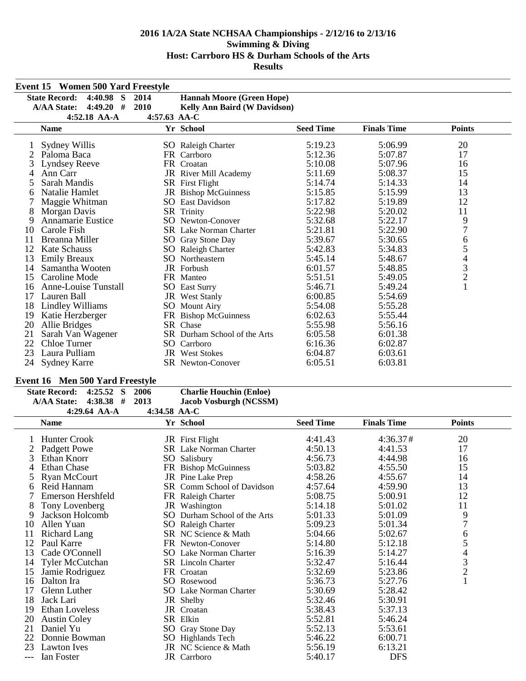|    | <b>Event 15 Women 500 Yard Freestyle</b> |      |                                     |                  |                    |                |  |
|----|------------------------------------------|------|-------------------------------------|------------------|--------------------|----------------|--|
|    | <b>State Record:</b><br>$4:40.98$ S      | 2014 | <b>Hannah Moore (Green Hope)</b>    |                  |                    |                |  |
|    | #<br><b>A/AA State:</b><br>4:49.20       | 2010 | <b>Kelly Ann Baird (W Davidson)</b> |                  |                    |                |  |
|    | $4:52.18$ AA-A<br>$4:57.63$ AA-C         |      |                                     |                  |                    |                |  |
|    | <b>Name</b>                              |      | Yr School                           | <b>Seed Time</b> | <b>Finals Time</b> | <b>Points</b>  |  |
|    | Sydney Willis                            |      | SO Raleigh Charter                  | 5:19.23          | 5:06.99            | 20             |  |
|    | Paloma Baca                              |      | FR Carrboro                         | 5:12.36          | 5:07.87            | 17             |  |
| 3  | Lyndsey Reeve                            |      | FR Croatan                          | 5:10.08          | 5:07.96            | 16             |  |
| 4  | Ann Carr                                 |      | JR River Mill Academy               | 5:11.69          | 5:08.37            | 15             |  |
| 5  | Sarah Mandis                             |      | SR First Flight                     | 5:14.74          | 5:14.33            | 14             |  |
| 6  | Natalie Hamlet                           |      | JR Bishop McGuinness                | 5:15.85          | 5:15.99            | 13             |  |
|    | Maggie Whitman                           |      | <b>SO</b> East Davidson             | 5:17.82          | 5:19.89            | 12             |  |
| 8  | Morgan Davis                             |      | SR Trinity                          | 5:22.98          | 5:20.02            | 11             |  |
| 9  | <b>Annamarie Eustice</b>                 |      | SO Newton-Conover                   | 5:32.68          | 5:22.17            | 9              |  |
| 10 | Carole Fish                              |      | <b>SR</b> Lake Norman Charter       | 5:21.81          | 5:22.90            | $\overline{7}$ |  |
|    | Breanna Miller                           |      | SO Gray Stone Day                   | 5:39.67          | 5:30.65            | 6              |  |
| 12 | <b>Kate Schauss</b>                      |      | SO Raleigh Charter                  | 5:42.83          | 5:34.83            | 5              |  |
| 13 | <b>Emily Breaux</b>                      |      | <b>SO</b> Northeastern              | 5:45.14          | 5:48.67            |                |  |
| 14 | Samantha Wooten                          |      | <b>JR</b> Forbush                   | 6:01.57          | 5:48.85            | $rac{4}{3}$    |  |
| 15 | Caroline Mode                            |      | FR Manteo                           | 5:51.51          | 5:49.05            | $\overline{c}$ |  |
| 16 | Anne-Louise Tunstall                     |      | <b>SO</b> East Surry                | 5:46.71          | 5:49.24            | $\mathbf{1}$   |  |
| 17 | Lauren Ball                              |      | <b>JR</b> West Stanly               | 6:00.85          | 5:54.69            |                |  |
| 18 | Lindley Williams                         |      | <b>SO</b> Mount Airy                | 5:54.08          | 5:55.28            |                |  |
| 19 | Katie Herzberger                         |      | FR Bishop McGuinness                | 6:02.63          | 5:55.44            |                |  |
| 20 | Allie Bridges                            |      | SR Chase                            | 5:55.98          | 5:56.16            |                |  |
| 21 | Sarah Van Wagener                        |      | SR Durham School of the Arts        | 6:05.58          | 6:01.38            |                |  |
| 22 | Chloe Turner                             |      | SO Carrboro                         | 6:16.36          | 6:02.87            |                |  |
| 23 | Laura Pulliam                            |      | <b>JR</b> West Stokes               | 6:04.87          | 6:03.61            |                |  |
| 24 | <b>Sydney Karre</b>                      |      | <b>SR</b> Newton-Conover            | 6:05.51          | 6:03.81            |                |  |

## **Event 16 Men 500 Yard Freestyle**

| State Record: 4:25.52 S |                | -2006          | <b>Charlie Houchin (Enloe)</b> |
|-------------------------|----------------|----------------|--------------------------------|
| A/AA State: 4:38.38 #   |                | 2013           | Jacob Vosburgh (NCSSM)         |
|                         | 4:29.64 $AA-A$ | 4:34.58 $AA-C$ |                                |

| 4:49.04 AA-A           |              |                                                                                                                                                                                                                                                                                                                                                                                                                                                                                                                                                              |                    |               |                                                              |
|------------------------|--------------|--------------------------------------------------------------------------------------------------------------------------------------------------------------------------------------------------------------------------------------------------------------------------------------------------------------------------------------------------------------------------------------------------------------------------------------------------------------------------------------------------------------------------------------------------------------|--------------------|---------------|--------------------------------------------------------------|
| <b>Name</b>            |              | <b>Seed Time</b>                                                                                                                                                                                                                                                                                                                                                                                                                                                                                                                                             | <b>Finals Time</b> | <b>Points</b> |                                                              |
| <b>Hunter Crook</b>    |              |                                                                                                                                                                                                                                                                                                                                                                                                                                                                                                                                                              |                    |               |                                                              |
|                        |              | 4:50.13                                                                                                                                                                                                                                                                                                                                                                                                                                                                                                                                                      | 4:41.53            | 17            |                                                              |
| Ethan Knorr            | SO.          | 4:56.73                                                                                                                                                                                                                                                                                                                                                                                                                                                                                                                                                      | 4:44.98            | 16            |                                                              |
| <b>Ethan Chase</b>     |              | 5:03.82                                                                                                                                                                                                                                                                                                                                                                                                                                                                                                                                                      | 4:55.50            | 15            |                                                              |
| Ryan McCourt           |              | 4:58.26                                                                                                                                                                                                                                                                                                                                                                                                                                                                                                                                                      | 4:55.67            | 14            |                                                              |
| Reid Hannam            |              | 4:57.64                                                                                                                                                                                                                                                                                                                                                                                                                                                                                                                                                      | 4:59.90            | 13            |                                                              |
| Emerson Hershfeld      |              | 5:08.75                                                                                                                                                                                                                                                                                                                                                                                                                                                                                                                                                      | 5:00.91            | 12            |                                                              |
| Tony Lovenberg         |              | 5:14.18                                                                                                                                                                                                                                                                                                                                                                                                                                                                                                                                                      | 5:01.02            | 11            |                                                              |
| Jackson Holcomb        |              | 5:01.33                                                                                                                                                                                                                                                                                                                                                                                                                                                                                                                                                      | 5:01.09            | 9             |                                                              |
| Allen Yuan             |              | 5:09.23                                                                                                                                                                                                                                                                                                                                                                                                                                                                                                                                                      | 5:01.34            |               |                                                              |
| Richard Lang           |              | 5:04.66                                                                                                                                                                                                                                                                                                                                                                                                                                                                                                                                                      | 5:02.67            | 6             |                                                              |
| Paul Karre             |              | 5:14.80                                                                                                                                                                                                                                                                                                                                                                                                                                                                                                                                                      | 5:12.18            |               |                                                              |
| Cade O'Connell         |              | 5:16.39                                                                                                                                                                                                                                                                                                                                                                                                                                                                                                                                                      | 5:14.27            |               |                                                              |
| <b>Tyler McCutchan</b> |              | 5:32.47                                                                                                                                                                                                                                                                                                                                                                                                                                                                                                                                                      | 5:16.44            |               |                                                              |
| Jamie Rodriguez        |              | 5:32.69                                                                                                                                                                                                                                                                                                                                                                                                                                                                                                                                                      | 5:23.86            |               |                                                              |
| Dalton Ira             |              | 5:36.73                                                                                                                                                                                                                                                                                                                                                                                                                                                                                                                                                      | 5:27.76            |               |                                                              |
| Glenn Luther           |              | 5:30.69                                                                                                                                                                                                                                                                                                                                                                                                                                                                                                                                                      | 5:28.42            |               |                                                              |
| Jack Lari              |              | 5:32.46                                                                                                                                                                                                                                                                                                                                                                                                                                                                                                                                                      | 5:30.91            |               |                                                              |
| <b>Ethan Loveless</b>  |              | 5:38.43                                                                                                                                                                                                                                                                                                                                                                                                                                                                                                                                                      | 5:37.13            |               |                                                              |
| <b>Austin Coley</b>    |              | 5:52.81                                                                                                                                                                                                                                                                                                                                                                                                                                                                                                                                                      | 5:46.24            |               |                                                              |
| Daniel Yu              |              | 5:52.13                                                                                                                                                                                                                                                                                                                                                                                                                                                                                                                                                      | 5:53.61            |               |                                                              |
| Donnie Bowman          |              | 5:46.22                                                                                                                                                                                                                                                                                                                                                                                                                                                                                                                                                      | 6:00.71            |               |                                                              |
| <b>Lawton Ives</b>     |              | 5:56.19                                                                                                                                                                                                                                                                                                                                                                                                                                                                                                                                                      | 6:13.21            |               |                                                              |
| Ian Foster             |              | 5:40.17                                                                                                                                                                                                                                                                                                                                                                                                                                                                                                                                                      | <b>DFS</b>         |               |                                                              |
|                        | Padgett Powe | 4:34.30 AA-U<br>Yr School<br>JR First Flight<br><b>SR</b> Lake Norman Charter<br>Salisbury<br>FR Bishop McGuinness<br>JR Pine Lake Prep<br>SR Comm School of Davidson<br>FR Raleigh Charter<br>JR Washington<br>SO Durham School of the Arts<br>SO Raleigh Charter<br>SR NC Science & Math<br>FR Newton-Conover<br>SO Lake Norman Charter<br><b>SR</b> Lincoln Charter<br>FR Croatan<br>SO Rosewood<br><b>SO</b> Lake Norman Charter<br>JR Shelby<br>JR Croatan<br>SR Elkin<br>SO Gray Stone Day<br>SO Highlands Tech<br>JR NC Science & Math<br>JR Carrboro | 4:41.43            | 4:36.37#      | 20<br>$\overline{7}$<br>5<br>$\overline{4}$<br>$\frac{3}{2}$ |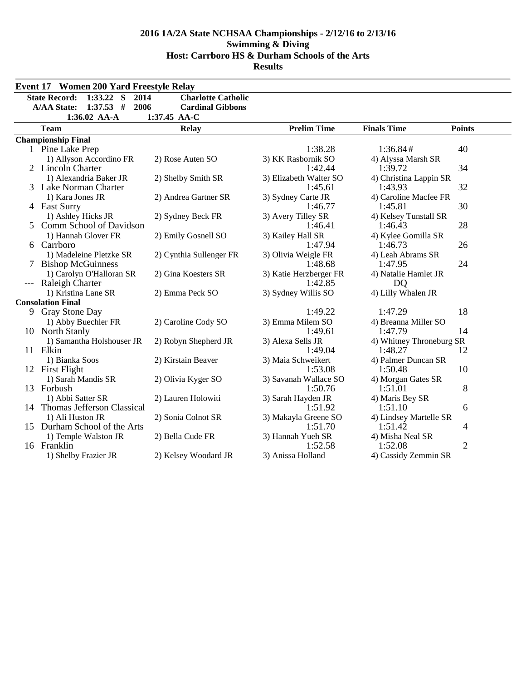|       | <b>Event 17 Women 200 Yard Freestyle Relay</b>                                                           |                                                                      |                                   |                              |                |
|-------|----------------------------------------------------------------------------------------------------------|----------------------------------------------------------------------|-----------------------------------|------------------------------|----------------|
|       | <b>State Record:</b><br>$1:33.22$ S<br>2014<br><b>A/AA State:</b><br>$1:37.53$ #<br>2006<br>1:36.02 AA-A | <b>Charlotte Catholic</b><br><b>Cardinal Gibbons</b><br>1:37.45 AA-C |                                   |                              |                |
|       | <b>Team</b>                                                                                              | <b>Relay</b>                                                         | <b>Prelim Time</b>                | <b>Finals Time</b>           | <b>Points</b>  |
|       | <b>Championship Final</b>                                                                                |                                                                      |                                   |                              |                |
|       | 1 Pine Lake Prep                                                                                         |                                                                      | 1:38.28                           | 1:36.84#                     | 40             |
|       | 1) Allyson Accordino FR                                                                                  | 2) Rose Auten SO                                                     | 3) KK Rasbornik SO                | 4) Alyssa Marsh SR           |                |
|       | 2 Lincoln Charter                                                                                        |                                                                      | 1:42.44                           | 1:39.72                      | 34             |
|       | 1) Alexandria Baker JR                                                                                   | 2) Shelby Smith SR                                                   | 3) Elizabeth Walter SO            | 4) Christina Lappin SR       |                |
|       | 3 Lake Norman Charter                                                                                    |                                                                      | 1:45.61                           | 1:43.93                      | 32             |
|       | 1) Kara Jones JR                                                                                         | 2) Andrea Gartner SR                                                 | 3) Sydney Carte JR                | 4) Caroline Macfee FR        |                |
|       | 4 East Surry                                                                                             |                                                                      | 1:46.77                           | 1:45.81                      | 30             |
|       | 1) Ashley Hicks JR                                                                                       | 2) Sydney Beck FR                                                    | 3) Avery Tilley SR                | 4) Kelsey Tunstall SR        |                |
|       | 5 Comm School of Davidson                                                                                |                                                                      | 1:46.41                           | 1:46.43                      | 28             |
|       | 1) Hannah Glover FR                                                                                      | 2) Emily Gosnell SO                                                  | 3) Kailey Hall SR                 | 4) Kylee Gomilla SR          |                |
|       | 6 Carrboro                                                                                               |                                                                      | 1:47.94                           | 1:46.73                      | 26             |
|       | 1) Madeleine Pletzke SR                                                                                  | 2) Cynthia Sullenger FR                                              | 3) Olivia Weigle FR<br>1:48.68    | 4) Leah Abrams SR<br>1:47.95 | 24             |
| 7     | <b>Bishop McGuinness</b><br>1) Carolyn O'Halloran SR                                                     | 2) Gina Koesters SR                                                  |                                   | 4) Natalie Hamlet JR         |                |
| $---$ | Raleigh Charter                                                                                          |                                                                      | 3) Katie Herzberger FR<br>1:42.85 | DQ                           |                |
|       | 1) Kristina Lane SR                                                                                      | 2) Emma Peck SO                                                      | 3) Sydney Willis SO               | 4) Lilly Whalen JR           |                |
|       | <b>Consolation Final</b>                                                                                 |                                                                      |                                   |                              |                |
|       | 9 Gray Stone Day                                                                                         |                                                                      | 1:49.22                           | 1:47.29                      | 18             |
|       | 1) Abby Buechler FR                                                                                      | 2) Caroline Cody SO                                                  | 3) Emma Milem SO                  | 4) Breanna Miller SO         |                |
|       | 10 North Stanly                                                                                          |                                                                      | 1:49.61                           | 1:47.79                      | 14             |
|       | 1) Samantha Holshouser JR                                                                                | 2) Robyn Shepherd JR                                                 | 3) Alexa Sells JR                 | 4) Whitney Throneburg SR     |                |
|       | 11 Elkin                                                                                                 |                                                                      | 1:49.04                           | 1:48.27                      | 12             |
|       | 1) Bianka Soos                                                                                           | 2) Kirstain Beaver                                                   | 3) Maia Schweikert                | 4) Palmer Duncan SR          |                |
|       | 12 First Flight                                                                                          |                                                                      | 1:53.08                           | 1:50.48                      | 10             |
|       | 1) Sarah Mandis SR                                                                                       | 2) Olivia Kyger SO                                                   | 3) Savanah Wallace SO             | 4) Morgan Gates SR           |                |
|       | 13 Forbush                                                                                               |                                                                      | 1:50.76                           | 1:51.01                      | 8              |
|       | 1) Abbi Satter SR                                                                                        | 2) Lauren Holowiti                                                   | 3) Sarah Hayden JR                | 4) Maris Bey SR              |                |
|       | 14 Thomas Jefferson Classical                                                                            |                                                                      | 1:51.92                           | 1:51.10                      | 6              |
|       | 1) Ali Huston JR                                                                                         | 2) Sonia Colnot SR                                                   | 3) Makayla Greene SO              | 4) Lindsey Martelle SR       |                |
|       | 15 Durham School of the Arts                                                                             |                                                                      | 1:51.70                           | 1:51.42                      | 4              |
|       | 1) Temple Walston JR                                                                                     | 2) Bella Cude FR                                                     | 3) Hannah Yueh SR                 | 4) Misha Neal SR             |                |
|       | 16 Franklin                                                                                              |                                                                      | 1:52.58                           | 1:52.08                      | $\mathfrak{2}$ |
|       | 1) Shelby Frazier JR                                                                                     | 2) Kelsey Woodard JR                                                 | 3) Anissa Holland                 | 4) Cassidy Zemmin SR         |                |
|       |                                                                                                          |                                                                      |                                   |                              |                |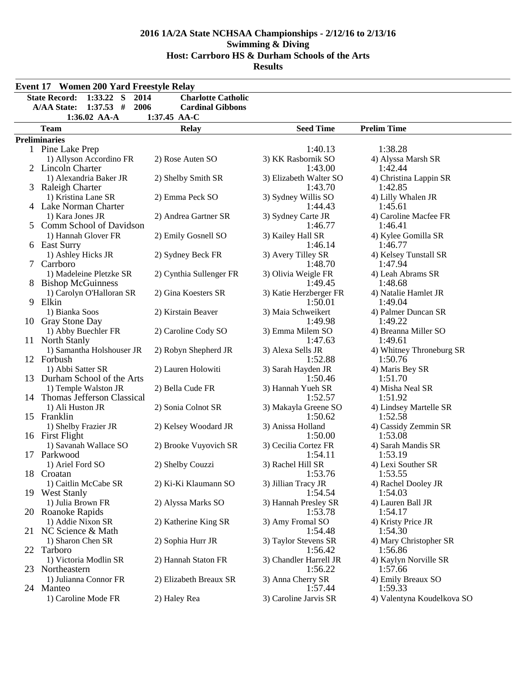|    | <b>Event 17 Women 200 Yard Freestyle Relay</b>      |                           |                                |                                 |  |  |  |  |  |
|----|-----------------------------------------------------|---------------------------|--------------------------------|---------------------------------|--|--|--|--|--|
|    | $1:33.22$ S<br><b>State Record:</b><br>2014         | <b>Charlotte Catholic</b> |                                |                                 |  |  |  |  |  |
|    | <b>A/AA State:</b><br>$1:37.53$ #<br>2006           | <b>Cardinal Gibbons</b>   |                                |                                 |  |  |  |  |  |
|    | 1:36.02 AA-A                                        | 1:37.45 AA-C              |                                |                                 |  |  |  |  |  |
|    | <b>Team</b>                                         | <b>Relay</b>              | <b>Seed Time</b>               | <b>Prelim Time</b>              |  |  |  |  |  |
|    | <b>Preliminaries</b>                                |                           |                                |                                 |  |  |  |  |  |
|    | 1 Pine Lake Prep                                    |                           | 1:40.13                        | 1:38.28                         |  |  |  |  |  |
|    | 1) Allyson Accordino FR                             | 2) Rose Auten SO          | 3) KK Rasbornik SO             | 4) Alyssa Marsh SR              |  |  |  |  |  |
|    | 2 Lincoln Charter                                   |                           | 1:43.00                        | 1:42.44                         |  |  |  |  |  |
|    | 1) Alexandria Baker JR                              | 2) Shelby Smith SR        | 3) Elizabeth Walter SO         | 4) Christina Lappin SR          |  |  |  |  |  |
|    | 3 Raleigh Charter                                   |                           | 1:43.70                        | 1:42.85                         |  |  |  |  |  |
|    | 1) Kristina Lane SR                                 | 2) Emma Peck SO           | 3) Sydney Willis SO            | 4) Lilly Whalen JR              |  |  |  |  |  |
|    | 4 Lake Norman Charter                               |                           | 1:44.43                        | 1:45.61                         |  |  |  |  |  |
|    | 1) Kara Jones JR                                    | 2) Andrea Gartner SR      | 3) Sydney Carte JR             | 4) Caroline Macfee FR           |  |  |  |  |  |
|    | 5 Comm School of Davidson                           |                           | 1:46.77                        | 1:46.41                         |  |  |  |  |  |
|    | 1) Hannah Glover FR                                 | 2) Emily Gosnell SO       | 3) Kailey Hall SR              | 4) Kylee Gomilla SR             |  |  |  |  |  |
|    | 6 East Surry                                        |                           | 1:46.14                        | 1:46.77                         |  |  |  |  |  |
|    | 1) Ashley Hicks JR                                  | 2) Sydney Beck FR         | 3) Avery Tilley SR             | 4) Kelsey Tunstall SR           |  |  |  |  |  |
|    | 7 Carrboro                                          |                           | 1:48.70                        | 1:47.94                         |  |  |  |  |  |
|    | 1) Madeleine Pletzke SR<br><b>Bishop McGuinness</b> | 2) Cynthia Sullenger FR   | 3) Olivia Weigle FR<br>1:49.45 | 4) Leah Abrams SR<br>1:48.68    |  |  |  |  |  |
|    | 1) Carolyn O'Halloran SR                            | 2) Gina Koesters SR       | 3) Katie Herzberger FR         | 4) Natalie Hamlet JR            |  |  |  |  |  |
| 9  | Elkin                                               |                           | 1:50.01                        | 1:49.04                         |  |  |  |  |  |
|    | 1) Bianka Soos                                      | 2) Kirstain Beaver        | 3) Maia Schweikert             | 4) Palmer Duncan SR             |  |  |  |  |  |
|    | 10 Gray Stone Day                                   |                           | 1:49.98                        | 1:49.22                         |  |  |  |  |  |
|    | 1) Abby Buechler FR                                 | 2) Caroline Cody SO       | 3) Emma Milem SO               | 4) Breanna Miller SO            |  |  |  |  |  |
|    | 11 North Stanly                                     |                           | 1:47.63                        | 1:49.61                         |  |  |  |  |  |
|    | 1) Samantha Holshouser JR                           | 2) Robyn Shepherd JR      | 3) Alexa Sells JR              | 4) Whitney Throneburg SR        |  |  |  |  |  |
|    | 12 Forbush                                          |                           | 1:52.88                        | 1:50.76                         |  |  |  |  |  |
|    | 1) Abbi Satter SR                                   | 2) Lauren Holowiti        | 3) Sarah Hayden JR             | 4) Maris Bey SR                 |  |  |  |  |  |
|    | 13 Durham School of the Arts                        |                           | 1:50.46                        | 1:51.70                         |  |  |  |  |  |
|    | 1) Temple Walston JR                                | 2) Bella Cude FR          | 3) Hannah Yueh SR              | 4) Misha Neal SR                |  |  |  |  |  |
|    | 14 Thomas Jefferson Classical                       |                           | 1:52.57                        | 1:51.92                         |  |  |  |  |  |
|    | 1) Ali Huston JR                                    | 2) Sonia Colnot SR        | 3) Makayla Greene SO           | 4) Lindsey Martelle SR          |  |  |  |  |  |
|    | 15 Franklin                                         |                           | 1:50.62                        | 1:52.58                         |  |  |  |  |  |
|    | 1) Shelby Frazier JR<br>16 First Flight             | 2) Kelsey Woodard JR      | 3) Anissa Holland<br>1:50.00   | 4) Cassidy Zemmin SR<br>1:53.08 |  |  |  |  |  |
|    | 1) Savanah Wallace SO                               | 2) Brooke Vuyovich SR     | 3) Cecilia Cortez FR           | 4) Sarah Mandis SR              |  |  |  |  |  |
|    | 17 Parkwood                                         |                           | 1:54.11                        | 1:53.19                         |  |  |  |  |  |
|    | 1) Ariel Ford SO                                    | 2) Shelby Couzzi          | 3) Rachel Hill SR              | 4) Lexi Souther SR              |  |  |  |  |  |
|    | 18 Croatan                                          |                           | 1:53.76                        | 1:53.55                         |  |  |  |  |  |
|    | 1) Caitlin McCabe SR                                | 2) Ki-Ki Klaumann SO      | 3) Jillian Tracy JR            | 4) Rachel Dooley JR             |  |  |  |  |  |
|    | 19 West Stanly                                      |                           | 1:54.54                        | 1:54.03                         |  |  |  |  |  |
|    | 1) Julia Brown FR                                   | 2) Alyssa Marks SO        | 3) Hannah Presley SR           | 4) Lauren Ball JR               |  |  |  |  |  |
|    | 20 Roanoke Rapids                                   |                           | 1:53.78                        | 1:54.17                         |  |  |  |  |  |
|    | 1) Addie Nixon SR                                   | 2) Katherine King SR      | 3) Amy Fromal SO               | 4) Kristy Price JR              |  |  |  |  |  |
|    | 21 NC Science & Math                                |                           | 1:54.48                        | 1:54.30                         |  |  |  |  |  |
|    | 1) Sharon Chen SR                                   | 2) Sophia Hurr JR         | 3) Taylor Stevens SR           | 4) Mary Christopher SR          |  |  |  |  |  |
|    | 22 Tarboro                                          |                           | 1:56.42                        | 1:56.86                         |  |  |  |  |  |
|    | 1) Victoria Modlin SR                               | 2) Hannah Staton FR       | 3) Chandler Harrell JR         | 4) Kaylyn Norville SR           |  |  |  |  |  |
| 23 | Northeastern                                        |                           | 1:56.22                        | 1:57.66                         |  |  |  |  |  |
|    | 1) Julianna Connor FR<br>24 Manteo                  | 2) Elizabeth Breaux SR    | 3) Anna Cherry SR<br>1:57.44   | 4) Emily Breaux SO<br>1:59.33   |  |  |  |  |  |
|    | 1) Caroline Mode FR                                 | 2) Haley Rea              | 3) Caroline Jarvis SR          | 4) Valentyna Koudelkova SO      |  |  |  |  |  |
|    |                                                     |                           |                                |                                 |  |  |  |  |  |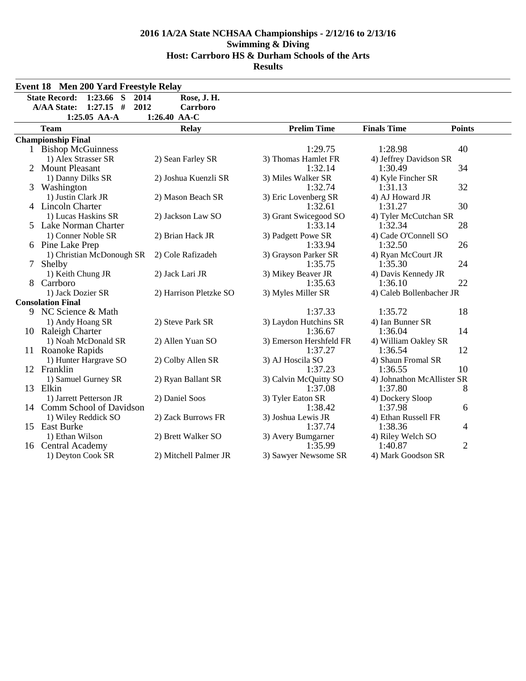|   | <b>Event 18 Men 200 Yard Freestyle Relay</b>                                                              |                                         |                         |                            |                |
|---|-----------------------------------------------------------------------------------------------------------|-----------------------------------------|-------------------------|----------------------------|----------------|
|   | <b>State Record:</b><br>1:23.66<br>S<br>2014<br>$1:27.15$ #<br>2012<br><b>A/AA State:</b><br>1:25.05 AA-A | Rose, J. H.<br>Carrboro<br>1:26.40 AA-C |                         |                            |                |
|   | <b>Team</b>                                                                                               | <b>Relay</b>                            | <b>Prelim Time</b>      | <b>Finals Time</b>         | <b>Points</b>  |
|   | <b>Championship Final</b>                                                                                 |                                         |                         |                            |                |
|   | 1 Bishop McGuinness                                                                                       |                                         | 1:29.75                 | 1:28.98                    | 40             |
|   | 1) Alex Strasser SR                                                                                       | 2) Sean Farley SR                       | 3) Thomas Hamlet FR     | 4) Jeffrey Davidson SR     |                |
|   | 2 Mount Pleasant                                                                                          |                                         | 1:32.14                 | 1:30.49                    | 34             |
|   | 1) Danny Dilks SR                                                                                         | 2) Joshua Kuenzli SR                    | 3) Miles Walker SR      | 4) Kyle Fincher SR         |                |
| 3 | Washington                                                                                                |                                         | 1:32.74                 | 1:31.13                    | 32             |
|   | 1) Justin Clark JR                                                                                        | 2) Mason Beach SR                       | 3) Eric Lovenberg SR    | 4) AJ Howard JR            |                |
|   | 4 Lincoln Charter                                                                                         |                                         | 1:32.61                 | 1:31.27                    | 30             |
|   | 1) Lucas Haskins SR                                                                                       | 2) Jackson Law SO                       | 3) Grant Swicegood SO   | 4) Tyler McCutchan SR      |                |
|   | 5 Lake Norman Charter                                                                                     |                                         | 1:33.14                 | 1:32.34                    | 28             |
|   | 1) Conner Noble SR                                                                                        | 2) Brian Hack JR                        | 3) Padgett Powe SR      | 4) Cade O'Connell SO       |                |
|   | 6 Pine Lake Prep                                                                                          |                                         | 1:33.94                 | 1:32.50                    | 26             |
|   | 1) Christian McDonough SR                                                                                 | 2) Cole Rafizadeh                       | 3) Grayson Parker SR    | 4) Ryan McCourt JR         |                |
| 7 | Shelby                                                                                                    |                                         | 1:35.75                 | 1:35.30                    | 24             |
|   | 1) Keith Chung JR                                                                                         | 2) Jack Lari JR                         | 3) Mikey Beaver JR      | 4) Davis Kennedy JR        |                |
|   | Carrboro                                                                                                  |                                         | 1:35.63                 | 1:36.10                    | 22             |
|   | 1) Jack Dozier SR                                                                                         | 2) Harrison Pletzke SO                  | 3) Myles Miller SR      | 4) Caleb Bollenbacher JR   |                |
|   | <b>Consolation Final</b>                                                                                  |                                         |                         |                            |                |
|   | 9 NC Science & Math                                                                                       |                                         | 1:37.33                 | 1:35.72                    | 18             |
|   | 1) Andy Hoang SR                                                                                          | 2) Steve Park SR                        | 3) Laydon Hutchins SR   | 4) Ian Bunner SR           |                |
|   | 10 Raleigh Charter                                                                                        |                                         | 1:36.67                 | 1:36.04                    | 14             |
|   | 1) Noah McDonald SR                                                                                       | 2) Allen Yuan SO                        | 3) Emerson Hershfeld FR | 4) William Oakley SR       |                |
|   | 11 Roanoke Rapids                                                                                         |                                         | 1:37.27                 | 1:36.54                    | 12             |
|   | 1) Hunter Hargrave SO                                                                                     | 2) Colby Allen SR                       | 3) AJ Hoscila SO        | 4) Shaun Fromal SR         |                |
|   | 12 Franklin                                                                                               |                                         | 1:37.23                 | 1:36.55                    | 10             |
|   | 1) Samuel Gurney SR                                                                                       | 2) Ryan Ballant SR                      | 3) Calvin McQuitty SO   | 4) Johnathon McAllister SR |                |
|   | 13 Elkin                                                                                                  |                                         | 1:37.08                 | 1:37.80                    | 8              |
|   | 1) Jarrett Petterson JR                                                                                   | 2) Daniel Soos                          | 3) Tyler Eaton SR       | 4) Dockery Sloop           |                |
|   | 14 Comm School of Davidson                                                                                |                                         | 1:38.42                 | 1:37.98                    | 6              |
|   | 1) Wiley Reddick SO                                                                                       | 2) Zack Burrows FR                      | 3) Joshua Lewis JR      | 4) Ethan Russell FR        |                |
|   | 15 East Burke                                                                                             |                                         | 1:37.74                 | 1:38.36                    | 4              |
|   | 1) Ethan Wilson                                                                                           | 2) Brett Walker SO                      | 3) Avery Bumgarner      | 4) Riley Welch SO          |                |
|   | 16 Central Academy                                                                                        |                                         | 1:35.99                 | 1:40.87                    | $\overline{2}$ |
|   | 1) Deyton Cook SR                                                                                         | 2) Mitchell Palmer JR                   | 3) Sawyer Newsome SR    | 4) Mark Goodson SR         |                |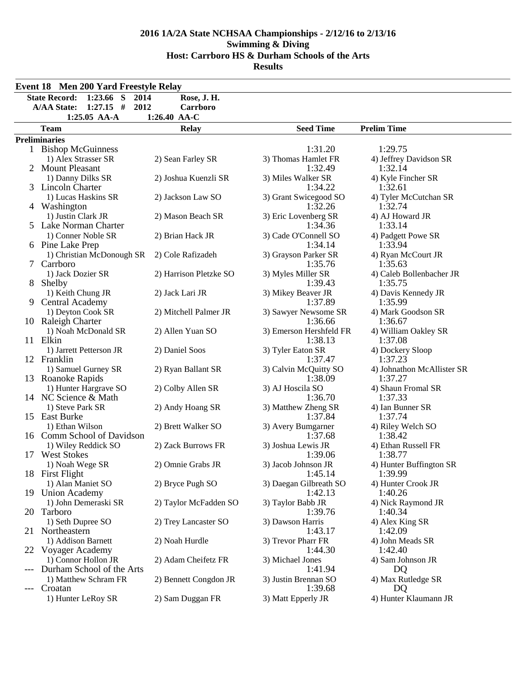|       | <b>Event 18 Men 200 Yard Freestyle Relay</b>                          |                        |                                   |                                |  |  |  |  |  |
|-------|-----------------------------------------------------------------------|------------------------|-----------------------------------|--------------------------------|--|--|--|--|--|
|       | <b>State Record:</b><br>$1:23.66$ S<br>2014                           | Rose, J. H.            |                                   |                                |  |  |  |  |  |
|       | <b>A/AA State:</b><br>$1:27.15$ #<br>2012                             | Carrboro               |                                   |                                |  |  |  |  |  |
|       | 1:25.05 AA-A                                                          | 1:26.40 AA-C           |                                   |                                |  |  |  |  |  |
|       | <b>Seed Time</b><br><b>Prelim Time</b><br><b>Relay</b><br><b>Team</b> |                        |                                   |                                |  |  |  |  |  |
|       | <b>Preliminaries</b>                                                  |                        |                                   |                                |  |  |  |  |  |
|       | 1 Bishop McGuinness                                                   |                        | 1:31.20                           | 1:29.75                        |  |  |  |  |  |
|       | 1) Alex Strasser SR                                                   | 2) Sean Farley SR      | 3) Thomas Hamlet FR               | 4) Jeffrey Davidson SR         |  |  |  |  |  |
|       | 2 Mount Pleasant                                                      |                        | 1:32.49                           | 1:32.14                        |  |  |  |  |  |
|       | 1) Danny Dilks SR                                                     | 2) Joshua Kuenzli SR   | 3) Miles Walker SR                | 4) Kyle Fincher SR             |  |  |  |  |  |
|       | 3 Lincoln Charter                                                     |                        | 1:34.22                           | 1:32.61                        |  |  |  |  |  |
|       | 1) Lucas Haskins SR                                                   | 2) Jackson Law SO      | 3) Grant Swicegood SO             | 4) Tyler McCutchan SR          |  |  |  |  |  |
|       | 4 Washington                                                          |                        | 1:32.26                           | 1:32.74                        |  |  |  |  |  |
|       | 1) Justin Clark JR                                                    | 2) Mason Beach SR      | 3) Eric Lovenberg SR              | 4) AJ Howard JR                |  |  |  |  |  |
|       | 5 Lake Norman Charter                                                 |                        | 1:34.36                           | 1:33.14                        |  |  |  |  |  |
|       | 1) Conner Noble SR                                                    | 2) Brian Hack JR       | 3) Cade O'Connell SO              | 4) Padgett Powe SR             |  |  |  |  |  |
|       | 6 Pine Lake Prep                                                      |                        | 1:34.14                           | 1:33.94                        |  |  |  |  |  |
|       | 1) Christian McDonough SR                                             | 2) Cole Rafizadeh      | 3) Grayson Parker SR              | 4) Ryan McCourt JR             |  |  |  |  |  |
|       | 7 Carrboro                                                            |                        | 1:35.76                           | 1:35.63                        |  |  |  |  |  |
|       | 1) Jack Dozier SR                                                     | 2) Harrison Pletzke SO | 3) Myles Miller SR                | 4) Caleb Bollenbacher JR       |  |  |  |  |  |
| 8.    | Shelby                                                                |                        | 1:39.43                           | 1:35.75                        |  |  |  |  |  |
|       | 1) Keith Chung JR                                                     | 2) Jack Lari JR        | 3) Mikey Beaver JR<br>1:37.89     | 4) Davis Kennedy JR<br>1:35.99 |  |  |  |  |  |
| 9.    | <b>Central Academy</b>                                                |                        |                                   |                                |  |  |  |  |  |
|       | 1) Deyton Cook SR<br>10 Raleigh Charter                               | 2) Mitchell Palmer JR  | 3) Sawyer Newsome SR<br>1:36.66   | 4) Mark Goodson SR<br>1:36.67  |  |  |  |  |  |
|       | 1) Noah McDonald SR                                                   | 2) Allen Yuan SO       | 3) Emerson Hershfeld FR           | 4) William Oakley SR           |  |  |  |  |  |
|       | 11 Elkin                                                              |                        | 1:38.13                           | 1:37.08                        |  |  |  |  |  |
|       | 1) Jarrett Petterson JR                                               | 2) Daniel Soos         | 3) Tyler Eaton SR                 | 4) Dockery Sloop               |  |  |  |  |  |
|       | 12 Franklin                                                           |                        | 1:37.47                           | 1:37.23                        |  |  |  |  |  |
|       | 1) Samuel Gurney SR                                                   | 2) Ryan Ballant SR     | 3) Calvin McQuitty SO             | 4) Johnathon McAllister SR     |  |  |  |  |  |
|       | 13 Roanoke Rapids                                                     |                        | 1:38.09                           | 1:37.27                        |  |  |  |  |  |
|       | 1) Hunter Hargrave SO                                                 | 2) Colby Allen SR      | 3) AJ Hoscila SO                  | 4) Shaun Fromal SR             |  |  |  |  |  |
|       | 14 NC Science & Math                                                  |                        | 1:36.70                           | 1:37.33                        |  |  |  |  |  |
|       | 1) Steve Park SR                                                      | 2) Andy Hoang SR       | 3) Matthew Zheng SR               | 4) Ian Bunner SR               |  |  |  |  |  |
|       | 15 East Burke                                                         |                        | 1:37.84                           | 1:37.74                        |  |  |  |  |  |
|       | 1) Ethan Wilson                                                       | 2) Brett Walker SO     | 3) Avery Bumgarner                | 4) Riley Welch SO              |  |  |  |  |  |
|       | 16 Comm School of Davidson                                            |                        | 1:37.68                           | 1:38.42                        |  |  |  |  |  |
|       | 1) Wiley Reddick SO                                                   | 2) Zack Burrows FR     | 3) Joshua Lewis JR                | 4) Ethan Russell FR            |  |  |  |  |  |
|       | 17 West Stokes                                                        |                        | 1:39.06                           | 1:38.77                        |  |  |  |  |  |
|       | 1) Noah Wege SR                                                       | 2) Omnie Grabs JR      | 3) Jacob Johnson JR               | 4) Hunter Buffington SR        |  |  |  |  |  |
|       | 18 First Flight                                                       |                        | 1:45.14                           | 1:39.99                        |  |  |  |  |  |
|       | 1) Alan Maniet SO                                                     | 2) Bryce Pugh SO       | 3) Daegan Gilbreath SO<br>1:42.13 | 4) Hunter Crook JR             |  |  |  |  |  |
|       | 19 Union Academy<br>1) John Demeraski SR                              |                        |                                   | 1:40.26                        |  |  |  |  |  |
|       | 20 Tarboro                                                            | 2) Taylor McFadden SO  | 3) Taylor Babb JR<br>1:39.76      | 4) Nick Raymond JR<br>1:40.34  |  |  |  |  |  |
|       | 1) Seth Dupree SO                                                     | 2) Trey Lancaster SO   | 3) Dawson Harris                  | 4) Alex King SR                |  |  |  |  |  |
|       | 21 Northeastern                                                       |                        | 1:43.17                           | 1:42.09                        |  |  |  |  |  |
|       | 1) Addison Barnett                                                    | 2) Noah Hurdle         | 3) Trevor Pharr FR                | 4) John Meads SR               |  |  |  |  |  |
|       | 22 Voyager Academy                                                    |                        | 1:44.30                           | 1:42.40                        |  |  |  |  |  |
|       | 1) Connor Hollon JR                                                   | 2) Adam Cheifetz FR    | 3) Michael Jones                  | 4) Sam Johnson JR              |  |  |  |  |  |
|       | Durham School of the Arts                                             |                        | 1:41.94                           | DQ                             |  |  |  |  |  |
|       | 1) Matthew Schram FR                                                  | 2) Bennett Congdon JR  | 3) Justin Brennan SO              | 4) Max Rutledge SR             |  |  |  |  |  |
| $---$ | Croatan                                                               |                        | 1:39.68                           | DQ                             |  |  |  |  |  |
|       | 1) Hunter LeRoy SR                                                    | 2) Sam Duggan FR       | 3) Matt Epperly JR                | 4) Hunter Klaumann JR          |  |  |  |  |  |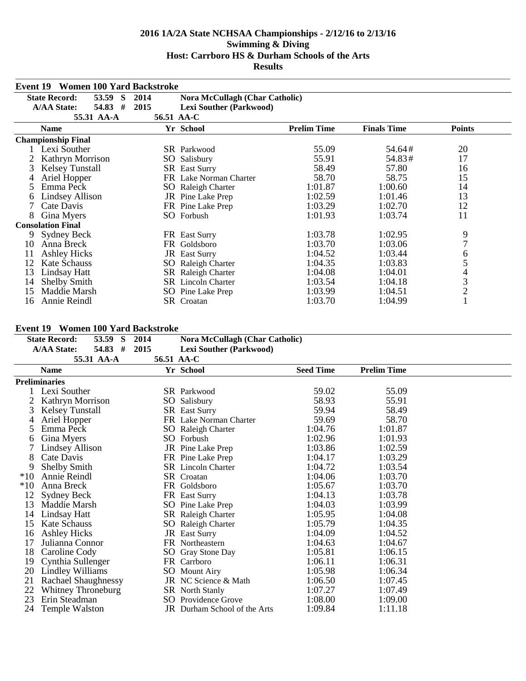| <b>Event 19</b> | <b>Women 100 Yard Backstroke</b> |            |                                       |                    |                    |                |  |
|-----------------|----------------------------------|------------|---------------------------------------|--------------------|--------------------|----------------|--|
|                 | <b>State Record:</b><br>53.59 S  | 2014       | <b>Nora McCullagh (Char Catholic)</b> |                    |                    |                |  |
|                 | #<br><b>A/AA State:</b><br>54.83 | 2015       | <b>Lexi Souther (Parkwood)</b>        |                    |                    |                |  |
|                 | 55.31 AA-A                       | 56.51 AA-C |                                       |                    |                    |                |  |
|                 | <b>Name</b>                      |            | Yr School                             | <b>Prelim Time</b> | <b>Finals Time</b> | <b>Points</b>  |  |
|                 | <b>Championship Final</b>        |            |                                       |                    |                    |                |  |
|                 | Lexi Souther                     |            | <b>SR</b> Parkwood                    | 55.09              | 54.64#             | 20             |  |
|                 | Kathryn Morrison                 | SO         | Salisbury                             | 55.91              | 54.83#             | 17             |  |
| 3               | <b>Kelsey Tunstall</b>           |            | <b>SR</b> East Surry                  | 58.49              | 57.80              | 16             |  |
|                 | Ariel Hopper                     |            | FR Lake Norman Charter                | 58.70              | 58.75              | 15             |  |
| 5               | Emma Peck                        |            | SO Raleigh Charter                    | 1:01.87            | 1:00.60            | 14             |  |
| 6               | Lindsey Allison                  |            | JR Pine Lake Prep                     | 1:02.59            | 1:01.46            | 13             |  |
|                 | Cate Davis                       |            | FR Pine Lake Prep                     | 1:03.29            | 1:02.70            | 12             |  |
| 8               | Gina Myers                       |            | SO Forbush                            | 1:01.93            | 1:03.74            | 11             |  |
|                 | <b>Consolation Final</b>         |            |                                       |                    |                    |                |  |
| 9.              | Sydney Beck                      |            | FR East Surry                         | 1:03.78            | 1:02.95            | 9              |  |
| 10              | Anna Breck                       | FR.        | Goldsboro                             | 1:03.70            | 1:03.06            | $\overline{7}$ |  |
| 11              | <b>Ashley Hicks</b>              |            | <b>JR</b> East Surry                  | 1:04.52            | 1:03.44            | 6              |  |
| 12              | <b>Kate Schauss</b>              | SO         | Raleigh Charter                       | 1:04.35            | 1:03.83            |                |  |
| 13              | Lindsay Hatt                     |            | <b>SR</b> Raleigh Charter             | 1:04.08            | 1:04.01            | 4              |  |
| 14              | <b>Shelby Smith</b>              |            | <b>SR</b> Lincoln Charter             | 1:03.54            | 1:04.18            | 3              |  |
| 15              | Maddie Marsh                     |            | SO Pine Lake Prep                     | 1:03.99            | 1:04.51            | $\overline{2}$ |  |
| 16              | Annie Reindl                     |            | SR Croatan                            | 1:03.70            | 1:04.99            |                |  |

## **Event 19 Women 100 Yard Backstroke**

|       | <b>State Record:</b>             | 53.59<br><sub>S</sub><br>54.83 # | 2014<br>2015 | Nora McCullagh (Char Catholic)               |                  |                    |  |
|-------|----------------------------------|----------------------------------|--------------|----------------------------------------------|------------------|--------------------|--|
|       | <b>A/AA State:</b><br>55.31 AA-A |                                  |              | <b>Lexi Souther (Parkwood)</b><br>56.51 AA-C |                  |                    |  |
|       | <b>Name</b>                      |                                  |              | Yr School                                    | <b>Seed Time</b> | <b>Prelim Time</b> |  |
|       | <b>Preliminaries</b>             |                                  |              |                                              |                  |                    |  |
|       | Lexi Souther                     |                                  |              | <b>SR</b> Parkwood                           | 59.02            | 55.09              |  |
|       | Kathryn Morrison                 |                                  |              | SO Salisbury                                 | 58.93            | 55.91              |  |
| 3     | <b>Kelsey Tunstall</b>           |                                  |              | <b>SR</b> East Surry                         | 59.94            | 58.49              |  |
| 4     | Ariel Hopper                     |                                  |              | FR Lake Norman Charter                       | 59.69            | 58.70              |  |
| 5     | Emma Peck                        |                                  |              | SO Raleigh Charter                           | 1:04.76          | 1:01.87            |  |
| 6     | Gina Myers                       |                                  |              | SO Forbush                                   | 1:02.96          | 1:01.93            |  |
|       | Lindsey Allison                  |                                  |              | JR Pine Lake Prep                            | 1:03.86          | 1:02.59            |  |
| 8     | Cate Davis                       |                                  |              | FR Pine Lake Prep                            | 1:04.17          | 1:03.29            |  |
| 9     | Shelby Smith                     |                                  |              | <b>SR</b> Lincoln Charter                    | 1:04.72          | 1:03.54            |  |
| $*10$ | Annie Reindl                     |                                  |              | SR Croatan                                   | 1:04.06          | 1:03.70            |  |
| $*10$ | Anna Breck                       |                                  |              | FR Goldsboro                                 | 1:05.67          | 1:03.70            |  |
| 12    | <b>Sydney Beck</b>               |                                  |              | FR East Surry                                | 1:04.13          | 1:03.78            |  |
| 13    | Maddie Marsh                     |                                  |              | SO Pine Lake Prep                            | 1:04.03          | 1:03.99            |  |
| 14    | Lindsay Hatt                     |                                  |              | SR Raleigh Charter                           | 1:05.95          | 1:04.08            |  |
| 15    | <b>Kate Schauss</b>              |                                  |              | SO Raleigh Charter                           | 1:05.79          | 1:04.35            |  |
| 16    | <b>Ashley Hicks</b>              |                                  |              | JR East Surry                                | 1:04.09          | 1:04.52            |  |
| 17    | Julianna Connor                  |                                  |              | FR Northeastern                              | 1:04.63          | 1:04.67            |  |
| 18    | Caroline Cody                    |                                  |              | SO Gray Stone Day                            | 1:05.81          | 1:06.15            |  |
| 19    | Cynthia Sullenger                |                                  |              | FR Carrboro                                  | 1:06.11          | 1:06.31            |  |
| 20    | <b>Lindley Williams</b>          |                                  |              | SO Mount Airy                                | 1:05.98          | 1:06.34            |  |
| 21    | <b>Rachael Shaughnessy</b>       |                                  |              | JR NC Science & Math                         | 1:06.50          | 1:07.45            |  |
| 22    | Whitney Throneburg               |                                  |              | SR North Stanly                              | 1:07.27          | 1:07.49            |  |
| 23    | Erin Steadman                    |                                  |              | <b>SO</b> Providence Grove                   | 1:08.00          | 1:09.00            |  |
| 24    | Temple Walston                   |                                  |              | JR Durham School of the Arts                 | 1:09.84          | 1:11.18            |  |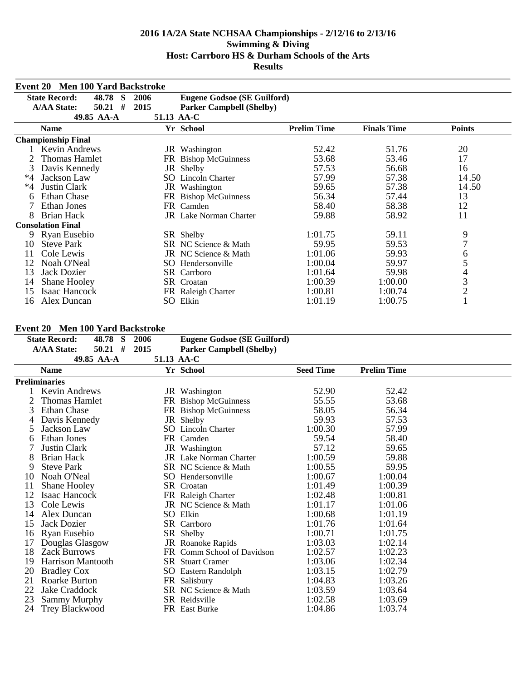| <b>Event 20</b> | <b>Men 100 Yard Backstroke</b>   |            |                                    |                    |                    |                |
|-----------------|----------------------------------|------------|------------------------------------|--------------------|--------------------|----------------|
|                 | <b>State Record:</b><br>48.78 S  | 2006       | <b>Eugene Godsoe (SE Guilford)</b> |                    |                    |                |
|                 | <b>A/AA State:</b><br>#<br>50.21 | 2015       | <b>Parker Campbell (Shelby)</b>    |                    |                    |                |
|                 | 49.85 AA-A                       | 51.13 AA-C |                                    |                    |                    |                |
|                 | <b>Name</b>                      |            | Yr School                          | <b>Prelim Time</b> | <b>Finals Time</b> | <b>Points</b>  |
|                 | <b>Championship Final</b>        |            |                                    |                    |                    |                |
|                 | Kevin Andrews                    |            | JR Washington                      | 52.42              | 51.76              | 20             |
|                 | Thomas Hamlet                    |            | FR Bishop McGuinness               | 53.68              | 53.46              | 17             |
| 3               | Davis Kennedy                    |            | JR Shelby                          | 57.53              | 56.68              | 16             |
| $*4$            | Jackson Law                      |            | <b>SO</b> Lincoln Charter          | 57.99              | 57.38              | 14.50          |
| $*4$            | <b>Justin Clark</b>              |            | JR Washington                      | 59.65              | 57.38              | 14.50          |
| 6               | <b>Ethan Chase</b>               |            | FR Bishop McGuinness               | 56.34              | 57.44              | 13             |
|                 | Ethan Jones                      |            | FR Camden                          | 58.40              | 58.38              | 12             |
| 8               | Brian Hack                       |            | <b>JR</b> Lake Norman Charter      | 59.88              | 58.92              | 11             |
|                 | <b>Consolation Final</b>         |            |                                    |                    |                    |                |
|                 | 9 Ryan Eusebio                   |            | SR Shelby                          | 1:01.75            | 59.11              | 9              |
| 10              | <b>Steve Park</b>                |            | SR NC Science & Math               | 59.95              | 59.53              | 7              |
| 11              | Cole Lewis                       |            | JR NC Science & Math               | 1:01.06            | 59.93              | 6              |
| 12              | Noah O'Neal                      |            | SO Hendersonville                  | 1:00.04            | 59.97              | 5              |
| 13              | Jack Dozier                      |            | SR Carrboro                        | 1:01.64            | 59.98              | 4              |
| 14              | <b>Shane Hooley</b>              |            | SR Croatan                         | 1:00.39            | 1:00.00            | $\mathfrak{Z}$ |
| 15              | Isaac Hancock                    |            | FR Raleigh Charter                 | 1:00.81            | 1:00.74            | $\overline{2}$ |
| 16              | Alex Duncan                      |            | SO Elkin                           | 1:01.19            | 1:00.75            |                |

### **Event 20 Men 100 Yard Backstroke**

|    | $E$ vent $20$ -vien Too Taru Dackstroke       |            |                                    |                  |                    |  |
|----|-----------------------------------------------|------------|------------------------------------|------------------|--------------------|--|
|    | <b>State Record:</b><br>48.78<br><sub>S</sub> | 2006       | <b>Eugene Godsoe (SE Guilford)</b> |                  |                    |  |
|    | $50.21$ #<br><b>A/AA State:</b>               | 2015       | <b>Parker Campbell (Shelby)</b>    |                  |                    |  |
|    | 49.85 AA-A                                    | 51.13 AA-C |                                    |                  |                    |  |
|    | <b>Name</b>                                   |            | Yr School                          | <b>Seed Time</b> | <b>Prelim Time</b> |  |
|    | <b>Preliminaries</b>                          |            |                                    |                  |                    |  |
|    | Kevin Andrews                                 |            | JR Washington                      | 52.90            | 52.42              |  |
|    | <b>Thomas Hamlet</b>                          |            | FR Bishop McGuinness               | 55.55            | 53.68              |  |
| 3  | <b>Ethan Chase</b>                            |            | FR Bishop McGuinness               | 58.05            | 56.34              |  |
| 4  | Davis Kennedy                                 |            | JR Shelby                          | 59.93            | 57.53              |  |
| 5  | Jackson Law                                   | SO.        | Lincoln Charter                    | 1:00.30          | 57.99              |  |
| 6  | Ethan Jones                                   |            | FR Camden                          | 59.54            | 58.40              |  |
|    | Justin Clark                                  |            | JR Washington                      | 57.12            | 59.65              |  |
| 8  | Brian Hack                                    |            | <b>JR</b> Lake Norman Charter      | 1:00.59          | 59.88              |  |
| 9  | <b>Steve Park</b>                             |            | SR NC Science & Math               | 1:00.55          | 59.95              |  |
| 10 | Noah O'Neal                                   |            | SO Hendersonville                  | 1:00.67          | 1:00.04            |  |
| 11 | Shane Hooley                                  |            | SR Croatan                         | 1:01.49          | 1:00.39            |  |
| 12 | Isaac Hancock                                 |            | FR Raleigh Charter                 | 1:02.48          | 1:00.81            |  |
| 13 | Cole Lewis                                    |            | JR NC Science & Math               | 1:01.17          | 1:01.06            |  |
| 14 | Alex Duncan                                   |            | SO Elkin                           | 1:00.68          | 1:01.19            |  |
| 15 | Jack Dozier                                   |            | SR Carrboro                        | 1:01.76          | 1:01.64            |  |
| 16 | Ryan Eusebio                                  |            | SR Shelby                          | 1:00.71          | 1:01.75            |  |
| 17 | Douglas Glasgow                               |            | JR Roanoke Rapids                  | 1:03.03          | 1:02.14            |  |
| 18 | <b>Zack Burrows</b>                           |            | FR Comm School of Davidson         | 1:02.57          | 1:02.23            |  |
| 19 | <b>Harrison Mantooth</b>                      |            | <b>SR</b> Stuart Cramer            | 1:03.06          | 1:02.34            |  |
| 20 | <b>Bradley Cox</b>                            |            | SO Eastern Randolph                | 1:03.15          | 1:02.79            |  |
| 21 | Roarke Burton                                 |            | FR Salisbury                       | 1:04.83          | 1:03.26            |  |
| 22 | Jake Craddock                                 |            | SR NC Science & Math               | 1:03.59          | 1:03.64            |  |
| 23 | <b>Sammy Murphy</b>                           |            | SR Reidsville                      | 1:02.58          | 1:03.69            |  |
| 24 | <b>Trey Blackwood</b>                         |            | FR East Burke                      | 1:04.86          | 1:03.74            |  |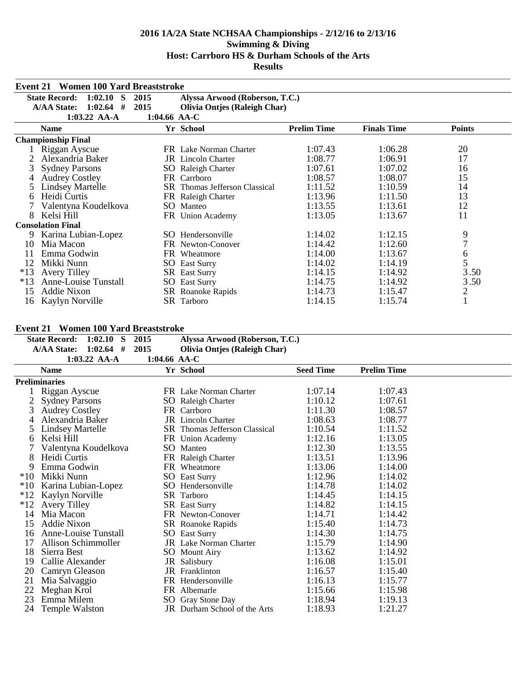| Event 21 | <b>Women 100 Yard Breaststroke</b>              |              |                                      |                    |                    |                                       |
|----------|-------------------------------------------------|--------------|--------------------------------------|--------------------|--------------------|---------------------------------------|
|          | <b>State Record:</b><br>1:02.10<br><sub>S</sub> | 2015         | Alyssa Arwood (Roberson, T.C.)       |                    |                    |                                       |
|          | <b>A/AA State:</b><br>1:02.64<br>#              | 2015         | <b>Olivia Ontjes (Raleigh Char)</b>  |                    |                    |                                       |
|          | $1:03.22$ AA-A                                  | 1:04.66 AA-C |                                      |                    |                    |                                       |
|          | <b>Name</b>                                     |              | Yr School                            | <b>Prelim Time</b> | <b>Finals Time</b> | <b>Points</b>                         |
|          | <b>Championship Final</b>                       |              |                                      |                    |                    |                                       |
|          | Riggan Ayscue                                   |              | FR Lake Norman Charter               | 1:07.43            | 1:06.28            | 20                                    |
|          | Alexandria Baker                                |              | <b>JR</b> Lincoln Charter            | 1:08.77            | 1:06.91            | 17                                    |
| 3        | <b>Sydney Parsons</b>                           |              | <b>SO</b> Raleigh Charter            | 1:07.61            | 1:07.02            | 16                                    |
|          | <b>Audrey Costley</b>                           |              | FR Carrboro                          | 1:08.57            | 1:08.07            | 15                                    |
|          | <b>Lindsey Martelle</b>                         |              | <b>SR</b> Thomas Jefferson Classical | 1:11.52            | 1:10.59            | 14                                    |
| 6        | Heidi Curtis                                    |              | FR Raleigh Charter                   | 1:13.96            | 1:11.50            | 13                                    |
|          | Valentyna Koudelkova                            |              | SO Manteo                            | 1:13.55            | 1:13.61            | 12                                    |
| 8        | Kelsi Hill                                      |              | FR Union Academy                     | 1:13.05            | 1:13.67            | 11                                    |
|          | <b>Consolation Final</b>                        |              |                                      |                    |                    |                                       |
| 9        | Karina Lubian-Lopez                             |              | SO Hendersonville                    | 1:14.02            | 1:12.15            | 9                                     |
| 10       | Mia Macon                                       |              | FR Newton-Conover                    | 1:14.42            | 1:12.60            | 7                                     |
| 11       | Emma Godwin                                     |              | FR Wheatmore                         | 1:14.00            | 1:13.67            | $\begin{array}{c} 6 \\ 5 \end{array}$ |
| 12       | Mikki Nunn                                      | SO.          | <b>East Surry</b>                    | 1:14.02            | 1:14.19            |                                       |
| $*13$    | <b>Avery Tilley</b>                             |              | <b>SR</b> East Surry                 | 1:14.15            | 1:14.92            | 3.50                                  |
| $*13$    | Anne-Louise Tunstall                            |              | <b>SO</b> East Surry                 | 1:14.75            | 1:14.92            | 3.50                                  |
| 15       | Addie Nixon                                     |              | SR Roanoke Rapids                    | 1:14.73            | 1:15.47            | $\mathbf{2}$                          |
| 16       | Kaylyn Norville                                 |              | SR Tarboro                           | 1:14.15            | 1:15.74            | 1                                     |

## **Event 21 Women 100 Yard Breaststroke**

|       | <b>State Record:</b><br>1:02.10<br><sub>S</sub> | 2015         | Alyssa Arwood (Roberson, T.C.)      |                  |                    |  |
|-------|-------------------------------------------------|--------------|-------------------------------------|------------------|--------------------|--|
|       | <b>A/AA State:</b><br>$1:02.64$ #               | 2015         | <b>Olivia Ontjes (Raleigh Char)</b> |                  |                    |  |
|       | 1:03.22 AA-A                                    | 1:04.66 AA-C |                                     |                  |                    |  |
|       | <b>Name</b>                                     |              | Yr School                           | <b>Seed Time</b> | <b>Prelim Time</b> |  |
|       | <b>Preliminaries</b>                            |              |                                     |                  |                    |  |
|       | Riggan Ayscue                                   |              | FR Lake Norman Charter              | 1:07.14          | 1:07.43            |  |
| 2     | <b>Sydney Parsons</b>                           |              | <b>SO</b> Raleigh Charter           | 1:10.12          | 1:07.61            |  |
| 3     | <b>Audrey Costley</b>                           |              | FR Carrboro                         | 1:11.30          | 1:08.57            |  |
|       | Alexandria Baker                                |              | <b>JR</b> Lincoln Charter           | 1:08.63          | 1:08.77            |  |
| 5     | <b>Lindsey Martelle</b>                         |              | SR Thomas Jefferson Classical       | 1:10.54          | 1:11.52            |  |
| 6     | Kelsi Hill                                      |              | FR Union Academy                    | 1:12.16          | 1:13.05            |  |
|       | Valentyna Koudelkova                            |              | SO Manteo                           | 1:12.30          | 1:13.55            |  |
| 8     | Heidi Curtis                                    |              | FR Raleigh Charter                  | 1:13.51          | 1:13.96            |  |
| 9     | Emma Godwin                                     |              | FR Wheatmore                        | 1:13.06          | 1:14.00            |  |
| $*10$ | Mikki Nunn                                      |              | <b>SO</b> East Surry                | 1:12.96          | 1:14.02            |  |
| $*10$ | Karina Lubian-Lopez                             |              | SO Hendersonville                   | 1:14.78          | 1:14.02            |  |
| $*12$ | Kaylyn Norville                                 |              | SR Tarboro                          | 1:14.45          | 1:14.15            |  |
| $*12$ | <b>Avery Tilley</b>                             |              | SR East Surry                       | 1:14.82          | 1:14.15            |  |
| 14    | Mia Macon                                       |              | FR Newton-Conover                   | 1:14.71          | 1:14.42            |  |
| 15    | Addie Nixon                                     |              | SR Roanoke Rapids                   | 1:15.40          | 1:14.73            |  |
| 16    | <b>Anne-Louise Tunstall</b>                     |              | <b>SO</b> East Surry                | 1:14.30          | 1:14.75            |  |
| 17    | Allison Schimmoller                             |              | <b>JR</b> Lake Norman Charter       | 1:15.79          | 1:14.90            |  |
| 18    | Sierra Best                                     |              | <b>SO</b> Mount Airy                | 1:13.62          | 1:14.92            |  |
| 19    | Callie Alexander                                |              | JR Salisbury                        | 1:16.08          | 1:15.01            |  |
| 20    | Camryn Gleason                                  |              | JR Franklinton                      | 1:16.57          | 1:15.40            |  |
| 21    | Mia Salvaggio                                   |              | FR Hendersonville                   | 1:16.13          | 1:15.77            |  |
| 22    | Meghan Krol                                     |              | FR Albemarle                        | 1:15.66          | 1:15.98            |  |
| 23    | Emma Milem                                      |              | SO Gray Stone Day                   | 1:18.94          | 1:19.13            |  |
| 24    | Temple Walston                                  |              | <b>JR</b> Durham School of the Arts | 1:18.93          | 1:21.27            |  |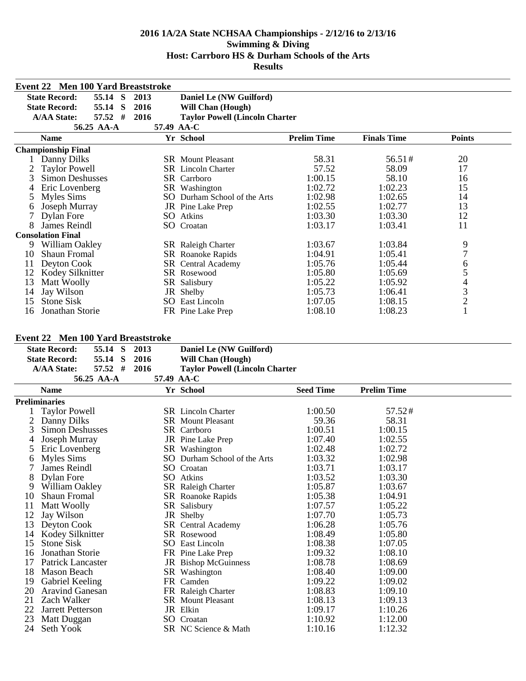|                                                                                  | <b>Event 22 Men 100 Yard Breaststroke</b> |           |              |      |                                       |                    |                    |                         |  |
|----------------------------------------------------------------------------------|-------------------------------------------|-----------|--------------|------|---------------------------------------|--------------------|--------------------|-------------------------|--|
| <b>State Record:</b><br>55.14<br><sub>S</sub><br>2013<br>Daniel Le (NW Guilford) |                                           |           |              |      |                                       |                    |                    |                         |  |
|                                                                                  | <b>State Record:</b>                      | 55.14     | <sub>S</sub> | 2016 | <b>Will Chan (Hough)</b>              |                    |                    |                         |  |
|                                                                                  | <b>A/AA State:</b>                        | $57.52$ # |              | 2016 | <b>Taylor Powell (Lincoln Charter</b> |                    |                    |                         |  |
|                                                                                  | 56.25 AA-A                                |           |              |      | 57.49 AA-C                            |                    |                    |                         |  |
|                                                                                  | <b>Name</b>                               |           |              |      | Yr School                             | <b>Prelim Time</b> | <b>Finals Time</b> | <b>Points</b>           |  |
|                                                                                  | <b>Championship Final</b>                 |           |              |      |                                       |                    |                    |                         |  |
|                                                                                  | Danny Dilks                               |           |              |      | <b>SR</b> Mount Pleasant              | 58.31              | 56.51#             | 20                      |  |
|                                                                                  | <b>Taylor Powell</b>                      |           |              |      | <b>SR</b> Lincoln Charter             | 57.52              | 58.09              | 17                      |  |
| 3                                                                                | <b>Simon Deshusses</b>                    |           |              |      | SR Carrboro                           | 1:00.15            | 58.10              | 16                      |  |
|                                                                                  | Eric Lovenberg                            |           |              |      | SR Washington                         | 1:02.72            | 1:02.23            | 15                      |  |
| 5                                                                                | Myles Sims                                |           |              |      | SO Durham School of the Arts          | 1:02.98            | 1:02.65            | 14                      |  |
| O                                                                                | Joseph Murray                             |           |              |      | JR Pine Lake Prep                     | 1:02.55            | 1:02.77            | 13                      |  |
|                                                                                  | Dylan Fore                                |           |              |      | <b>SO</b> Atkins                      | 1:03.30            | 1:03.30            | 12                      |  |
| 8                                                                                | James Reindl                              |           |              |      | SO Croatan                            | 1:03.17            | 1:03.41            | 11                      |  |
|                                                                                  | <b>Consolation Final</b>                  |           |              |      |                                       |                    |                    |                         |  |
| 9.                                                                               | William Oakley                            |           |              |      | SR Raleigh Charter                    | 1:03.67            | 1:03.84            | 9                       |  |
| 10                                                                               | <b>Shaun Fromal</b>                       |           |              |      | SR Roanoke Rapids                     | 1:04.91            | 1:05.41            | $\overline{7}$          |  |
| 11                                                                               | Deyton Cook                               |           |              |      | SR Central Academy                    | 1:05.76            | 1:05.44            | 6                       |  |
| 12                                                                               | Kodey Silknitter                          |           |              |      | SR Rosewood                           | 1:05.80            | 1:05.69            | 5                       |  |
| 13                                                                               | Matt Woolly                               |           |              |      | SR Salisbury                          | 1:05.22            | 1:05.92            | $\overline{\mathbf{4}}$ |  |
| 14                                                                               | Jay Wilson                                |           |              |      | JR Shelby                             | 1:05.73            | 1:06.41            | 3                       |  |
| 15                                                                               | Stone Sisk                                |           |              |      | <b>SO</b> East Lincoln                | 1:07.05            | 1:08.15            | $\overline{c}$          |  |
| 16                                                                               | Jonathan Storie                           |           |              |      | FR Pine Lake Prep                     | 1:08.10            | 1:08.23            | $\overline{\mathbf{1}}$ |  |

## **Event 22 Men 100 Yard Breaststroke**

|    | <b>THEIR TOO THEY DECADED TO A</b> |   |            |                                       |                  |                    |  |
|----|------------------------------------|---|------------|---------------------------------------|------------------|--------------------|--|
|    | <b>State Record:</b><br>55.14 S    |   | 2013       | Daniel Le (NW Guilford)               |                  |                    |  |
|    | <b>State Record:</b><br>55.14      | S | 2016       | <b>Will Chan (Hough)</b>              |                  |                    |  |
|    | $57.52$ #<br><b>A/AA State:</b>    |   | 2016       | <b>Taylor Powell (Lincoln Charter</b> |                  |                    |  |
|    | 56.25 AA-A                         |   | 57.49 AA-C |                                       |                  |                    |  |
|    | <b>Name</b>                        |   |            | Yr School                             | <b>Seed Time</b> | <b>Prelim Time</b> |  |
|    | <b>Preliminaries</b>               |   |            |                                       |                  |                    |  |
|    | <b>Taylor Powell</b>               |   |            | <b>SR</b> Lincoln Charter             | 1:00.50          | 57.52#             |  |
| 2  | Danny Dilks                        |   |            | <b>SR</b> Mount Pleasant              | 59.36            | 58.31              |  |
| 3  | Simon Deshusses                    |   |            | <b>SR</b> Carrboro                    | 1:00.51          | 1:00.15            |  |
| 4  | Joseph Murray                      |   |            | JR Pine Lake Prep                     | 1:07.40          | 1:02.55            |  |
| 5  | Eric Lovenberg                     |   |            | SR Washington                         | 1:02.48          | 1:02.72            |  |
| 6  | Myles Sims                         |   |            | SO Durham School of the Arts          | 1:03.32          | 1:02.98            |  |
|    | James Reindl                       |   |            | SO Croatan                            | 1:03.71          | 1:03.17            |  |
| 8  | Dylan Fore                         |   |            | SO Atkins                             | 1:03.52          | 1:03.30            |  |
| 9  | William Oakley                     |   |            | SR Raleigh Charter                    | 1:05.87          | 1:03.67            |  |
| 10 | <b>Shaun Fromal</b>                |   |            | SR Roanoke Rapids                     | 1:05.38          | 1:04.91            |  |
| 11 | Matt Woolly                        |   |            | SR Salisbury                          | 1:07.57          | 1:05.22            |  |
| 12 | Jay Wilson                         |   |            | JR Shelby                             | 1:07.70          | 1:05.73            |  |
| 13 | Deyton Cook                        |   |            | SR Central Academy                    | 1:06.28          | 1:05.76            |  |
| 14 | Kodey Silknitter                   |   |            | SR Rosewood                           | 1:08.49          | 1:05.80            |  |
| 15 | <b>Stone Sisk</b>                  |   |            | <b>SO</b> East Lincoln                | 1:08.38          | 1:07.05            |  |
| 16 | Jonathan Storie                    |   |            | FR Pine Lake Prep                     | 1:09.32          | 1:08.10            |  |
| 17 | Patrick Lancaster                  |   |            | JR Bishop McGuinness                  | 1:08.78          | 1:08.69            |  |
| 18 | Mason Beach                        |   |            | SR Washington                         | 1:08.40          | 1:09.00            |  |
| 19 | Gabriel Keeling                    |   |            | FR Camden                             | 1:09.22          | 1:09.02            |  |
| 20 | <b>Aravind Ganesan</b>             |   |            | FR Raleigh Charter                    | 1:08.83          | 1:09.10            |  |
| 21 | Zach Walker                        |   |            | <b>SR</b> Mount Pleasant              | 1:08.13          | 1:09.13            |  |
| 22 | <b>Jarrett Petterson</b>           |   |            | JR Elkin                              | 1:09.17          | 1:10.26            |  |
| 23 | Matt Duggan                        |   |            | SO Croatan                            | 1:10.92          | 1:12.00            |  |
| 24 | Seth Yook                          |   |            | SR NC Science & Math                  | 1:10.16          | 1:12.32            |  |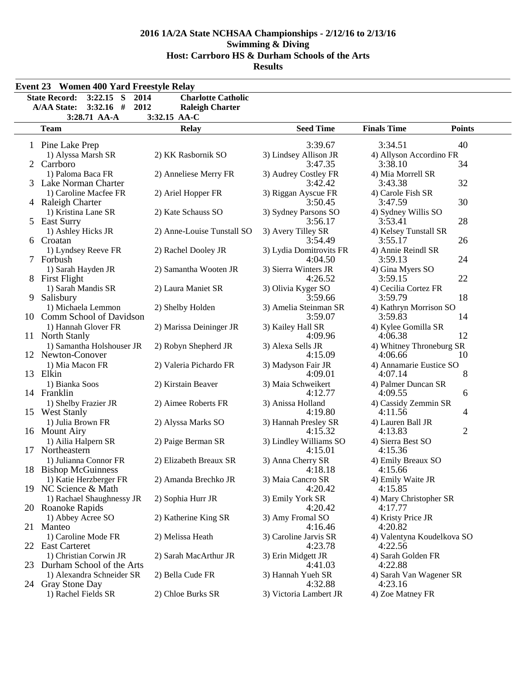|   | <b>Event 23 Women 400 Yard Freestyle Relay</b> |                            |                         |                            |                |
|---|------------------------------------------------|----------------------------|-------------------------|----------------------------|----------------|
|   | $3:22.15$ S<br><b>State Record:</b><br>2014    | <b>Charlotte Catholic</b>  |                         |                            |                |
|   | $3:32.16$ #<br><b>A/AA State:</b><br>2012      | <b>Raleigh Charter</b>     |                         |                            |                |
|   | 3:28.71 AA-A                                   | 3:32.15 AA-C               |                         | <b>Finals Time</b>         |                |
|   | <b>Team</b>                                    | <b>Relay</b>               | <b>Seed Time</b>        |                            | <b>Points</b>  |
|   | 1 Pine Lake Prep                               |                            | 3:39.67                 | 3:34.51                    | 40             |
|   | 1) Alyssa Marsh SR                             | 2) KK Rasbornik SO         | 3) Lindsey Allison JR   | 4) Allyson Accordino FR    |                |
|   | 2 Carrboro                                     |                            | 3:47.35                 | 3:38.10                    | 34             |
|   | 1) Paloma Baca FR                              | 2) Anneliese Merry FR      | 3) Audrey Costley FR    | 4) Mia Morrell SR          |                |
|   | 3 Lake Norman Charter                          |                            | 3:42.42                 | 3:43.38                    | 32             |
|   | 1) Caroline Macfee FR                          | 2) Ariel Hopper FR         | 3) Riggan Ayscue FR     | 4) Carole Fish SR          |                |
|   | 4 Raleigh Charter                              |                            | 3:50.45                 | 3:47.59                    | 30             |
|   | 1) Kristina Lane SR                            | 2) Kate Schauss SO         | 3) Sydney Parsons SO    | 4) Sydney Willis SO        |                |
|   | 5 East Surry                                   |                            | 3:56.17                 | 3:53.41                    | 28             |
|   | 1) Ashley Hicks JR                             | 2) Anne-Louise Tunstall SO | 3) Avery Tilley SR      | 4) Kelsey Tunstall SR      |                |
|   | 6 Croatan                                      |                            | 3:54.49                 | 3:55.17                    | 26             |
|   | 1) Lyndsey Reeve FR                            | 2) Rachel Dooley JR        | 3) Lydia Domitrovits FR | 4) Annie Reindl SR         |                |
|   | 7 Forbush                                      |                            | 4:04.50                 | 3:59.13                    | 24             |
|   | 1) Sarah Hayden JR                             | 2) Samantha Wooten JR      | 3) Sierra Winters JR    | 4) Gina Myers SO           |                |
|   | 8 First Flight                                 |                            | 4:26.52                 | 3:59.15                    | 22             |
|   | 1) Sarah Mandis SR                             | 2) Laura Maniet SR         | 3) Olivia Kyger SO      | 4) Cecilia Cortez FR       |                |
| 9 | Salisbury                                      |                            | 3:59.66                 | 3:59.79                    | 18             |
|   | 1) Michaela Lemmon                             | 2) Shelby Holden           | 3) Amelia Steinman SR   | 4) Kathryn Morrison SO     |                |
|   | 10 Comm School of Davidson                     |                            | 3:59.07                 | 3:59.83                    | 14             |
|   | 1) Hannah Glover FR                            | 2) Marissa Deininger JR    | 3) Kailey Hall SR       | 4) Kylee Gomilla SR        |                |
|   | 11 North Stanly                                |                            | 4:09.96                 | 4:06.38                    | 12             |
|   | 1) Samantha Holshouser JR                      | 2) Robyn Shepherd JR       | 3) Alexa Sells JR       | 4) Whitney Throneburg SR   |                |
|   | 12 Newton-Conover                              |                            | 4:15.09                 | 4:06.66                    | 10             |
|   | 1) Mia Macon FR                                | 2) Valeria Pichardo FR     | 3) Madyson Fair JR      | 4) Annamarie Eustice SO    |                |
|   | 13 Elkin                                       |                            | 4:09.01                 | 4:07.14                    | 8              |
|   | 1) Bianka Soos                                 | 2) Kirstain Beaver         | 3) Maia Schweikert      | 4) Palmer Duncan SR        |                |
|   | 14 Franklin                                    |                            | 4:12.77                 | 4:09.55                    | 6              |
|   | 1) Shelby Frazier JR                           | 2) Aimee Roberts FR        | 3) Anissa Holland       | 4) Cassidy Zemmin SR       |                |
|   | 15 West Stanly                                 |                            | 4:19.80                 | 4:11.56                    | 4              |
|   | 1) Julia Brown FR                              | 2) Alyssa Marks SO         | 3) Hannah Presley SR    | 4) Lauren Ball JR          |                |
|   | 16 Mount Airy                                  |                            | 4:15.32                 | 4:13.83                    | $\overline{2}$ |
|   | 1) Ailia Halpern SR                            | 2) Paige Berman SR         | 3) Lindley Williams SO  | 4) Sierra Best SO          |                |
|   | 17 Northeastern                                |                            | 4:15.01                 | 4:15.36                    |                |
|   | 1) Julianna Connor FR                          | 2) Elizabeth Breaux SR     | 3) Anna Cherry SR       | 4) Emily Breaux SO         |                |
|   | 18 Bishop McGuinness                           |                            | 4:18.18                 | 4:15.66                    |                |
|   | 1) Katie Herzberger FR                         | 2) Amanda Brechko JR       | 3) Maia Cancro SR       | 4) Emily Waite JR          |                |
|   | 19 NC Science & Math                           |                            | 4:20.42                 | 4:15.85                    |                |
|   | 1) Rachael Shaughnessy JR                      | 2) Sophia Hurr JR          | 3) Emily York SR        | 4) Mary Christopher SR     |                |
|   | 20 Roanoke Rapids                              |                            | 4:20.42                 | 4:17.77                    |                |
|   | 1) Abbey Acree SO                              | 2) Katherine King SR       | 3) Amy Fromal SO        | 4) Kristy Price JR         |                |
|   | 21 Manteo                                      |                            | 4:16.46                 | 4:20.82                    |                |
|   | 1) Caroline Mode FR                            | 2) Melissa Heath           | 3) Caroline Jarvis SR   | 4) Valentyna Koudelkova SO |                |
|   | 22 East Carteret                               |                            | 4:23.78                 | 4:22.56                    |                |
|   | 1) Christian Corwin JR                         | 2) Sarah MacArthur JR      | 3) Erin Midgett JR      | 4) Sarah Golden FR         |                |
|   | 23 Durham School of the Arts                   |                            | 4:41.03                 | 4:22.88                    |                |
|   | 1) Alexandra Schneider SR                      | 2) Bella Cude FR           | 3) Hannah Yueh SR       | 4) Sarah Van Wagener SR    |                |
|   | 24 Gray Stone Day                              |                            | 4:32.88                 | 4:23.16                    |                |
|   | 1) Rachel Fields SR                            | 2) Chloe Burks SR          | 3) Victoria Lambert JR  | 4) Zoe Matney FR           |                |